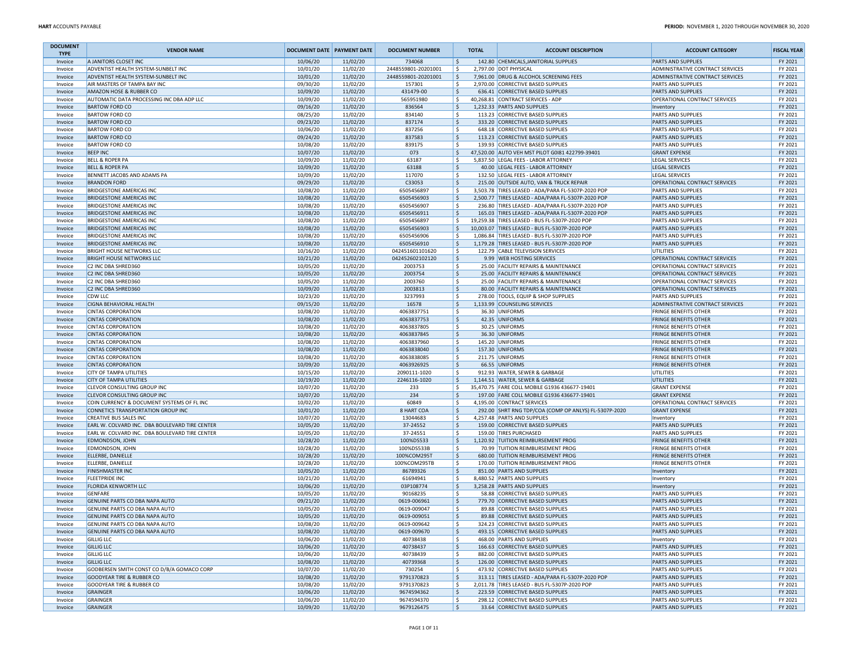| <b>DOCUMENT</b><br><b>TYPE</b> | <b>VENDOR NAME</b>                                                   | <b>DOCUMENT DATE PAYMENT DATE</b> |                      | <b>DOCUMENT NUMBER</b>        |              | <b>TOTAL</b> | <b>ACCOUNT DESCRIPTION</b>                                                              | <b>ACCOUNT CATEGORY</b>                                      | <b>FISCAL YEAR</b> |
|--------------------------------|----------------------------------------------------------------------|-----------------------------------|----------------------|-------------------------------|--------------|--------------|-----------------------------------------------------------------------------------------|--------------------------------------------------------------|--------------------|
| Invoice                        | A JANITORS CLOSET INC                                                | 10/06/20                          | 11/02/20             | 734068                        | S.           |              | 142.80 CHEMICALS JANITORIAL SUPPLIES                                                    | PARTS AND SUPPLIES                                           | FY 2021            |
| Invoice                        | ADVENTIST HEALTH SYSTEM-SUNBELT INC                                  | 10/01/20                          | 11/02/20             | 2448559801-20201001           | l \$         |              | 2,797.00 DOT PHYSICAL                                                                   | ADMINISTRATIVE CONTRACT SERVICES                             | FY 2021            |
| Invoice                        | ADVENTIST HEALTH SYSTEM-SUNBELT INC<br>AIR MASTERS OF TAMPA BAY INC  | 10/01/20<br>09/30/20              | 11/02/20<br>11/02/20 | 2448559801-20201001<br>157301 | l \$<br>S.   |              | 7,961.00 DRUG & ALCOHOL SCREENING FEES<br>2,970.00 CORRECTIVE BASED SUPPLIES            | ADMINISTRATIVE CONTRACT SERVICES<br>PARTS AND SUPPLIES       | FY 2021<br>FY 2021 |
| Invoice<br>Invoice             | AMAZON HOSE & RUBBER CO                                              | 10/09/20                          | 11/02/20             | 431479-00                     | \$           |              | 636.41 CORRECTIVE BASED SUPPLIES                                                        | PARTS AND SUPPLIES                                           | FY 2021            |
| Invoice                        | AUTOMATIC DATA PROCESSING INC DBA ADP LLC                            | 10/09/20                          | 11/02/20             | 565951980                     | l S          |              | 40,268.81 CONTRACT SERVICES - ADP                                                       | OPERATIONAL CONTRACT SERVICES                                | FY 2021            |
| Invoice                        | <b>BARTOW FORD CO</b>                                                | 09/16/20                          | 11/02/20             | 836564                        | ١s           |              | 1,232.33 PARTS AND SUPPLIES                                                             | Inventory                                                    | FY 2021            |
| Invoice                        | <b>BARTOW FORD CO</b>                                                | 08/25/20                          | 11/02/20             | 834140                        | l\$          |              | 113.23 CORRECTIVE BASED SUPPLIES                                                        | PARTS AND SUPPLIES                                           | FY 2021            |
| Invoice                        | <b>BARTOW FORD CO</b>                                                | 09/23/20                          | 11/02/20             | 837174                        | ١\$          |              | 333.20 CORRECTIVE BASED SUPPLIES                                                        | PARTS AND SUPPLIES                                           | FY 2021            |
| Invoice                        | <b>BARTOW FORD CO</b>                                                | 10/06/20                          | 11/02/20             | 837256                        | ١s           |              | 648.18 CORRECTIVE BASED SUPPLIES                                                        | PARTS AND SUPPLIES                                           | FY 2021            |
| Invoice                        | <b>BARTOW FORD CO</b>                                                | 09/24/20                          | 11/02/20             | 837583                        | <sub>S</sub> |              | 113.23 CORRECTIVE BASED SUPPLIES                                                        | <b>PARTS AND SUPPLIES</b>                                    | FY 2021            |
| Invoice                        | <b>BARTOW FORD CO</b>                                                | 10/08/20                          | 11/02/20             | 839175                        | \$           |              | 139.93 CORRECTIVE BASED SUPPLIES                                                        | PARTS AND SUPPLIES                                           | FY 2021            |
| Invoice                        | <b>BEEP INC</b>                                                      | 10/07/20                          | 11/02/20             | 073                           | l \$<br>S.   |              | 47,520.00 AUTO VEH MST PILOT G0181 422799-39401<br>5.837.50 LEGAL FEES - LABOR ATTORNEY | <b>GRANT EXPENSE</b>                                         | FY 2021            |
| Invoice<br>Invoice             | <b>BELL &amp; ROPER PA</b><br><b>BELL &amp; ROPER PA</b>             | 10/09/20<br>10/09/20              | 11/02/20<br>11/02/20 | 63187<br>63188                | ١\$          |              | 40.00 LEGAL FEES - LABOR ATTORNEY                                                       | <b>LEGAL SERVICES</b><br><b>LEGAL SERVICES</b>               | FY 2021<br>FY 2021 |
| Invoice                        | BENNETT JACOBS AND ADAMS PA                                          | 10/09/20                          | 11/02/20             | 117070                        | l\$          |              | 132.50 LEGAL FEES - LABOR ATTORNEY                                                      | <b>LEGAL SERVICES</b>                                        | FY 2021            |
| Invoice                        | <b>BRANDON FORD</b>                                                  | 09/29/20                          | 11/02/20             | C33053                        | ١s           |              | 215.00 OUTSIDE AUTO, VAN & TRUCK REPAIR                                                 | <b>OPERATIONAL CONTRACT SERVICES</b>                         | FY 2021            |
| Invoice                        | <b>BRIDGESTONE AMERICAS INC</b>                                      | 10/08/20                          | 11/02/20             | 6505456897                    | ١s           |              | 3,503.78 TIRES LEASED - ADA/PARA FL-5307P-2020 POP                                      | PARTS AND SUPPLIES                                           | FY 2021            |
| Invoice                        | <b>BRIDGESTONE AMERICAS INC</b>                                      | 10/08/20                          | 11/02/20             | 6505456903                    | ١\$          |              | 2,500.77 TIRES LEASED - ADA/PARA FL-5307P-2020 POP                                      | PARTS AND SUPPLIES                                           | FY 2021            |
| Invoice                        | <b>BRIDGESTONE AMERICAS INC</b>                                      | 10/08/20                          | 11/02/20             | 6505456907                    | ١\$          |              | 236.80 TIRES LEASED - ADA/PARA FL-5307P-2020 POP                                        | PARTS AND SUPPLIES                                           | FY 2021            |
| Invoice                        | <b>BRIDGESTONE AMERICAS INC</b>                                      | 10/08/20                          | 11/02/20             | 6505456911                    | l\$          |              | 165.03 TIRES LEASED - ADA/PARA FL-5307P-2020 POP                                        | <b>PARTS AND SUPPLIES</b>                                    | FY 2021            |
| Invoice                        | <b>BRIDGESTONE AMERICAS INC</b>                                      | 10/08/20                          | 11/02/20             | 6505456897                    | -Ś           |              | 19,259.38 TIRES LEASED - BUS FL-5307P-2020 POP                                          | <b>PARTS AND SUPPLIES</b>                                    | FY 2021            |
| Invoice                        | <b>BRIDGESTONE AMERICAS INC</b>                                      | 10/08/20                          | 11/02/20             | 6505456903                    | ۱\$.         |              | 10,003.07 TIRES LEASED - BUS FL-5307P-2020 POP                                          | PARTS AND SUPPLIES                                           | FY 2021            |
| Invoice                        | <b>BRIDGESTONE AMERICAS INC</b>                                      | 10/08/20                          | 11/02/20             | 6505456906                    | l \$         |              | 1,086.84 TIRES LEASED - BUS FL-5307P-2020 POP                                           | PARTS AND SUPPLIES                                           | FY 2021            |
| Invoice                        | <b>BRIDGESTONE AMERICAS INC</b>                                      | 10/08/20<br>10/16/20              | 11/02/20<br>11/02/20 | 6505456910<br>042451601101620 | l\$<br>l\$   |              | 1,179.28 TIRES LEASED - BUS FL-5307P-2020 POP<br>122.79 CABLE TELEVISION SERVICES       | <b>PARTS AND SUPPLIES</b><br>UTILITIES                       | FY 2021<br>FY 2021 |
| Invoice<br>Invoice             | <b>BRIGHT HOUSE NETWORKS LLC</b><br><b>BRIGHT HOUSE NETWORKS LLC</b> | 10/21/20                          | 11/02/20             | 042452602102120               | ١\$          |              | 9.99 WEB HOSTING SERVICES                                                               | OPERATIONAL CONTRACT SERVICES                                | FY 2021            |
| Invoice                        | C2 INC DBA SHRED360                                                  | 10/05/20                          | 11/02/20             | 2003753                       | ١s           |              | 25.00 FACILITY REPAIRS & MAINTENANCE                                                    | OPERATIONAL CONTRACT SERVICES                                | FY 2021            |
| Invoice                        | <b>C2 INC DBA SHRED360</b>                                           | 10/05/20                          | 11/02/20             | 2003754                       | ۱\$.         |              | 25.00 FACILITY REPAIRS & MAINTENANCE                                                    | OPERATIONAL CONTRACT SERVICES                                | FY 2021            |
| Invoice                        | C2 INC DBA SHRED360                                                  | 10/05/20                          | 11/02/20             | 2003760                       | ١\$          |              | 25.00 FACILITY REPAIRS & MAINTENANCE                                                    | OPERATIONAL CONTRACT SERVICES                                | FY 2021            |
| Invoice                        | C2 INC DBA SHRED360                                                  | 10/09/20                          | 11/02/20             | 2003813                       | ١\$          |              | 80.00 FACILITY REPAIRS & MAINTENANCE                                                    | OPERATIONAL CONTRACT SERVICES                                | FY 2021            |
| Invoice                        | <b>CDW LLC</b>                                                       | 10/23/20                          | 11/02/20             | 3237993                       | -\$          |              | 278.00 TOOLS, EQUIP & SHOP SUPPLIES                                                     | PARTS AND SUPPLIES                                           | FY 2021            |
| Invoice                        | <b>CIGNA BEHAVIORAL HEALTH</b>                                       | 09/15/20                          | 11/02/20             | 16578                         | ١\$          |              | 1,133.99 COUNSELING SERVICES                                                            | ADMINISTRATIVE CONTRACT SERVICES                             | FY 2021            |
| Invoice                        | <b>CINTAS CORPORATION</b>                                            | 10/08/20                          | 11/02/20             | 4063837751                    | l\$          |              | 36.30 UNIFORMS                                                                          | <b>FRINGE BENEFITS OTHER</b>                                 | FY 2021            |
| Invoice                        | <b>CINTAS CORPORATION</b>                                            | 10/08/20                          | 11/02/20             | 4063837753                    | l \$         |              | 42.35 UNIFORMS                                                                          | <b>FRINGE BENEFITS OTHER</b>                                 | FY 2021            |
| Invoice                        | <b>CINTAS CORPORATION</b>                                            | 10/08/20<br>10/08/20              | 11/02/20<br>11/02/20 | 4063837805                    | l \$<br>\$   |              | 30.25 UNIFORMS<br>36.30 UNIFORMS                                                        | <b>FRINGE BENEFITS OTHER</b>                                 | FY 2021<br>FY 2021 |
| Invoice<br>Invoice             | <b>CINTAS CORPORATION</b><br><b>CINTAS CORPORATION</b>               | 10/08/20                          | 11/02/20             | 4063837845<br>4063837960      | ١\$          |              | 145.20 UNIFORMS                                                                         | <b>FRINGE BENEFITS OTHER</b><br><b>FRINGE BENEFITS OTHER</b> | FY 2021            |
| Invoice                        | <b>CINTAS CORPORATION</b>                                            | 10/08/20                          | 11/02/20             | 4063838040                    | ۱\$.         |              | 157.30 UNIFORMS                                                                         | <b>FRINGE BENEFITS OTHER</b>                                 | FY 2021            |
| Invoice                        | <b>CINTAS CORPORATION</b>                                            | 10/08/20                          | 11/02/20             | 4063838085                    | \$           |              | 211.75 UNIFORMS                                                                         | <b>FRINGE BENEFITS OTHER</b>                                 | FY 2021            |
| Invoice                        | <b>CINTAS CORPORATION</b>                                            | 10/09/20                          | 11/02/20             | 4063926925                    | ۱\$          |              | 66.55 UNIFORMS                                                                          | <b>FRINGE BENEFITS OTHER</b>                                 | FY 2021            |
| Invoice                        | <b>CITY OF TAMPA UTILITIES</b>                                       | 10/15/20                          | 11/02/20             | 2090111-1020                  | l s          |              | 912.93 WATER, SEWER & GARBAGE                                                           | <b>UTILITIES</b>                                             | FY 2021            |
| Invoice                        | <b>CITY OF TAMPA UTILITIES</b>                                       | 10/19/20                          | 11/02/20             | 2246116-1020                  | ١\$          |              | 1,144.51 WATER, SEWER & GARBAGE                                                         | UTILITIES                                                    | FY 2021            |
| Invoice                        | <b>CLEVOR CONSULTING GROUP INC</b>                                   | 10/07/20                          | 11/02/20             | 233                           | \$           |              | 35,470.75 FARE COLL MOBILE G1936 436677-19401                                           | <b>GRANT EXPENSE</b>                                         | FY 2021            |
| Invoice                        | <b>CLEVOR CONSULTING GROUP INC</b>                                   | 10/07/20                          | 11/02/20             | 234                           | ۱\$.         |              | 197.00 FARE COLL MOBILE G1936 436677-19401                                              | <b>GRANT EXPENSE</b>                                         | FY 2021            |
| Invoice                        | COIN CURRENCY & DOCUMENT SYSTEMS OF FL INC                           | 10/02/20                          | 11/02/20             | 60849                         | l\$          |              | 4,195.00 CONTRACT SERVICES                                                              | OPERATIONAL CONTRACT SERVICES                                | FY 2021            |
| Invoice                        | CONNETICS TRANSPORTATION GROUP INC<br><b>CREATIVE BUS SALES INC</b>  | 10/01/20<br>10/07/20              | 11/02/20<br>11/02/20 | 8 HART COA<br>13044683        | l \$<br>l\$  |              | 292.00 SHRT RNG TDP/COA (COMP OP ANLYS) FL-5307P-2020<br>4,257.48 PARTS AND SUPPLIES    | <b>GRANT EXPENSE</b>                                         | FY 2021<br>FY 2021 |
| Invoice<br>Invoice             | EARL W. COLVARD INC. DBA BOULEVARD TIRE CENTER                       | 10/05/20                          | 11/02/20             | 37-24552                      | l \$         |              | 159.00 CORRECTIVE BASED SUPPLIES                                                        | Inventory<br><b>PARTS AND SUPPLIES</b>                       | FY 2021            |
| Invoice                        | EARL W. COLVARD INC. DBA BOULEVARD TIRE CENTER                       | 10/05/20                          | 11/02/20             | 37-24551                      | ١\$          |              | 159.00 TIRES PURCHASED                                                                  | PARTS AND SUPPLIES                                           | FY 2021            |
| Invoice                        | <b>EDMONDSON, JOHN</b>                                               | 10/28/20                          | 11/02/20             | 100%DS533                     | ۱\$.         |              | 1,120.92 TUITION REIMBURSEMENT PROG                                                     | <b>FRINGE BENEFITS OTHER</b>                                 | FY 2021            |
| Invoice                        | EDMONDSON, JOHN                                                      | 10/28/20                          | 11/02/20             | 100%DS533B                    | ١\$          |              | 70.99 TUITION REIMBURSEMENT PROG                                                        | <b>FRINGE BENEFITS OTHER</b>                                 | FY 2021            |
| Invoice                        | ELLERBE, DANIELLE                                                    | 10/28/20                          | 11/02/20             | 100%COM295T                   | l s          |              | 680.00 TUITION REIMBURSEMENT PROG                                                       | <b>FRINGE BENEFITS OTHER</b>                                 | FY 2021            |
| Invoice                        | ELLERBE, DANIELLE                                                    | 10/28/20                          | 11/02/20             | 100%COM295TB                  | l\$          |              | 170.00 TUITION REIMBURSEMENT PROG                                                       | <b>FRINGE BENEFITS OTHER</b>                                 | FY 2021            |
| Invoice                        | <b>FINISHMASTER INC</b>                                              | 10/05/20                          | 11/02/20             | 86789326                      | ١\$          |              | 851.00 PARTS AND SUPPLIES                                                               | Inventory                                                    | FY 2021            |
| Invoice                        | <b>FLEETPRIDE INC</b>                                                | 10/21/20                          | 11/02/20             | 61694941                      | ١s           |              | 8,480.52 PARTS AND SUPPLIES                                                             | Inventory                                                    | FY 2021            |
| Invoice                        | <b>FLORIDA KENWORTH LLC</b>                                          | 10/06/20                          | 11/02/20             | 03P108774                     | ١s           |              | 3.258.28 PARTS AND SUPPLIES                                                             | Inventory                                                    | FY 2021            |
| Invoice                        | GENFARE                                                              | 10/05/20                          | 11/02/20             | 90168235                      | ١\$          |              | 58.88 CORRECTIVE BASED SUPPLIES<br>779.70 CORRECTIVE BASED SUPPLIES                     | PARTS AND SUPPLIES                                           | FY 2021            |
| Invoice<br>Invoice             | GENUINE PARTS CO DBA NAPA AUTO<br>GENUINE PARTS CO DBA NAPA AUTO     | 09/21/20<br>10/05/20              | 11/02/20<br>11/02/20 | 0619-006961<br>0619-009047    | -\$<br>١s    |              | 89.88 CORRECTIVE BASED SUPPLIES                                                         | PARTS AND SUPPLIES<br>PARTS AND SUPPLIES                     | FY 2021<br>FY 2021 |
| Invoice                        | GENUINE PARTS CO DBA NAPA AUTO                                       | 10/05/20                          | 11/02/20             | 0619-009051                   | S.           |              | 89.88 CORRECTIVE BASED SUPPLIES                                                         | <b>PARTS AND SUPPLIES</b>                                    | FY 2021            |
| Invoice                        | GENUINE PARTS CO DBA NAPA AUTO                                       | 10/08/20                          | 11/02/20             | 0619-009642                   | ∣>           |              | 324.23 CORRECTIVE BASED SUPPLIES                                                        | <b>PARTS AND SUPPLIES</b>                                    | FY 2021            |
| Invoice                        | GENUINE PARTS CO DBA NAPA AUTO                                       | 10/08/20                          | 11/02/20             | 0619-009670                   | l \$         |              | 493.15 CORRECTIVE BASED SUPPLIES                                                        | PARTS AND SUPPLIES                                           | FY 2021            |
| Invoice                        | <b>GILLIG LLC</b>                                                    | 10/06/20                          | 11/02/20             | 40738438                      | l s          |              | 468.00 PARTS AND SUPPLIES                                                               | Inventory                                                    | FY 2021            |
| Invoice                        | <b>GILLIG LLC</b>                                                    | 10/06/20                          | 11/02/20             | 40738437                      | l \$         |              | 166.63 CORRECTIVE BASED SUPPLIES                                                        | PARTS AND SUPPLIES                                           | FY 2021            |
| Invoice                        | <b>GILLIG LLC</b>                                                    | 10/06/20                          | 11/02/20             | 40738439                      | l \$         |              | 882.00 CORRECTIVE BASED SUPPLIES                                                        | PARTS AND SUPPLIES                                           | FY 2021            |
| Invoice                        | <b>GILLIG LLC</b>                                                    | 10/08/20                          | 11/02/20             | 40739368                      | l \$         |              | 126.00 CORRECTIVE BASED SUPPLIES                                                        | PARTS AND SUPPLIES                                           | FY 2021            |
| Invoice                        | GODBERSEN SMITH CONST CO D/B/A GOMACO CORP                           | 10/07/20                          | 11/02/20             | 730254                        | S.           |              | 473.92 CORRECTIVE BASED SUPPLIES                                                        | PARTS AND SUPPLIES                                           | FY 2021            |
| Invoice                        | GOODYEAR TIRE & RUBBER CO                                            | 10/08/20                          | 11/02/20             | 9791370823                    | ١s           |              | 313.11 TIRES LEASED - ADA/PARA FL-5307P-2020 POP                                        | PARTS AND SUPPLIES                                           | FY 2021            |
| Invoice                        | <b>GOODYEAR TIRE &amp; RUBBER CO</b>                                 | 10/08/20                          | 11/02/20             | 9791370823                    | ١\$          |              | 2,011.78 TIRES LEASED - BUS FL-5307P-2020 POP                                           | PARTS AND SUPPLIES                                           | FY 2021            |
| Invoice                        | <b>GRAINGER</b>                                                      | 10/06/20                          | 11/02/20             | 9674594362                    | ۱\$.<br>\$   |              | 223.59 CORRECTIVE BASED SUPPLIES                                                        | <b>PARTS AND SUPPLIES</b>                                    | FY 2021            |
| Invoice<br>Invoice             | GRAINGER<br><b>GRAINGER</b>                                          | 10/06/20<br>10/09/20              | 11/02/20<br>11/02/20 | 9674594370<br>9679126475      | l \$         |              | 298.12 CORRECTIVE BASED SUPPLIES<br>33.64 CORRECTIVE BASED SUPPLIES                     | PARTS AND SUPPLIES<br>PARTS AND SUPPLIES                     | FY 2021<br>FY 2021 |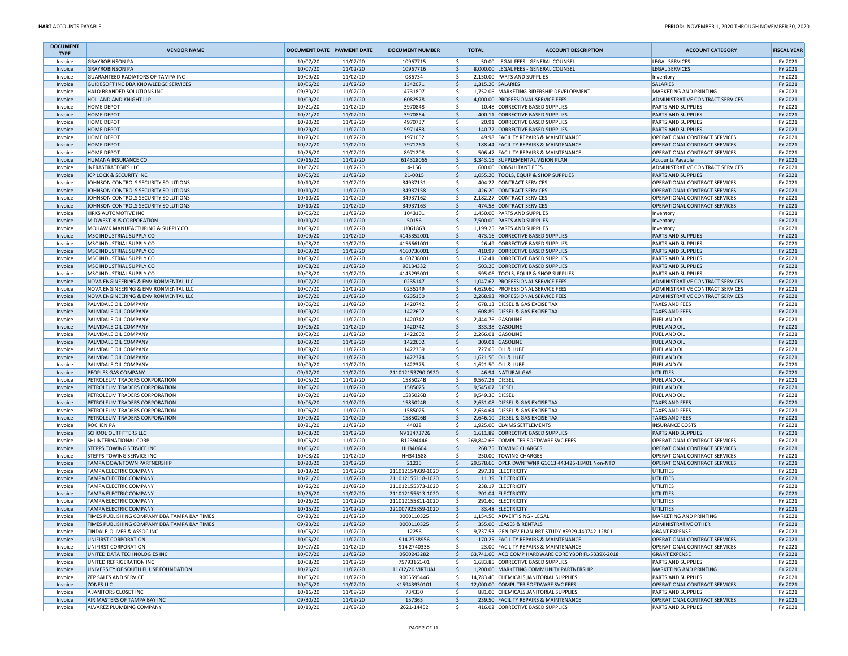| <b>DOCUMENT</b><br><b>TYPE</b> | <b>VENDOR NAME</b>                                                            | DOCUMENT DATE PAYMENT DATE |                      | <b>DOCUMENT NUMBER</b>          | <b>TOTAL</b>             | <b>ACCOUNT DESCRIPTION</b>                                                     | <b>ACCOUNT CATEGORY</b>                                    | <b>FISCAL YEAR</b> |
|--------------------------------|-------------------------------------------------------------------------------|----------------------------|----------------------|---------------------------------|--------------------------|--------------------------------------------------------------------------------|------------------------------------------------------------|--------------------|
| Invoice                        | <b>GRAYROBINSON PA</b>                                                        | 10/07/20                   | 11/02/20             | 10967715                        | -S                       | 50.00 LEGAL FEES - GENERAL COUNSEL                                             | <b>LEGAL SERVICES</b>                                      | FY 2021            |
| Invoice                        | <b>GRAYROBINSON PA</b>                                                        | 10/07/20                   | 11/02/20             | 10967716                        | ۱\$.                     | 8,000.00 LEGAL FEES - GENERAL COUNSEL                                          | <b>LEGAL SERVICES</b>                                      | FY 2021            |
| Invoice                        | <b>GUARANTEED RADIATORS OF TAMPA INC</b>                                      | 10/09/20                   | 11/02/20             | 086734                          | ۱\$                      | 2,150.00 PARTS AND SUPPLIES                                                    | Inventory                                                  | FY 2021            |
| Invoice                        | GUIDESOFT INC DBA KNOWLEDGE SERVICES                                          | 10/06/20                   | 11/02/20             | 1342071                         | ۱\$<br>1,315.20 SALARIES |                                                                                | <b>SALARIES</b>                                            | FY 2021            |
| Invoice                        | HALO BRANDED SOLUTIONS INC                                                    | 09/30/20<br>10/09/20       | 11/02/20<br>11/02/20 | 4731807<br>6082578              | ۱s<br>۱\$                | 1,752.06 MARKETING RIDERSHIP DEVELOPMENT<br>4,000.00 PROFESSIONAL SERVICE FEES | MARKETING AND PRINTING                                     | FY 2021<br>FY 2021 |
| Invoice<br>Invoice             | <b>HOLLAND AND KNIGHT LLP</b><br><b>HOME DEPOT</b>                            | 10/21/20                   | 11/02/20             | 3970848                         | S.                       | 10.48 CORRECTIVE BASED SUPPLIES                                                | ADMINISTRATIVE CONTRACT SERVICES<br>PARTS AND SUPPLIES     | FY 2021            |
| Invoice                        | <b>HOME DEPOT</b>                                                             | 10/21/20                   | 11/02/20             | 3970864                         | S,                       | 400.11 CORRECTIVE BASED SUPPLIES                                               | <b>PARTS AND SUPPLIES</b>                                  | FY 2021            |
| Invoice                        | <b>HOME DEPOT</b>                                                             | 10/20/20                   | 11/02/20             | 4970737                         | ۱\$                      | 20.91 CORRECTIVE BASED SUPPLIES                                                | <b>PARTS AND SUPPLIES</b>                                  | FY 2021            |
| Invoice                        | <b>HOME DEPOT</b>                                                             | 10/29/20                   | 11/02/20             | 5971483                         | S,                       | 140.72 CORRECTIVE BASED SUPPLIES                                               | <b>PARTS AND SUPPLIES</b>                                  | FY 2021            |
| Invoice                        | <b>HOME DEPOT</b>                                                             | 10/23/20                   | 11/02/20             | 1971052                         | ۱Ś                       | 49.98 FACILITY REPAIRS & MAINTENANCE                                           | OPERATIONAL CONTRACT SERVICES                              | FY 2021            |
| Invoice                        | <b>HOME DEPOT</b>                                                             | 10/27/20                   | 11/02/20             | 7971260                         | S.                       | 188.44 FACILITY REPAIRS & MAINTENANCE                                          | OPERATIONAL CONTRACT SERVICES                              | FY 2021            |
| Invoice                        | <b>HOME DEPOT</b>                                                             | 10/26/20                   | 11/02/20             | 8971208                         | -\$                      | 506.47 FACILITY REPAIRS & MAINTENANCE                                          | OPERATIONAL CONTRACT SERVICES                              | FY 2021            |
| Invoice                        | HUMANA INSURANCE CO                                                           | 09/16/20                   | 11/02/20             | 614318065                       | \$                       | 3,343.15 SUPPLEMENTAL VISION PLAN                                              | <b>Accounts Payable</b>                                    | FY 2021            |
| Invoice                        | <b>INFRASTRATEGIES LLC</b>                                                    | 10/07/20                   | 11/02/20             | 4-156                           | S,                       | 600.00 CONSULTANT FEES                                                         | ADMINISTRATIVE CONTRACT SERVICES                           | FY 2021            |
| Invoice                        | JCP LOCK & SECURITY INC                                                       | 10/05/20                   | 11/02/20             | 21-0015                         | ۱\$                      | 1,055.20 TOOLS, EQUIP & SHOP SUPPLIES                                          | <b>PARTS AND SUPPLIES</b>                                  | FY 2021            |
| Invoice                        | JOHNSON CONTROLS SECURITY SOLUTIONS                                           | 10/10/20                   | 11/02/20             | 34937131                        | S.                       | 404.22 CONTRACT SERVICES                                                       | OPERATIONAL CONTRACT SERVICES                              | FY 2021            |
| Invoice                        | JOHNSON CONTROLS SECURITY SOLUTIONS                                           | 10/10/20                   | 11/02/20             | 34937158                        | ۱\$                      | 426.20 CONTRACT SERVICES                                                       | OPERATIONAL CONTRACT SERVICES                              | FY 2021            |
| Invoice                        | JOHNSON CONTROLS SECURITY SOLUTIONS<br>JOHNSON CONTROLS SECURITY SOLUTIONS    | 10/10/20                   | 11/02/20             | 34937162                        | l\$.<br>۱\$              | 2.182.27 CONTRACT SERVICES<br>474.58 CONTRACT SERVICES                         | OPERATIONAL CONTRACT SERVICES                              | FY 2021            |
| Invoice                        | <b>KIRKS AUTOMOTIVE INC</b>                                                   | 10/10/20<br>10/06/20       | 11/02/20<br>11/02/20 | 34937163<br>1043101             | l\$                      | 1,450.00 PARTS AND SUPPLIES                                                    | OPERATIONAL CONTRACT SERVICES                              | FY 2021<br>FY 2021 |
| Invoice<br>Invoice             | MIDWEST BUS CORPORATION                                                       | 10/10/20                   | 11/02/20             | 50156                           | l\$                      | 7,500.00 PARTS AND SUPPLIES                                                    | Inventory<br>Inventory                                     | FY 2021            |
| Invoice                        | MOHAWK MANUFACTURING & SUPPLY CO                                              | 10/09/20                   | 11/02/20             | U061863                         | -S                       | 1,199.25 PARTS AND SUPPLIES                                                    | Inventory                                                  | FY 2021            |
| Invoice                        | MSC INDUSTRIAL SUPPLY CO                                                      | 10/09/20                   | 11/02/20             | 4145352001                      | ۱\$                      | 473.16 CORRECTIVE BASED SUPPLIES                                               | <b>PARTS AND SUPPLIES</b>                                  | FY 2021            |
| Invoice                        | MSC INDUSTRIAL SUPPLY CO                                                      | 10/08/20                   | 11/02/20             | 4156661001                      | ۱\$                      | 26.49 CORRECTIVE BASED SUPPLIES                                                | <b>PARTS AND SUPPLIES</b>                                  | FY 2021            |
| Invoice                        | MSC INDUSTRIAL SUPPLY CO                                                      | 10/09/20                   | 11/02/20             | 4160736001                      | S,                       | 410.97 CORRECTIVE BASED SUPPLIES                                               | <b>PARTS AND SUPPLIES</b>                                  | FY 2021            |
| Invoice                        | MSC INDUSTRIAL SUPPLY CO                                                      | 10/09/20                   | 11/02/20             | 4160738001                      | ١\$                      | 152.41 CORRECTIVE BASED SUPPLIES                                               | <b>PARTS AND SUPPLIES</b>                                  | FY 2021            |
| Invoice                        | MSC INDUSTRIAL SUPPLY CO                                                      | 10/08/20                   | 11/02/20             | 96134332                        | ۱\$                      | 503.26 CORRECTIVE BASED SUPPLIES                                               | PARTS AND SUPPLIES                                         | FY 2021            |
| Invoice                        | MSC INDUSTRIAL SUPPLY CO                                                      | 10/08/20                   | 11/02/20             | 4145295001                      | -S                       | 595.06 TOOLS, EQUIP & SHOP SUPPLIES                                            | <b>PARTS AND SUPPLIES</b>                                  | FY 2021            |
| Invoice                        | NOVA ENGINEERING & ENVIRONMENTAL LLC                                          | 10/07/20                   | 11/02/20             | 0235147                         | ۱\$                      | 1,047.62 PROFESSIONAL SERVICE FEES                                             | ADMINISTRATIVE CONTRACT SERVICES                           | FY 2021            |
| Invoice                        | NOVA ENGINEERING & ENVIRONMENTAL LLC                                          | 10/07/20                   | 11/02/20             | 0235149                         | ۱\$                      | 4,629.60 PROFESSIONAL SERVICE FEES                                             | ADMINISTRATIVE CONTRACT SERVICES                           | FY 2021            |
| Invoice                        | NOVA ENGINEERING & ENVIRONMENTAL LLC                                          | 10/07/20                   | 11/02/20             | 0235150                         | ۱\$                      | 2,268.93 PROFESSIONAL SERVICE FEES                                             | ADMINISTRATIVE CONTRACT SERVICES                           | FY 2021            |
| Invoice                        | PALMDALE OIL COMPANY                                                          | 10/06/20                   | 11/02/20             | 1420742                         | l \$                     | 678.13 DIESEL & GAS EXCISE TAX                                                 | <b>TAXES AND FEES</b>                                      | FY 2021            |
| Invoice                        | PALMDALE OIL COMPANY<br>PALMDALE OIL COMPANY                                  | 10/09/20                   | 11/02/20             | 1422602<br>1420742              | ۱\$<br>S.                | 608.89 DIESEL & GAS EXCISE TAX<br>2,444.76 GASOLINE                            | <b>TAXES AND FEES</b>                                      | FY 2021<br>FY 2021 |
| Invoice                        | PALMDALE OIL COMPANY                                                          | 10/06/20<br>10/06/20       | 11/02/20<br>11/02/20 | 1420742                         | l\$                      | 333.38 GASOLINE                                                                | FUEL AND OIL<br><b>FUEL AND OIL</b>                        | FY 2021            |
| Invoice<br>Invoice             | PALMDALE OIL COMPANY                                                          | 10/09/20                   | 11/02/20             | 1422602                         | <sub>S</sub>             | 2,266.01 GASOLINE                                                              | <b>FUEL AND OIL</b>                                        | FY 2021            |
| Invoice                        | PALMDALE OIL COMPANY                                                          | 10/09/20                   | 11/02/20             | 1422602                         | l\$                      | 309.01 GASOLINE                                                                | <b>FUEL AND OIL</b>                                        | FY 2021            |
| Invoice                        | PALMDALE OIL COMPANY                                                          | 10/09/20                   | 11/02/20             | 1422369                         | l\$                      | 727.65 OIL & LUBE                                                              | FUEL AND OIL                                               | FY 2021            |
| Invoice                        | PALMDALE OIL COMPANY                                                          | 10/09/20                   | 11/02/20             | 1422374                         | \$                       | 1,621.50 OIL & LUBE                                                            | <b>FUEL AND OIL</b>                                        | FY 2021            |
| Invoice                        | PALMDALE OIL COMPANY                                                          | 10/09/20                   | 11/02/20             | 1422375                         | ١\$                      | 1,621.50 OIL & LUBE                                                            | FUEL AND OIL                                               | FY 2021            |
| Invoice                        | PEOPLES GAS COMPANY                                                           | 09/17/20                   | 11/02/20             | 211012153790-0920               | l\$                      | 46.94 NATURAL GAS                                                              | <b>UTILITIES</b>                                           | FY 2021            |
| Invoice                        | PETROLEUM TRADERS CORPORATION                                                 | 10/05/20                   | 11/02/20             | 1585024B                        | ۱\$<br>9,567.28 DIESEL   |                                                                                | <b>FUEL AND OIL</b>                                        | FY 2021            |
| Invoice                        | PETROLEUM TRADERS CORPORATION                                                 | 10/06/20                   | 11/02/20             | 1585025                         | l \$<br>9,545.07 DIESEL  |                                                                                | <b>FUEL AND OIL</b>                                        | FY 2021            |
| Invoice                        | PETROLEUM TRADERS CORPORATION                                                 | 10/09/20                   | 11/02/20             | 1585026B                        | -S<br>9,549.36 DIESEL    |                                                                                | <b>FUEL AND OIL</b>                                        | FY 2021            |
| Invoice                        | PETROLEUM TRADERS CORPORATION                                                 | 10/05/20                   | 11/02/20             | 1585024B                        | ۱\$                      | 2,651.08 DIESEL & GAS EXCISE TAX                                               | <b>TAXES AND FEES</b>                                      | FY 2021            |
| Invoice<br>Invoice             | PETROLEUM TRADERS CORPORATION<br>PETROLEUM TRADERS CORPORATION                | 10/06/20<br>10/09/20       | 11/02/20<br>11/02/20 | 1585025<br>1585026B             | ۱\$<br>۱\$               | 2,654.64 DIESEL & GAS EXCISE TAX<br>2,646.10 DIESEL & GAS EXCISE TAX           | <b>TAXES AND FEES</b><br><b>TAXES AND FEES</b>             | FY 2021<br>FY 2021 |
| Invoice                        | <b>ROCHEN PA</b>                                                              | 10/21/20                   | 11/02/20             | 44028                           | -S                       | 1,925.00 CLAIMS SETTLEMENTS                                                    | <b>INSURANCE COSTS</b>                                     | FY 2021            |
| Invoice                        | <b>SCHOOL OUTFITTERS LLC</b>                                                  | 10/08/20                   | 11/02/20             | INV13473726                     | ۱\$                      | 1,611.89 CORRECTIVE BASED SUPPLIES                                             | PARTS AND SUPPLIES                                         | FY 2021            |
| Invoice                        | SHI INTERNATIONAL CORP                                                        | 10/05/20                   | 11/02/20             | B12394446                       | -\$                      | 269,842.66 COMPUTER SOFTWARE SVC FEES                                          | OPERATIONAL CONTRACT SERVICES                              | FY 2021            |
| Invoice                        | <b>STEPPS TOWING SERVICE INC</b>                                              | 10/06/20                   | 11/02/20             | HH340604                        | ۱\$                      | 268.75 TOWING CHARGES                                                          | OPERATIONAL CONTRACT SERVICES                              | FY 2021            |
| Invoice                        | STEPPS TOWING SERVICE INC                                                     | 10/08/20                   | 11/02/20             | HH341588                        | \$                       | 250.00 TOWING CHARGES                                                          | OPERATIONAL CONTRACT SERVICES                              | FY 2021            |
| Invoice                        | TAMPA DOWNTOWN PARTNERSHIP                                                    | 10/20/20                   | 11/02/20             | 21235                           | S,                       | 29,578.66 OPER DWNTWNR G1C13 443425-18401 Non-NTD                              | OPERATIONAL CONTRACT SERVICES                              | FY 2021            |
| Invoice                        | <b>TAMPA ELECTRIC COMPANY</b>                                                 | 10/19/20                   | 11/02/20             | 211012154939-1020               | ۱Ś                       | 297.31 ELECTRICITY                                                             | UTILITIES                                                  | FY 2021            |
| Invoice                        | <b>TAMPA ELECTRIC COMPANY</b>                                                 | 10/21/20                   | 11/02/20             | 211012155118-1020               | ۱\$                      | 11.39 ELECTRICITY                                                              | UTILITIES                                                  | FY 2021            |
| Invoice                        | <b>TAMPA ELECTRIC COMPANY</b>                                                 | 10/26/20                   | 11/02/20             | 211012155373-1020               | -S                       | 238.17 ELECTRICITY                                                             | UTILITIES                                                  | FY 2021            |
| Invoice                        | <b>TAMPA ELECTRIC COMPANY</b>                                                 | 10/26/20                   | 11/02/20             | 211012155613-1020               | ۱\$.                     | 201.04 ELECTRICITY                                                             | UTILITIES                                                  | FY 2021            |
| Invoice                        | <b>TAMPA ELECTRIC COMPANY</b>                                                 | 10/26/20                   | 11/02/20             | 211012155811-1020               | -S                       | 291.60 ELECTRICITY                                                             | UTILITIES<br>UTILITIES                                     | FY 2021<br>FY 2021 |
| Invoice<br>Invoice             | <b>TAMPA ELECTRIC COMPANY</b><br>TIMES PUBLISHING COMPANY DBA TAMPA BAY TIMES | 10/15/20<br>09/23/20       | 11/02/20<br>11/02/20 | 221007925359-1020<br>0000110325 | S,<br>Ŝ.                 | 83.48 ELECTRICITY<br>1,154.50 ADVERTISING - LEGAL                              | MARKETING AND PRINTING                                     | FY 2021            |
|                                | TIMES PUBLISHING COMPANY DBA TAMPA BAY TIMES                                  | 09/23/20                   | 11/02/20             | 0000110325                      |                          | 355.00 LEASES & RENTALS                                                        | ADMINISTRATIVE OTHER                                       | FY 2021            |
| <b>INVOICE</b><br>Invoice      | TINDALE-OLIVER & ASSOC INC                                                    | 10/05/20                   | 11/02/20             | 12256                           | ۱\$.                     | 9,737.53 GEN DEV PLAN-BRT STUDY AS929 440742-12801                             | <b>GRANT EXPENSE</b>                                       | FY 2021            |
| Invoice                        | UNIFIRST CORPORATION                                                          | 10/05/20                   | 11/02/20             | 914 2738956                     | \$                       | 170.25 FACILITY REPAIRS & MAINTENANCE                                          | OPERATIONAL CONTRACT SERVICES                              | FY 2021            |
| Invoice                        | UNIFIRST CORPORATION                                                          | 10/07/20                   | 11/02/20             | 914 2740338                     | S,                       | 23.00 FACILITY REPAIRS & MAINTENANCE                                           | OPERATIONAL CONTRACT SERVICES                              | FY 2021            |
| Invoice                        | UNITED DATA TECHNOLOGIES INC                                                  | 10/07/20                   | 11/02/20             | 0500243282                      | ۱\$.                     | 63,741.60 ACQ COMP HARDWARE CORE YBOR FL-5339X-2018                            | <b>GRANT EXPENSE</b>                                       | FY 2021            |
| Invoice                        | UNITED REFRIGERATION INC                                                      | 10/08/20                   | 11/02/20             | 75793161-01                     | S.                       | 1,683.85 CORRECTIVE BASED SUPPLIES                                             | PARTS AND SUPPLIES                                         | FY 2021            |
| Invoice                        | UNIVERSITY OF SOUTH FL USF FOUNDATION                                         | 10/26/20                   | 11/02/20             | 11/12/20 VIRTUAL                | S,                       | 1,200.00 MARKETING COMMUNITY PARTNERSHIP                                       | MARKETING AND PRINTING                                     | FY 2021            |
| Invoice                        | ZEP SALES AND SERVICE                                                         | 10/05/20                   | 11/02/20             | 9005595446                      | l\$.                     | 14,783.40 CHEMICALS, JANITORIAL SUPPLIES                                       | <b>PARTS AND SUPPLIES</b>                                  | FY 2021            |
| Invoice                        | <b>ZONES LLC</b>                                                              | 10/05/20                   | 11/02/20             | K15943930101                    | S,                       | 12,000.00 COMPUTER SOFTWARE SVC FEES                                           | OPERATIONAL CONTRACT SERVICES                              | FY 2021            |
| Invoice                        | A JANITORS CLOSET INC                                                         | 10/16/20                   | 11/09/20             | 734330                          | l\$.                     | 881.00 CHEMICALS, JANITORIAL SUPPLIES                                          | <b>PARTS AND SUPPLIES</b>                                  | FY 2021            |
| Invoice<br>Invoice             | AIR MASTERS OF TAMPA BAY INC<br>ALVAREZ PLUMBING COMPANY                      | 09/30/20<br>10/13/20       | 11/09/20             | 157363<br>2621-14452            | S.<br>S,                 | 239.50 FACILITY REPAIRS & MAINTENANCE<br>416.02 CORRECTIVE BASED SUPPLIES      | OPERATIONAL CONTRACT SERVICES<br><b>PARTS AND SUPPLIES</b> | FY 2021<br>FY 2021 |
|                                |                                                                               |                            | 11/09/20             |                                 |                          |                                                                                |                                                            |                    |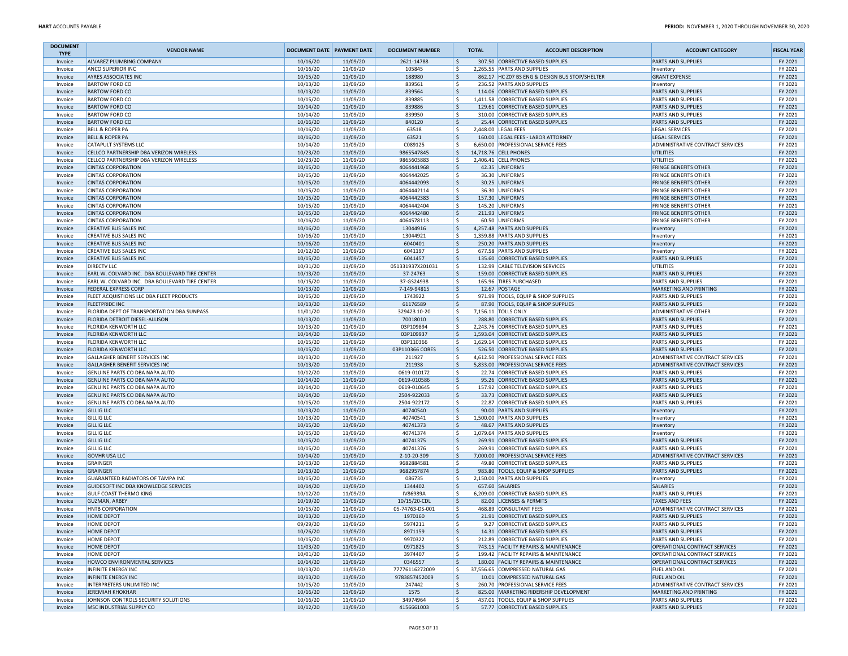| <b>DOCUMENT</b><br><b>TYPE</b> | <b>VENDOR NAME</b>                                                               | <b>DOCUMENT DATE PAYMENT DATE</b> |                      | <b>DOCUMENT NUMBER</b>          | <b>TOTAL</b> | <b>ACCOUNT DESCRIPTION</b>                                               | <b>ACCOUNT CATEGORY</b>                                 | <b>FISCAL YEAR</b> |
|--------------------------------|----------------------------------------------------------------------------------|-----------------------------------|----------------------|---------------------------------|--------------|--------------------------------------------------------------------------|---------------------------------------------------------|--------------------|
| Invoice                        | ALVAREZ PLUMBING COMPANY                                                         | 10/16/20                          | 11/09/20             | 2621-14788                      | S,           | 307.50 CORRECTIVE BASED SUPPLIES                                         | <b>PARTS AND SUPPLIES</b>                               | FY 2021            |
| Invoice                        | ANCO SUPERIOR INC                                                                | 10/16/20                          | 11/09/20             | 105845                          | l \$         | 2,265.55 PARTS AND SUPPLIES                                              | Inventory                                               | FY 2021            |
| Invoice                        | <b>AYRES ASSOCIATES INC</b>                                                      | 10/15/20                          | 11/09/20             | 188980                          | l \$<br>۱s   | 862.17 HC Z07 BS ENG & DESIGN BUS STOP/SHELTER                           | <b>GRANT EXPENSE</b>                                    | FY 2021            |
| Invoice<br>Invoice             | <b>BARTOW FORD CO</b><br><b>BARTOW FORD CO</b>                                   | 10/13/20<br>10/13/20              | 11/09/20<br>11/09/20 | 839561<br>839564                | l s          | 236.52 PARTS AND SUPPLIES<br>114.06 CORRECTIVE BASED SUPPLIES            | Inventory<br><b>PARTS AND SUPPLIES</b>                  | FY 2021<br>FY 2021 |
| Invoice                        | <b>BARTOW FORD CO</b>                                                            | 10/15/20                          | 11/09/20             | 839885                          | ۱s           | 1,411.58 CORRECTIVE BASED SUPPLIES                                       | <b>PARTS AND SUPPLIES</b>                               | FY 2021            |
| Invoice                        | <b>BARTOW FORD CO</b>                                                            | 10/14/20                          | 11/09/20             | 839886                          | ۱s           | 129.61 CORRECTIVE BASED SUPPLIES                                         | <b>PARTS AND SUPPLIES</b>                               | FY 2021            |
| Invoice                        | <b>BARTOW FORD CO</b>                                                            | 10/14/20                          | 11/09/20             | 839950                          | ۱\$.         | 310.00 CORRECTIVE BASED SUPPLIES                                         | PARTS AND SUPPLIES                                      | FY 2021            |
| Invoice                        | <b>BARTOW FORD CO</b>                                                            | 10/16/20                          | 11/09/20             | 840120                          | ۱\$.         | 25.44 CORRECTIVE BASED SUPPLIES                                          | <b>PARTS AND SUPPLIES</b>                               | FY 2021            |
| Invoice                        | <b>BELL &amp; ROPER PA</b>                                                       | 10/16/20                          | 11/09/20             | 63518                           | ۱\$.         | 2,448.00 LEGAL FEES                                                      | <b>LEGAL SERVICES</b>                                   | FY 2021            |
| Invoice                        | <b>BELL &amp; ROPER PA</b>                                                       | 10/16/20                          | 11/09/20             | 63521                           | l\$          | 160.00 LEGAL FEES - LABOR ATTORNEY                                       | <b>LEGAL SERVICES</b>                                   | FY 2021            |
| Invoice                        | CATAPULT SYSTEMS LLC                                                             | 10/14/20                          | 11/09/20             | C089125                         | ۱\$.         | 6,650.00 PROFESSIONAL SERVICE FEES                                       | ADMINISTRATIVE CONTRACT SERVICES                        | FY 2021            |
| Invoice                        | CELLCO PARTNERSHIP DBA VERIZON WIRELESS                                          | 10/23/20                          | 11/09/20             | 9865547845                      | S,           | 14,718.76 CELL PHONES                                                    | UTILITIES                                               | FY 2021            |
| Invoice                        | CELLCO PARTNERSHIP DBA VERIZON WIRELESS<br><b>CINTAS CORPORATION</b>             | 10/23/20<br>10/15/20              | 11/09/20<br>11/09/20 | 9865605883<br>4064441968        | ۱s<br>S,     | 2,406.41 CELL PHONES<br>42.35 UNIFORMS                                   | UTILITIES<br><b>FRINGE BENEFITS OTHER</b>               | FY 2021<br>FY 2021 |
| Invoice<br>Invoice             | <b>CINTAS CORPORATION</b>                                                        | 10/15/20                          | 11/09/20             | 4064442025                      | l \$         | 36.30 UNIFORMS                                                           | <b>FRINGE BENEFITS OTHER</b>                            | FY 2021            |
| Invoice                        | <b>CINTAS CORPORATION</b>                                                        | 10/15/20                          | 11/09/20             | 4064442093                      | S,           | 30.25 UNIFORMS                                                           | <b>FRINGE BENEFITS OTHER</b>                            | FY 2021            |
| Invoice                        | <b>CINTAS CORPORATION</b>                                                        | 10/15/20                          | 11/09/20             | 4064442114                      | ۱s           | 36.30 UNIFORMS                                                           | <b>FRINGE BENEFITS OTHER</b>                            | FY 2021            |
| Invoice                        | <b>CINTAS CORPORATION</b>                                                        | 10/15/20                          | 11/09/20             | 4064442383                      | S,           | 157.30 UNIFORMS                                                          | <b>FRINGE BENEFITS OTHER</b>                            | FY 2021            |
| Invoice                        | <b>CINTAS CORPORATION</b>                                                        | 10/15/20                          | 11/09/20             | 4064442404                      | ۱ś           | 145.20 UNIFORMS                                                          | <b>FRINGE BENEFITS OTHER</b>                            | FY 2021            |
| Invoice                        | <b>CINTAS CORPORATION</b>                                                        | 10/15/20                          | 11/09/20             | 4064442480                      | ١\$          | 211.93 UNIFORMS                                                          | <b>FRINGE BENEFITS OTHER</b>                            | FY 2021            |
| Invoice                        | <b>CINTAS CORPORATION</b>                                                        | 10/16/20                          | 11/09/20             | 4064578113                      | l \$         | 60.50 UNIFORMS                                                           | <b>FRINGE BENEFITS OTHER</b>                            | FY 2021            |
| Invoice                        | <b>CREATIVE BUS SALES INC</b>                                                    | 10/16/20                          | 11/09/20             | 13044916                        | S,           | 4,257.48 PARTS AND SUPPLIES                                              | Inventory                                               | FY 2021            |
| Invoice                        | <b>CREATIVE BUS SALES INC</b>                                                    | 10/16/20                          | 11/09/20             | 13044921                        | ۱\$.         | 1,359.88 PARTS AND SUPPLIES                                              | Inventory                                               | FY 2021            |
| Invoice                        | <b>CREATIVE BUS SALES INC</b>                                                    | 10/16/20<br>10/12/20              | 11/09/20             | 6040401<br>6041197              | l\$<br>۱s    | 250.20 PARTS AND SUPPLIES<br>677.58 PARTS AND SUPPLIES                   | Inventory                                               | FY 2021<br>FY 2021 |
| Invoice<br>Invoice             | <b>CREATIVE BUS SALES INC</b><br><b>CREATIVE BUS SALES INC</b>                   | 10/15/20                          | 11/09/20<br>11/09/20 | 6041457                         | l \$         | 135.60 CORRECTIVE BASED SUPPLIES                                         | Inventory<br><b>PARTS AND SUPPLIES</b>                  | FY 2021            |
| Invoice                        | <b>DIRECTV LLC</b>                                                               | 10/31/20                          | 11/09/20             | 051331937X201031                | ۱s           | 132.99 CABLE TELEVISION SERVICES                                         | UTILITIES                                               | FY 2021            |
| Invoice                        | EARL W. COLVARD INC. DBA BOULEVARD TIRE CENTER                                   | 10/13/20                          | 11/09/20             | 37-24763                        | ۱s           | 159.00 CORRECTIVE BASED SUPPLIES                                         | <b>PARTS AND SUPPLIES</b>                               | FY 2021            |
| Invoice                        | EARL W. COLVARD INC. DBA BOULEVARD TIRE CENTER                                   | 10/15/20                          | 11/09/20             | 37-GS24938                      | l\$          | 165.96 TIRES PURCHASED                                                   | PARTS AND SUPPLIES                                      | FY 2021            |
| Invoice                        | <b>FEDERAL EXPRESS CORP</b>                                                      | 10/13/20                          | 11/09/20             | 7-149-94815                     | ۱\$.         | 12.67 POSTAGE                                                            | MARKETING AND PRINTING                                  | FY 2021            |
| Invoice                        | FLEET ACQUISTIONS LLC DBA FLEET PRODUCTS                                         | 10/15/20                          | 11/09/20             | 1743922                         | ۱s           | 971.99 TOOLS, EQUIP & SHOP SUPPLIES                                      | <b>PARTS AND SUPPLIES</b>                               | FY 2021            |
| Invoice                        | <b>FLEETPRIDE INC</b>                                                            | 10/13/20                          | 11/09/20             | 61176589                        | S,           | 87.90 TOOLS, EQUIP & SHOP SUPPLIES                                       | <b>PARTS AND SUPPLIES</b>                               | FY 2021            |
| Invoice                        | FLORIDA DEPT OF TRANSPORTATION DBA SUNPASS                                       | 11/01/20                          | 11/09/20             | 329423 10-20                    | l\$          | 7,156.11 TOLLS ONLY                                                      | <b>ADMINISTRATIVE OTHER</b>                             | FY 2021            |
| Invoice                        | <b>FLORIDA DETROIT DIESEL-ALLISON</b>                                            | 10/13/20                          | 11/09/20             | 70018010                        | l s          | 288.80 CORRECTIVE BASED SUPPLIES                                         | <b>PARTS AND SUPPLIES</b>                               | FY 2021            |
| Invoice                        | <b>FLORIDA KENWORTH LLC</b><br><b>FLORIDA KENWORTH LLC</b>                       | 10/13/20<br>10/14/20              | 11/09/20<br>11/09/20 | 03P109894<br>03P109937          | l \$<br>١\$  | 2,243.76 CORRECTIVE BASED SUPPLIES<br>1,593.04 CORRECTIVE BASED SUPPLIES | <b>PARTS AND SUPPLIES</b><br><b>PARTS AND SUPPLIES</b>  | FY 2021<br>FY 2021 |
| Invoice<br>Invoice             | <b>FLORIDA KENWORTH LLC</b>                                                      | 10/15/20                          | 11/09/20             | 03P110366                       | l \$         | 1.629.14 CORRECTIVE BASED SUPPLIES                                       | <b>PARTS AND SUPPLIES</b>                               | FY 2021            |
| Invoice                        | <b>FLORIDA KENWORTH LLC</b>                                                      | 10/15/20                          | 11/09/20             | 03P110366 CORES                 | ۱ś           | 526.50 CORRECTIVE BASED SUPPLIES                                         | <b>PARTS AND SUPPLIES</b>                               | FY 2021            |
| Invoice                        | <b>GALLAGHER BENEFIT SERVICES INC</b>                                            | 10/13/20                          | 11/09/20             | 211927                          | ۱\$.         | 4,612.50 PROFESSIONAL SERVICE FEES                                       | ADMINISTRATIVE CONTRACT SERVICES                        | FY 2021            |
| Invoice                        | GALLAGHER BENEFIT SERVICES INC                                                   | 10/13/20                          | 11/09/20             | 211938                          | ۱\$.         | 5,833.00 PROFESSIONAL SERVICE FEES                                       | ADMINISTRATIVE CONTRACT SERVICES                        | FY 2021            |
| Invoice                        | GENUINE PARTS CO DBA NAPA AUTO                                                   | 10/12/20                          | 11/09/20             | 0619-010172                     | l \$         | 22.74 CORRECTIVE BASED SUPPLIES                                          | <b>PARTS AND SUPPLIES</b>                               | FY 2021            |
| Invoice                        | GENUINE PARTS CO DBA NAPA AUTO                                                   | 10/14/20                          | 11/09/20             | 0619-010586                     | l\$          | 95.26 CORRECTIVE BASED SUPPLIES                                          | <b>PARTS AND SUPPLIES</b>                               | FY 2021            |
| Invoice                        | GENUINE PARTS CO DBA NAPA AUTO                                                   | 10/14/20                          | 11/09/20             | 0619-010645                     | l \$         | 157.92 CORRECTIVE BASED SUPPLIES                                         | <b>PARTS AND SUPPLIES</b>                               | FY 2021            |
| Invoice                        | GENUINE PARTS CO DBA NAPA AUTO                                                   | 10/14/20                          | 11/09/20             | 2504-922033                     | l \$         | 33.73 CORRECTIVE BASED SUPPLIES                                          | <b>PARTS AND SUPPLIES</b>                               | FY 2021            |
| Invoice                        | GENUINE PARTS CO DBA NAPA AUTO<br><b>GILLIG LLC</b>                              | 10/15/20<br>10/13/20              | 11/09/20<br>11/09/20 | 2504-922172<br>40740540         | ۱\$.<br>l\$  | 22.87 CORRECTIVE BASED SUPPLIES<br>90.00 PARTS AND SUPPLIES              | PARTS AND SUPPLIES                                      | FY 2021<br>FY 2021 |
| Invoice<br>Invoice             | <b>GILLIG LLC</b>                                                                | 10/13/20                          | 11/09/20             | 40740541                        | ۱\$.         | 1,500.00 PARTS AND SUPPLIES                                              | Inventory<br>Inventory                                  | FY 2021            |
| Invoice                        | <b>GILLIG LLC</b>                                                                | 10/15/20                          | 11/09/20             | 40741373                        | ١\$          | 48.67 PARTS AND SUPPLIES                                                 | Inventory                                               | FY 2021            |
| Invoice                        | <b>GILLIG LLC</b>                                                                | 10/15/20                          | 11/09/20             | 40741374                        | ۱s           | 1,079.64 PARTS AND SUPPLIES                                              | Inventory                                               | FY 2021            |
| Invoice                        | <b>GILLIG LLC</b>                                                                | 10/15/20                          | 11/09/20             | 40741375                        | ۱\$          | 269.91 CORRECTIVE BASED SUPPLIES                                         | <b>PARTS AND SUPPLIES</b>                               | FY 2021            |
| Invoice                        | <b>GILLIG LLC</b>                                                                | 10/15/20                          | 11/09/20             | 40741376                        | ۱\$.         | 269.91 CORRECTIVE BASED SUPPLIES                                         | <b>PARTS AND SUPPLIES</b>                               | FY 2021            |
| Invoice                        | <b>GOVHR USA LLC</b>                                                             | 10/14/20                          | 11/09/20             | 2-10-20-309                     | l\$          | 7,000.00 PROFESSIONAL SERVICE FEES                                       | ADMINISTRATIVE CONTRACT SERVICES                        | FY 2021            |
| Invoice                        | GRAINGER                                                                         | 10/13/20                          | 11/09/20             | 9682884581                      | l \$         | 49.80 CORRECTIVE BASED SUPPLIES                                          | <b>PARTS AND SUPPLIES</b>                               | FY 2021            |
| Invoice                        | GRAINGER                                                                         | 10/13/20                          | 11/09/20             | 9682957874                      | l\$          | 983.80 TOOLS, EQUIP & SHOP SUPPLIES                                      | <b>PARTS AND SUPPLIES</b>                               | FY 2021            |
| Invoice                        | <b>GUARANTEED RADIATORS OF TAMPA INC</b><br>GUIDESOFT INC DBA KNOWLEDGE SERVICES | 10/15/20                          | 11/09/20             | 086735                          | ۱s           | 2,150.00 PARTS AND SUPPLIES<br>657.60 SALARIES                           | Inventory                                               | FY 2021            |
| Invoice<br>Invoice             | <b>GULF COAST THERMO KING</b>                                                    | 10/14/20<br>10/12/20              | 11/09/20<br>11/09/20 | 1344402<br>IV86989A             | ۱s<br>۱\$.   | 6,209.00 CORRECTIVE BASED SUPPLIES                                       | <b>SALARIES</b><br>PARTS AND SUPPLIES                   | FY 2021<br>FY 2021 |
| Invoice                        | <b>GUZMAN, ARBEY</b>                                                             | 10/19/20                          | 11/09/20             | 10/15/20-CDL                    | l\$          | 82.00 LICENSES & PERMITS                                                 | <b>TAXES AND FEES</b>                                   | FY 2021            |
| Invoice                        | <b>HNTB CORPORATION</b>                                                          | 10/15/20                          | 11/09/20             | 05-74763-DS-001                 | l \$         | 468.89 CONSULTANT FEES                                                   | ADMINISTRATIVE CONTRACT SERVICES                        | FY 2021            |
| Invoice                        | <b>HOME DEPOT</b>                                                                | 10/13/20                          | 11/09/20             | 1970160                         | l \$         | 21.91 CORRECTIVE BASED SUPPLIES                                          | <b>PARTS AND SUPPLIES</b>                               | FY 2021            |
| Invoice                        | HOME DEPOI                                                                       | 09/29/20                          | 11/09/20             | 5974211                         |              | 9.27 CORRECTIVE BASED SUPPLIES                                           | PARTS AND SUPPLIES                                      | FY 2021            |
| Invoice                        | <b>HOME DEPOT</b>                                                                | 10/26/20                          | 11/09/20             | 8971159                         | l\$          | 14.31 CORRECTIVE BASED SUPPLIES                                          | <b>PARTS AND SUPPLIES</b>                               | FY 2021            |
| Invoice                        | HOME DEPOT                                                                       | 10/15/20                          | 11/09/20             | 9970322                         | l \$         | 212.89 CORRECTIVE BASED SUPPLIES                                         | <b>PARTS AND SUPPLIES</b>                               | FY 2021            |
| Invoice                        | <b>HOME DEPOT</b>                                                                | 11/03/20                          | 11/09/20             | 0971825                         | ١\$          | 743.15 FACILITY REPAIRS & MAINTENANCE                                    | OPERATIONAL CONTRACT SERVICES                           | FY 2021            |
| Invoice                        | <b>HOME DEPOT</b>                                                                | 10/01/20                          | 11/09/20             | 3974407                         | ۱\$.         | 199.42 FACILITY REPAIRS & MAINTENANCE                                    | OPERATIONAL CONTRACT SERVICES                           | FY 2021            |
| Invoice                        | HOWCO ENVIRONMENTAL SERVICES                                                     | 10/14/20                          | 11/09/20             | 0346557                         | l\$          | 180.00 FACILITY REPAIRS & MAINTENANCE                                    | OPERATIONAL CONTRACT SERVICES                           | FY 2021            |
| Invoice                        | <b>INFINITE ENERGY INC</b>                                                       | 10/13/20                          | 11/09/20             | 77776116272009<br>9783857452009 | ۱\$.         | 37,556.65 COMPRESSED NATURAL GAS                                         | <b>FUEL AND OIL</b>                                     | FY 2021            |
| Invoice<br>Invoice             | <b>INFINITE ENERGY INC</b><br>INTERPRETERS UNLIMITED INC                         | 10/13/20<br>10/15/20              | 11/09/20<br>11/09/20 | 247442                          | S,<br>l \$   | 10.01 COMPRESSED NATURAL GAS<br>260.70 PROFESSIONAL SERVICE FEES         | <b>FUEL AND OIL</b><br>ADMINISTRATIVE CONTRACT SERVICES | FY 2021<br>FY 2021 |
| Invoice                        | JEREMIAH KHOKHAR                                                                 | 10/16/20                          | 11/09/20             | 1575                            | l\$          | 825.00 MARKETING RIDERSHIP DEVELOPMENT                                   | MARKETING AND PRINTING                                  | FY 2021            |
| Invoice                        | JOHNSON CONTROLS SECURITY SOLUTIONS                                              | 10/16/20                          | 11/09/20             | 34974964                        | l \$         | 437.01 TOOLS, EQUIP & SHOP SUPPLIES                                      | PARTS AND SUPPLIES                                      | FY 2021            |
| Invoice                        | MSC INDUSTRIAL SUPPLY CO                                                         | 10/12/20                          | 11/09/20             | 4156661003                      | ∣\$          | 57.77 CORRECTIVE BASED SUPPLIES                                          | PARTS AND SUPPLIES                                      | FY 2021            |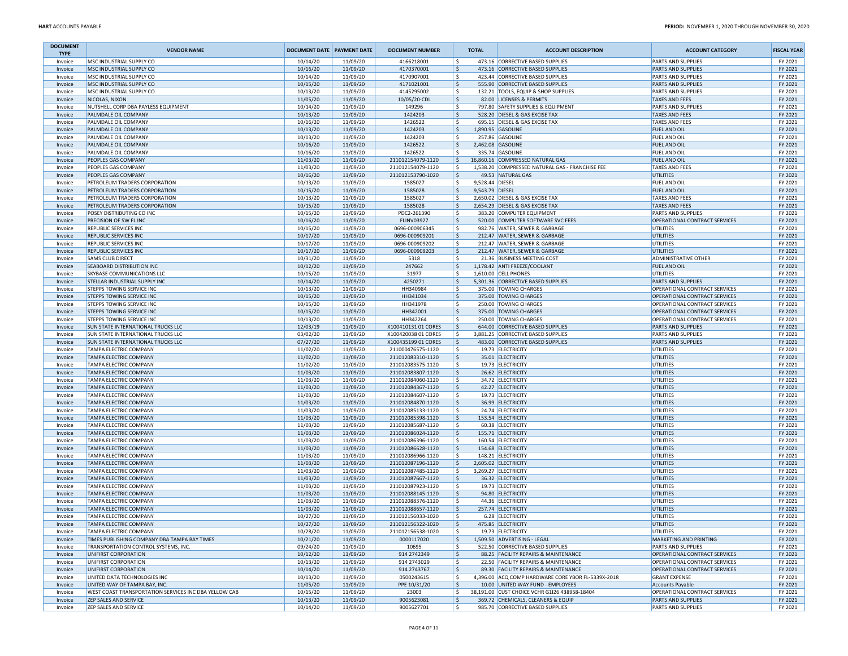| <b>DOCUMENT</b><br><b>TYPE</b> | <b>VENDOR NAME</b>                                                              | <b>DOCUMENT DATE PAYMENT DATE</b> |                      | <b>DOCUMENT NUMBER</b>                     | <b>TOTAL</b> | <b>ACCOUNT DESCRIPTION</b>                                                                 | <b>ACCOUNT CATEGORY</b>                                | <b>FISCAL YEAR</b> |
|--------------------------------|---------------------------------------------------------------------------------|-----------------------------------|----------------------|--------------------------------------------|--------------|--------------------------------------------------------------------------------------------|--------------------------------------------------------|--------------------|
| Invoice                        | MSC INDUSTRIAL SUPPLY CO                                                        | 10/14/20                          | 11/09/20             | 4166218001                                 | ١\$          | 473.16 CORRECTIVE BASED SUPPLIES                                                           | PARTS AND SUPPLIES                                     | FY 2021            |
| Invoice                        | MSC INDUSTRIAL SUPPLY CO                                                        | 10/16/20                          | 11/09/20             | 4170370001                                 | l \$         | 473.16 CORRECTIVE BASED SUPPLIES                                                           | <b>PARTS AND SUPPLIES</b>                              | FY 2021            |
| Invoice                        | MSC INDUSTRIAL SUPPLY CO                                                        | 10/14/20                          | 11/09/20             | 4170907001                                 | ١s           | 423.44 CORRECTIVE BASED SUPPLIES                                                           | PARTS AND SUPPLIES                                     | FY 2021            |
| Invoice                        | <b>MSC INDUSTRIAL SUPPLY CO</b><br>MSC INDUSTRIAL SUPPLY CO                     | 10/15/20<br>10/13/20              | 11/09/20<br>11/09/20 | 4171021001<br>4145295002                   | l \$<br>١\$  | 555.90 CORRECTIVE BASED SUPPLIES<br>132.21 TOOLS, EQUIP & SHOP SUPPLIES                    | <b>PARTS AND SUPPLIES</b><br>PARTS AND SUPPLIES        | FY 2021<br>FY 2021 |
| Invoice<br>Invoice             | NICOLAS, NIXON                                                                  | 11/05/20                          | 11/09/20             | 10/05/20-CDL                               | l\$          | 82.00 LICENSES & PERMITS                                                                   | <b>TAXES AND FEES</b>                                  | FY 2021            |
| Invoice                        | NUTSHELL CORP DBA PAYLESS EQUIPMENT                                             | 10/14/20                          | 11/09/20             | 149296                                     | l\$          | 797.80 SAFETY SUPPLIES & EQUIPMENT                                                         | PARTS AND SUPPLIES                                     | FY 2021            |
| Invoice                        | PALMDALE OIL COMPANY                                                            | 10/13/20                          | 11/09/20             | 1424203                                    | ا \$         | 528.20 DIESEL & GAS EXCISE TAX                                                             | <b>TAXES AND FEES</b>                                  | FY 2021            |
| Invoice                        | PALMDALE OIL COMPANY                                                            | 10/16/20                          | 11/09/20             | 1426522                                    | ١\$          | 695.15 DIESEL & GAS EXCISE TAX                                                             | <b>TAXES AND FEES</b>                                  | FY 2021            |
| Invoice                        | PALMDALE OIL COMPANY                                                            | 10/13/20                          | 11/09/20             | 1424203                                    | l\$          | 1,890.95 GASOLINE                                                                          | <b>FUEL AND OIL</b>                                    | FY 2021            |
| Invoice                        | PALMDALE OIL COMPANY                                                            | 10/13/20                          | 11/09/20             | 1424203                                    | ۱s           | 257.86 GASOLINE                                                                            | FUEL AND OIL                                           | FY 2021            |
| Invoice                        | PALMDALE OIL COMPANY                                                            | 10/16/20                          | 11/09/20             | 1426522                                    | ١\$          | 2,462.08 GASOLINE                                                                          | <b>FUEL AND OIL</b>                                    | FY 2021            |
| Invoice                        | PALMDALE OIL COMPANY                                                            | 10/16/20                          | 11/09/20             | 1426522                                    | l \$         | 335.74 GASOLINE                                                                            | FUEL AND OIL                                           | FY 2021            |
| Invoice                        | PEOPLES GAS COMPANY<br>PEOPLES GAS COMPANY                                      | 11/03/20                          | 11/09/20             | 211012154079-1120                          | ls.          | 16,860.16 COMPRESSED NATURAL GAS<br>1,538.20 COMPRESSED NATURAL GAS - FRANCHISE FEE        | <b>FUEL AND OIL</b>                                    | FY 2021            |
| Invoice<br>Invoice             | PEOPLES GAS COMPANY                                                             | 11/03/20<br>10/16/20              | 11/09/20<br>11/09/20 | 211012154079-1120<br>211012153790-1020     | ١\$<br>  \$  | 49.53 NATURAL GAS                                                                          | <b>TAXES AND FEES</b><br><b>UTILITIES</b>              | FY 2021<br>FY 2021 |
| Invoice                        | PETROLEUM TRADERS CORPORATION                                                   | 10/13/20                          | 11/09/20             | 1585027                                    | ١s           | 9,528.44 DIESEL                                                                            | <b>FUEL AND OIL</b>                                    | FY 2021            |
| Invoice                        | PETROLEUM TRADERS CORPORATION                                                   | 10/15/20                          | 11/09/20             | 1585028                                    | ١\$          | 9,543.79 DIESEL                                                                            | <b>FUEL AND OIL</b>                                    | FY 2021            |
| Invoice                        | PETROLEUM TRADERS CORPORATION                                                   | 10/13/20                          | 11/09/20             | 1585027                                    | ١\$          | 2,650.02 DIESEL & GAS EXCISE TAX                                                           | TAXES AND FEES                                         | FY 2021            |
| Invoice                        | PETROLEUM TRADERS CORPORATION                                                   | 10/15/20                          | 11/09/20             | 1585028                                    | l \$         | 2,654.29 DIESEL & GAS EXCISE TAX                                                           | <b>TAXES AND FEES</b>                                  | FY 2021            |
| Invoice                        | POSEY DISTRIBUTING CO INC                                                       | 10/15/20                          | 11/09/20             | PDC2-261390                                | l \$         | 383.20 COMPUTER EQUIPMENT                                                                  | <b>PARTS AND SUPPLIES</b>                              | FY 2021            |
| Invoice                        | PRECISION OF SW FL INC                                                          | 10/16/20                          | 11/09/20             | <b>FLINV03927</b>                          | ١ś           | 520.00 COMPUTER SOFTWARE SVC FEES                                                          | OPERATIONAL CONTRACT SERVICES                          | FY 2021            |
| Invoice                        | REPUBLIC SERVICES INC                                                           | 10/15/20                          | 11/09/20             | 0696-000906345                             | ۱\$.         | 982.76 WATER, SEWER & GARBAGE                                                              | <b>UTILITIES</b>                                       | FY 2021            |
| Invoice                        | <b>REPUBLIC SERVICES INC</b>                                                    | 10/17/20                          | 11/09/20             | 0696-000909201                             | l\$          | 212.47 WATER, SEWER & GARBAGE                                                              | <b>UTILITIES</b>                                       | FY 2021            |
| Invoice                        | REPUBLIC SERVICES INC                                                           | 10/17/20                          | 11/09/20             | 0696-000909202                             | ١\$<br>١\$   | 212.47 WATER, SEWER & GARBAGE                                                              | UTILITIES<br>UTILITIES                                 | FY 2021            |
| Invoice<br>Invoice             | REPUBLIC SERVICES INC<br><b>SAMS CLUB DIRECT</b>                                | 10/17/20<br>10/31/20              | 11/09/20<br>11/09/20 | 0696-000909203<br>5318                     | ١s           | 212.47 WATER, SEWER & GARBAGE<br>21.36 BUSINESS MEETING COST                               | <b>ADMINISTRATIVE OTHER</b>                            | FY 2021<br>FY 2021 |
| Invoice                        | <b>SEABOARD DISTRIBUTION INC</b>                                                | 10/12/20                          | 11/09/20             | 247662                                     | ١s           | 1,178.42 ANTI FREEZE/COOLANT                                                               | <b>FUEL AND OIL</b>                                    | FY 2021            |
| Invoice                        | SKYBASE COMMUNICATIONS LLC                                                      | 10/15/20                          | 11/09/20             | 31977                                      | ١s           | 1,610.00 CELL PHONES                                                                       | UTILITIES                                              | FY 2021            |
| Invoice                        | STELLAR INDUSTRIAL SUPPLY INC                                                   | 10/14/20                          | 11/09/20             | 4250271                                    | ١\$          | 5,301.36 CORRECTIVE BASED SUPPLIES                                                         | PARTS AND SUPPLIES                                     | FY 2021            |
| Invoice                        | <b>STEPPS TOWING SERVICE INC</b>                                                | 10/13/20                          | 11/09/20             | HH340984                                   | ۱\$.         | 375.00 TOWING CHARGES                                                                      | OPERATIONAL CONTRACT SERVICES                          | FY 2021            |
| Invoice                        | <b>STEPPS TOWING SERVICE INC</b>                                                | 10/15/20                          | 11/09/20             | HH341034                                   | ١\$          | 375.00 TOWING CHARGES                                                                      | OPERATIONAL CONTRACT SERVICES                          | FY 2021            |
| Invoice                        | STEPPS TOWING SERVICE INC                                                       | 10/15/20                          | 11/09/20             | HH341978                                   | ١\$          | 250.00 TOWING CHARGES                                                                      | OPERATIONAL CONTRACT SERVICES                          | FY 2021            |
| Invoice                        | <b>STEPPS TOWING SERVICE INC</b>                                                | 10/15/20                          | 11/09/20             | HH342001                                   | ١\$          | 375.00 TOWING CHARGES                                                                      | OPERATIONAL CONTRACT SERVICES                          | FY 2021            |
| Invoice                        | <b>STEPPS TOWING SERVICE INC</b>                                                | 10/13/20                          | 11/09/20             | HH342264                                   | l\$          | 250.00 TOWING CHARGES                                                                      | OPERATIONAL CONTRACT SERVICES                          | FY 2021            |
| Invoice                        | SUN STATE INTERNATIONAL TRUCKS LLC<br><b>SUN STATE INTERNATIONAL TRUCKS LLC</b> | 12/03/19<br>03/02/20              | 11/09/20<br>11/09/20 | X100410131 01 CORES<br>X100420038 01 CORES | ١s<br>١\$    | 644.00 CORRECTIVE BASED SUPPLIES<br>3,881.25 CORRECTIVE BASED SUPPLIES                     | <b>PARTS AND SUPPLIES</b><br><b>PARTS AND SUPPLIES</b> | FY 2021<br>FY 2021 |
| Invoice<br>Invoice             | <b>SUN STATE INTERNATIONAL TRUCKS LLC</b>                                       | 07/27/20                          | 11/09/20             | X100435199 01 CORES                        | l \$         | 483.00 CORRECTIVE BASED SUPPLIES                                                           | <b>PARTS AND SUPPLIES</b>                              | FY 2021            |
| Invoice                        | <b>TAMPA ELECTRIC COMPANY</b>                                                   | 11/02/20                          | 11/09/20             | 211000476575-1120                          | ١s           | 19.73 ELECTRICITY                                                                          | UTILITIES                                              | FY 2021            |
| Invoice                        | <b>TAMPA ELECTRIC COMPANY</b>                                                   | 11/02/20                          | 11/09/20             | 211012083310-1120                          | l\$          | 35.01 ELECTRICITY                                                                          | UTILITIES                                              | FY 2021            |
| Invoice                        | TAMPA ELECTRIC COMPANY                                                          | 11/02/20                          | 11/09/20             | 211012083575-1120                          | l \$         | 19.73 ELECTRICITY                                                                          | UTILITIES                                              | FY 2021            |
| Invoice                        | <b>TAMPA ELECTRIC COMPANY</b>                                                   | 11/03/20                          | 11/09/20             | 211012083807-1120                          | l\$          | 26.62 ELECTRICITY                                                                          | <b>UTILITIES</b>                                       | FY 2021            |
| Invoice                        | <b>TAMPA ELECTRIC COMPANY</b>                                                   | 11/03/20                          | 11/09/20             | 211012084060-1120                          | ١s           | 34.72 ELECTRICITY                                                                          | UTILITIES                                              | FY 2021            |
| Invoice                        | <b>TAMPA ELECTRIC COMPANY</b>                                                   | 11/03/20                          | 11/09/20             | 211012084367-1120                          | ١\$          | 42.27 ELECTRICITY                                                                          | <b>UTILITIES</b>                                       | FY 2021            |
| Invoice                        | <b>TAMPA ELECTRIC COMPANY</b>                                                   | 11/03/20                          | 11/09/20             | 211012084607-1120                          | ١\$          | 19.73 ELECTRICITY                                                                          | UTILITIES                                              | FY 2021            |
| Invoice                        | <b>TAMPA ELECTRIC COMPANY</b>                                                   | 11/03/20                          | 11/09/20             | 211012084870-1120                          | l\$<br>١\$   | 36.99 ELECTRICITY                                                                          | <b>UTILITIES</b>                                       | FY 2021            |
| Invoice<br>Invoice             | TAMPA ELECTRIC COMPANY<br><b>TAMPA ELECTRIC COMPANY</b>                         | 11/03/20<br>11/03/20              | 11/09/20<br>11/09/20 | 211012085133-1120<br>211012085398-1120     | l\$          | 24.74 ELECTRICITY<br>153.54 ELECTRICITY                                                    | UTILITIES<br><b>UTILITIES</b>                          | FY 2021<br>FY 2021 |
| Invoice                        | <b>TAMPA ELECTRIC COMPANY</b>                                                   | 11/03/20                          | 11/09/20             | 211012085687-1120                          | ١s           | 60.38 ELECTRICITY                                                                          | UTILITIES                                              | FY 2021            |
| Invoice                        | <b>TAMPA ELECTRIC COMPANY</b>                                                   | 11/03/20                          | 11/09/20             | 211012086024-1120                          | ١\$          | 155.71 ELECTRICITY                                                                         | <b>UTILITIES</b>                                       | FY 2021            |
| Invoice                        | <b>TAMPA ELECTRIC COMPANY</b>                                                   | 11/03/20                          | 11/09/20             | 211012086396-1120                          | ١\$          | 160.54 ELECTRICITY                                                                         | UTILITIES                                              | FY 2021            |
| Invoice                        | <b>TAMPA ELECTRIC COMPANY</b>                                                   | 11/03/20                          | 11/09/20             | 211012086628-1120                          | l\$          | 154.68 ELECTRICITY                                                                         | UTILITIES                                              | FY 2021            |
| Invoice                        | TAMPA ELECTRIC COMPANY                                                          | 11/03/20                          | 11/09/20             | 211012086966-1120                          | ١s           | 148.21 ELECTRICITY                                                                         | UTILITIES                                              | FY 2021            |
| Invoice                        | <b>TAMPA ELECTRIC COMPANY</b>                                                   | 11/03/20                          | 11/09/20             | 211012087196-1120                          | l \$         | 2,605.02 ELECTRICITY                                                                       | <b>UTILITIES</b>                                       | FY 2021            |
| Invoice                        | <b>TAMPA ELECTRIC COMPANY</b>                                                   | 11/03/20                          | 11/09/20             | 211012087485-1120                          | ١\$          | 3,269.27 ELECTRICITY                                                                       | UTILITIES                                              | FY 2021            |
| Invoice                        | <b>TAMPA ELECTRIC COMPANY</b>                                                   | 11/03/20                          | 11/09/20             | 211012087667-1120                          | l\$          | 36.32 ELECTRICITY                                                                          | <b>UTILITIES</b>                                       | FY 2021            |
| Invoice                        | TAMPA ELECTRIC COMPANY                                                          | 11/03/20<br>11/03/20              | 11/09/20<br>11/09/20 | 211012087923-1120<br>211012088145-1120     | ١s<br>١\$    | 19.73 ELECTRICITY                                                                          | UTILITIES                                              | FY 2021<br>FY 2021 |
| Invoice<br>Invoice             | <b>TAMPA ELECTRIC COMPANY</b><br>TAMPA ELECTRIC COMPANY                         | 11/03/20                          | 11/09/20             | 211012088376-1120                          | ١\$          | 94.80 ELECTRICITY<br>44.36 ELECTRICITY                                                     | <b>UTILITIES</b><br>UTILITIES                          | FY 2021            |
| Invoice                        | <b>TAMPA ELECTRIC COMPANY</b>                                                   | 11/03/20                          | 11/09/20             | 211012088657-1120                          | ١s           | 257.74 ELECTRICITY                                                                         | <b>UTILITIES</b>                                       | FY 2021            |
| Invoice                        | <b>TAMPA ELECTRIC COMPANY</b>                                                   | 10/27/20                          | 11/09/20             | 211012156033-1020                          | ۱s           | 6.28 ELECTRICITY                                                                           | UTILITIES                                              | FY 2021            |
| Invoice                        | TAMPA ELECTRIC COMPANY                                                          | 10/27/20                          | 11/09/20             | 211012156322-1020                          | IS.          | 475.85 ELECTRICITY                                                                         | UTILITIES                                              | FY 2021            |
| Invoice                        | <b>TAMPA ELECTRIC COMPANY</b>                                                   | 10/28/20                          | 11/09/20             | 211012156538-1020                          | I\$          | 19.73 ELECTRICITY                                                                          | UTILITIES                                              | FY 2021            |
| Invoice                        | TIMES PUBLISHING COMPANY DBA TAMPA BAY TIMES                                    | 10/21/20                          | 11/09/20             | 0000117020                                 | ١s           | 1.509.50 ADVERTISING - LEGAL                                                               | <b>MARKETING AND PRINTING</b>                          | FY 2021            |
| Invoice                        | TRANSPORTATION CONTROL SYSTEMS, INC.                                            | 09/24/20                          | 11/09/20             | 10695                                      | ۱\$.         | 522.50 CORRECTIVE BASED SUPPLIES                                                           | <b>PARTS AND SUPPLIES</b>                              | FY 2021            |
| Invoice                        | UNIFIRST CORPORATION                                                            | 10/12/20                          | 11/09/20             | 914 274 2349                               | \$           | 88.25 FACILITY REPAIRS & MAINTENANCE                                                       | OPERATIONAL CONTRACT SERVICES                          | FY 2021            |
| Invoice                        | UNIFIRST CORPORATION                                                            | 10/13/20                          | 11/09/20             | 914 274 3029                               | ۱\$.         | 22.50 FACILITY REPAIRS & MAINTENANCE                                                       | OPERATIONAL CONTRACT SERVICES                          | FY 2021            |
| Invoice                        | UNIFIRST CORPORATION                                                            | 10/14/20                          | 11/09/20<br>11/09/20 | 914 2743767                                | ۱\$.<br>١\$  | 89.30 FACILITY REPAIRS & MAINTENANCE<br>4,396.00 ACQ COMP HARDWARE CORE YBOR FL-5339X-2018 | OPERATIONAL CONTRACT SERVICES                          | FY 2021            |
| Invoice<br>Invoice             | UNITED DATA TECHNOLOGIES INC<br>UNITED WAY OF TAMPA BAY, INC.                   | 10/13/20<br>11/05/20              | 11/09/20             | 0500243615<br>PPE 10/31/20                 | ۱\$          | 10.00 UNITED WAY FUND - EMPLOYEES                                                          | <b>GRANT EXPENSE</b><br>Accounts Payable               | FY 2021<br>FY 2021 |
| Invoice                        | WEST COAST TRANSPORTATION SERVICES INC DBA YELLOW CAB                           | 10/15/20                          | 11/09/20             | 23003                                      | l\$          | 38,191.00 CUST CHOICE VCHR G1I26 438958-18404                                              | OPERATIONAL CONTRACT SERVICES                          | FY 2021            |
| Invoice                        | <b>ZEP SALES AND SERVICE</b>                                                    | 10/13/20                          | 11/09/20             | 9005623081                                 | ١s           | 369.72 CHEMICALS, CLEANERS & EQUIP                                                         | <b>PARTS AND SUPPLIES</b>                              | FY 2021            |
| Invoice                        | <b>ZEP SALES AND SERVICE</b>                                                    | 10/14/20                          | 11/09/20             | 9005627701                                 | l s          | 985.70 CORRECTIVE BASED SUPPLIES                                                           | <b>PARTS AND SUPPLIES</b>                              | FY 2021            |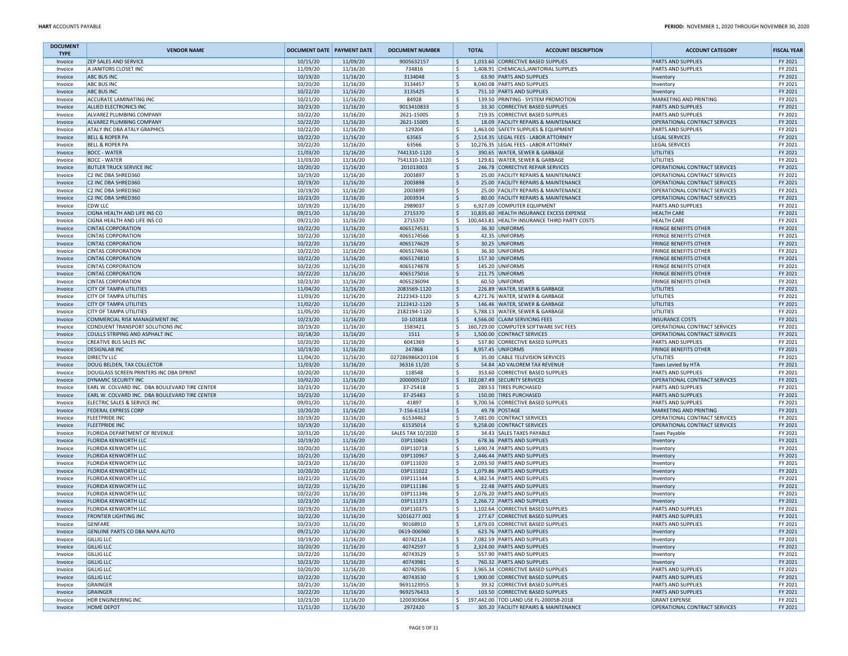| <b>DOCUMENT</b><br><b>TYPE</b> | <b>VENDOR NAME</b>                                                    | <b>DOCUMENT DATE PAYMENT DATE</b> |                      | <b>DOCUMENT NUMBER</b>   | <b>TOTAL</b> | <b>ACCOUNT DESCRIPTION</b>                                                | <b>ACCOUNT CATEGORY</b>                                        | <b>FISCAL YEAR</b> |
|--------------------------------|-----------------------------------------------------------------------|-----------------------------------|----------------------|--------------------------|--------------|---------------------------------------------------------------------------|----------------------------------------------------------------|--------------------|
| Invoice                        | <b>ZEP SALES AND SERVICE</b>                                          | 10/15/20                          | 11/09/20             | 9005632157               | S,           | 1,033.60 CORRECTIVE BASED SUPPLIES                                        | <b>PARTS AND SUPPLIES</b>                                      | FY 2021            |
| Invoice                        | A JANITORS CLOSET INC                                                 | 11/09/20                          | 11/16/20             | 734816                   | ۱\$          | 1,408.91 CHEMICALS, JANITORIAL SUPPLIES                                   | <b>PARTS AND SUPPLIES</b>                                      | FY 2021            |
| Invoice                        | <b>ABC BUS INC</b>                                                    | 10/19/20                          | 11/16/20             | 3134048                  | ۱\$<br>۱\$   | 63.90 PARTS AND SUPPLIES                                                  | Inventory                                                      | FY 2021            |
| Invoice<br>Invoice             | <b>ABC BUS INC</b><br><b>ABC BUS INC</b>                              | 10/20/20<br>10/22/20              | 11/16/20<br>11/16/20 | 3134457<br>3135425       | ۱\$          | 8,040.08 PARTS AND SUPPLIES<br>751.10 PARTS AND SUPPLIES                  | Inventory                                                      | FY 2021<br>FY 2021 |
| Invoice                        | <b>ACCURATE LAMINATING INC</b>                                        | 10/21/20                          | 11/16/20             | 84928                    | ۱\$          | 139.50 PRINTING - SYSTEM PROMOTION                                        | Inventory<br>MARKETING AND PRINTING                            | FY 2021            |
| Invoice                        | <b>ALLIED ELECTRONICS INC</b>                                         | 10/23/20                          | 11/16/20             | 9013410833               | l\$          | 33.30 CORRECTIVE BASED SUPPLIES                                           | PARTS AND SUPPLIES                                             | FY 2021            |
| Invoice                        | ALVAREZ PLUMBING COMPANY                                              | 10/22/20                          | 11/16/20             | 2621-15005               | ۱\$          | 719.35 CORRECTIVE BASED SUPPLIES                                          | PARTS AND SUPPLIES                                             | FY 2021            |
| Invoice                        | ALVAREZ PLUMBING COMPANY                                              | 10/22/20                          | 11/16/20             | 2621-15005               | ۱\$.         | 18.09 FACILITY REPAIRS & MAINTENANCE                                      | OPERATIONAL CONTRACT SERVICES                                  | FY 2021            |
| Invoice                        | <b>ATALY INC DBA ATALY GRAPHICS</b>                                   | 10/22/20                          | 11/16/20             | 129204                   | ١\$          | 1,463.00 SAFETY SUPPLIES & EQUIPMENT                                      | <b>PARTS AND SUPPLIES</b>                                      | FY 2021            |
| Invoice                        | <b>BELL &amp; ROPER PA</b>                                            | 10/22/20                          | 11/16/20             | 63565                    | l\$          | 2,514.35 LEGAL FEES - LABOR ATTORNEY                                      | <b>LEGAL SERVICES</b>                                          | FY 2021            |
| Invoice                        | <b>BELL &amp; ROPER PA</b>                                            | 10/22/20                          | 11/16/20             | 63566                    | ۱\$          | 10,276.35 LEGAL FEES - LABOR ATTORNEY                                     | LEGAL SERVICES                                                 | FY 2021            |
| Invoice                        | <b>BOCC - WATER</b>                                                   | 11/03/20                          | 11/16/20             | 7441310-1120             | ١\$          | 390.65 WATER, SEWER & GARBAGE                                             | <b>UTILITIES</b>                                               | FY 2021            |
| Invoice                        | <b>BOCC - WATER</b>                                                   | 11/03/20                          | 11/16/20             | 7541310-1120             | l\$          | 129.81 WATER, SEWER & GARBAGE                                             | UTILITIES                                                      | FY 2021            |
| Invoice<br>Invoice             | <b>BUTLER TRUCK SERVICE INC</b><br>C2 INC DBA SHRED360                | 10/20/20<br>10/19/20              | 11/16/20<br>11/16/20 | 201013003<br>2003897     | ١\$<br>l\$.  | 246.78 CORRECTIVE REPAIR SERVICES<br>25.00 FACILITY REPAIRS & MAINTENANCE | OPERATIONAL CONTRACT SERVICES<br>OPERATIONAL CONTRACT SERVICES | FY 2021<br>FY 2021 |
| Invoice                        | C2 INC DBA SHRED360                                                   | 10/19/20                          | 11/16/20             | 2003898                  | ۱\$          | 25.00 FACILITY REPAIRS & MAINTENANCE                                      | OPERATIONAL CONTRACT SERVICES                                  | FY 2021            |
| Invoice                        | C2 INC DBA SHRED360                                                   | 10/19/20                          | 11/16/20             | 2003899                  | ۱\$          | 25.00 FACILITY REPAIRS & MAINTENANCE                                      | OPERATIONAL CONTRACT SERVICES                                  | FY 2021            |
| Invoice                        | C2 INC DBA SHRED360                                                   | 10/23/20                          | 11/16/20             | 2003934                  | ۱\$          | 80.00 FACILITY REPAIRS & MAINTENANCE                                      | OPERATIONAL CONTRACT SERVICES                                  | FY 2021            |
| Invoice                        | <b>CDW LLC</b>                                                        | 10/19/20                          | 11/16/20             | 2989037                  | l \$         | 6,927.09 COMPUTER EQUIPMENT                                               | PARTS AND SUPPLIES                                             | FY 2021            |
| Invoice                        | CIGNA HEALTH AND LIFE INS CO                                          | 09/21/20                          | 11/16/20             | 2715370                  | S,           | 10,835.60 HEALTH INSURANCE EXCESS EXPENSE                                 | <b>HEALTH CARE</b>                                             | FY 2021            |
| Invoice                        | CIGNA HEALTH AND LIFE INS CO                                          | 09/21/20                          | 11/16/20             | 2715370                  | l\$.         | 100,443.81 HEALTH INSURANCE THIRD PARTY COSTS                             | <b>HEALTH CARE</b>                                             | FY 2021            |
| Invoice                        | <b>CINTAS CORPORATION</b>                                             | 10/22/20                          | 11/16/20             | 4065174531               | l\$          | 36.30 UNIFORMS                                                            | <b>FRINGE BENEFITS OTHER</b>                                   | FY 2021            |
| Invoice                        | <b>CINTAS CORPORATION</b>                                             | 10/22/20                          | 11/16/20             | 4065174566               | ١\$          | 42.35 UNIFORMS                                                            | <b>FRINGE BENEFITS OTHER</b>                                   | FY 2021            |
| Invoice                        | <b>CINTAS CORPORATION</b>                                             | 10/22/20                          | 11/16/20             | 4065174629               | ۱\$          | 30.25 UNIFORMS                                                            | <b>FRINGE BENEFITS OTHER</b>                                   | FY 2021            |
| Invoice                        | <b>CINTAS CORPORATION</b>                                             | 10/22/20                          | 11/16/20             | 4065174636               | ۱\$          | 36.30 UNIFORMS                                                            | <b>FRINGE BENEFITS OTHER</b>                                   | FY 2021            |
| Invoice                        | <b>CINTAS CORPORATION</b>                                             | 10/22/20                          | 11/16/20             | 4065174810               | ۱\$.         | 157.30 UNIFORMS                                                           | <b>FRINGE BENEFITS OTHER</b>                                   | FY 2021            |
| Invoice                        | <b>CINTAS CORPORATION</b>                                             | 10/22/20                          | 11/16/20             | 4065174878               | ۱\$          | 145.20 UNIFORMS                                                           | <b>FRINGE BENEFITS OTHER</b>                                   | FY 2021            |
| Invoice                        | <b>CINTAS CORPORATION</b><br><b>CINTAS CORPORATION</b>                | 10/22/20                          | 11/16/20             | 4065175016<br>4065236094 | ۱\$          | 211.75 UNIFORMS<br>60.50 UNIFORMS                                         | <b>FRINGE BENEFITS OTHER</b><br><b>FRINGE BENEFITS OTHER</b>   | FY 2021<br>FY 2021 |
| Invoice<br>Invoice             | <b>CITY OF TAMPA UTILITIES</b>                                        | 10/23/20<br>11/04/20              | 11/16/20<br>11/16/20 | 2083569-1120             | ۱\$<br>۱\$   | 226.89 WATER, SEWER & GARBAGE                                             | <b>UTILITIES</b>                                               | FY 2021            |
| Invoice                        | <b>CITY OF TAMPA UTILITIES</b>                                        | 11/03/20                          | 11/16/20             | 2122343-1120             | ۱\$          | 4,271.76 WATER, SEWER & GARBAGE                                           | UTILITIES                                                      | FY 2021            |
| Invoice                        | <b>CITY OF TAMPA UTILITIES</b>                                        | 11/02/20                          | 11/16/20             | 2122412-1120             | l\$          | 146.46 WATER, SEWER & GARBAGE                                             | <b>UTILITIES</b>                                               | FY 2021            |
| Invoice                        | <b>CITY OF TAMPA UTILITIES</b>                                        | 11/05/20                          | 11/16/20             | 2182194-1120             | ١\$          | 5,788.13 WATER, SEWER & GARBAGE                                           | <b>UTILITIES</b>                                               | FY 2021            |
| Invoice                        | <b>COMMERCIAL RISK MANAGEMENT INC</b>                                 | 10/23/20                          | 11/16/20             | 10-101818                | l\$          | 4,566.00 CLAIM SERVICING FEES                                             | <b>INSURANCE COSTS</b>                                         | FY 2021            |
| Invoice                        | CONDUENT TRANSPORT SOLUTIONS INC                                      | 10/19/20                          | 11/16/20             | 1583421                  | S,           | 160,729.00 COMPUTER SOFTWARE SVC FEES                                     | OPERATIONAL CONTRACT SERVICES                                  | FY 2021            |
| Invoice                        | COULLS STRIPING AND ASPHALT INC                                       | 10/18/20                          | 11/16/20             | 1511                     | ۱\$          | 1,500.00 CONTRACT SERVICES                                                | OPERATIONAL CONTRACT SERVICES                                  | FY 2021            |
| Invoice                        | <b>CREATIVE BUS SALES INC</b>                                         | 10/20/20                          | 11/16/20             | 6041369                  | ۱\$          | 537.80 CORRECTIVE BASED SUPPLIES                                          | <b>PARTS AND SUPPLIES</b>                                      | FY 2021            |
| Invoice                        | <b>DESIGNLAB INC</b>                                                  | 10/19/20                          | 11/16/20             | 247868                   | ۱\$          | 8,957.45 UNIFORMS                                                         | <b>FRINGE BENEFITS OTHER</b>                                   | FY 2021            |
| Invoice                        | <b>DIRECTV LLC</b>                                                    | 11/04/20                          | 11/16/20             | 027286986X201104         | ۱\$          | 35.00 CABLE TELEVISION SERVICES                                           | <b>UTILITIES</b>                                               | FY 2021            |
| Invoice                        | DOUG BELDEN, TAX COLLECTOR<br>DOUGLASS SCREEN PRINTERS INC DBA DPRINT | 11/03/20<br>10/20/20              | 11/16/20             | 36316 11/20<br>118548    | ١\$<br>۱\$   | 54.84 AD VALOREM TAX REVENUE<br>353.60 CORRECTIVE BASED SUPPLIES          | Taxes Levied by HTA                                            | FY 2021<br>FY 2021 |
| Invoice<br>Invoice             | <b>DYNAMIC SECURITY INC</b>                                           | 10/02/20                          | 11/16/20<br>11/16/20 | 2000005107               |              | \$ 102,087.49 SECURITY SERVICES                                           | <b>PARTS AND SUPPLIES</b><br>OPERATIONAL CONTRACT SERVICES     | FY 2021            |
| Invoice                        | EARL W. COLVARD INC. DBA BOULEVARD TIRE CENTER                        | 10/23/20                          | 11/16/20             | 37-25418                 | ۱\$          | 289.53 TIRES PURCHASED                                                    | PARTS AND SUPPLIES                                             | FY 2021            |
| Invoice                        | EARL W. COLVARD INC. DBA BOULEVARD TIRE CENTER                        | 10/23/20                          | 11/16/20             | 37-25483                 | ۱Ś           | 150.00 TIRES PURCHASED                                                    | PARTS AND SUPPLIES                                             | FY 2021            |
| Invoice                        | ELECTRIC SALES & SERVICE INC                                          | 09/01/20                          | 11/16/20             | 41897                    | ۱\$          | 9,700.56 CORRECTIVE BASED SUPPLIES                                        | <b>PARTS AND SUPPLIES</b>                                      | FY 2021            |
| Invoice                        | <b>FEDERAL EXPRESS CORP</b>                                           | 10/20/20                          | 11/16/20             | 7-156-61154              | ۱\$          | 49.78 POSTAGE                                                             | MARKETING AND PRINTING                                         | FY 2021            |
| Invoice                        | <b>FLEETPRIDE INC</b>                                                 | 10/19/20                          | 11/16/20             | 61534462                 | ۱\$          | 7,481.00 CONTRACT SERVICES                                                | OPERATIONAL CONTRACT SERVICES                                  | FY 2021            |
| Invoice                        | <b>FLEETPRIDE INC</b>                                                 | 10/19/20                          | 11/16/20             | 61535014                 | ۱\$          | 9,258.00 CONTRACT SERVICES                                                | OPERATIONAL CONTRACT SERVICES                                  | FY 2021            |
| Invoice                        | FLORIDA DEPARTMENT OF REVENUE                                         | 10/31/20                          | 11/16/20             | <b>SALES TAX 10/2020</b> | ۱s           | 34.43 SALES TAXES PAYABLE                                                 | Taxes Payable                                                  | FY 2021            |
| Invoice                        | <b>FLORIDA KENWORTH LLC</b>                                           | 10/19/20                          | 11/16/20             | 03P110603                | ۱\$          | 678.36 PARTS AND SUPPLIES                                                 | Inventory                                                      | FY 2021            |
| Invoice                        | <b>FLORIDA KENWORTH LLC</b><br><b>FLORIDA KENWORTH LLC</b>            | 10/20/20<br>10/21/20              | 11/16/20<br>11/16/20 | 03P110718                | ۱\$<br>۱\$   | 1,690.74 PARTS AND SUPPLIES<br>2.446.44 PARTS AND SUPPLIES                | Inventory                                                      | FY 2021<br>FY 2021 |
| Invoice<br>Invoice             | <b>FLORIDA KENWORTH LLC</b>                                           | 10/23/20                          | 11/16/20             | 03P110967<br>03P111020   | ۱\$          | 2,093.50 PARTS AND SUPPLIES                                               | Inventory<br>Inventory                                         | FY 2021            |
| Invoice                        | <b>FLORIDA KENWORTH LLC</b>                                           | 10/20/20                          | 11/16/20             | 03P111022                | ١\$          | 1,079.86 PARTS AND SUPPLIES                                               | Inventory                                                      | FY 2021            |
| Invoice                        | <b>FLORIDA KENWORTH LLC</b>                                           | 10/21/20                          | 11/16/20             | 03P111144                | ۱\$          | 4,382.54 PARTS AND SUPPLIES                                               | Inventory                                                      | FY 2021            |
| Invoice                        | <b>FLORIDA KENWORTH LLC</b>                                           | 10/22/20                          | 11/16/20             | 03P111186                | ۱\$          | 22.48 PARTS AND SUPPLIES                                                  | Inventory                                                      | FY 2021            |
| Invoice                        | <b>FLORIDA KENWORTH LLC</b>                                           | 10/22/20                          | 11/16/20             | 03P111346                | ۱\$          | 2,076.20 PARTS AND SUPPLIES                                               | Inventory                                                      | FY 2021            |
| Invoice                        | <b>FLORIDA KENWORTH LLC</b>                                           | 10/23/20                          | 11/16/20             | 03P111373                | ۱\$          | 2.266.72 PARTS AND SUPPLIES                                               | Inventory                                                      | FY 2021            |
| Invoice                        | <b>FLORIDA KENWORTH LLC</b>                                           | 10/19/20                          | 11/16/20             | 03P110375                | ۱\$          | 1,102.64 CORRECTIVE BASED SUPPLIES                                        | PARTS AND SUPPLIES                                             | FY 2021            |
| Invoice                        | <b>FRONTIER LIGHTING INC</b>                                          | 10/22/20                          | 11/16/20             | S2016277.002             | ۱\$          | 277.67 CORRECTIVE BASED SUPPLIES                                          | <b>PARTS AND SUPPLIES</b>                                      | FY 2021            |
| Invoice                        | GENFARE                                                               | 10/23/20                          | 11/16/20             | 90168910                 |              | 1,879.03 CORRECTIVE BASED SUPPLIES                                        | PARTS AND SUPPLIES                                             | FY 2021            |
| Invoice<br>Invoice             | GENUINE PARTS CO DBA NAPA AUTO                                        | 09/21/20<br>10/19/20              | 11/16/20<br>11/16/20 | 0619-006960<br>40742124  | ۱\$.<br>۱\$  | 623.76 PARTS AND SUPPLIES<br>7,082.59 PARTS AND SUPPLIES                  | Inventory                                                      | FY 2021<br>FY 2021 |
| Invoice                        | <b>GILLIG LLC</b><br><b>GILLIG LLC</b>                                | 10/20/20                          | 11/16/20             | 40742597                 | ۱\$.         | 2,324.00 PARTS AND SUPPLIES                                               | Inventory<br>Inventory                                         | FY 2021            |
| Invoice                        | <b>GILLIG LLC</b>                                                     | 10/22/20                          | 11/16/20             | 40743529                 | l\$.         | 557.90 PARTS AND SUPPLIES                                                 | Inventory                                                      | FY 2021            |
| Invoice                        | <b>GILLIG LLC</b>                                                     | 10/23/20                          | 11/16/20             | 40743981                 | ۱\$          | 760.32 PARTS AND SUPPLIES                                                 | Inventory                                                      | FY 2021            |
| Invoice                        | <b>GILLIG LLC</b>                                                     | 10/20/20                          | 11/16/20             | 40742596                 | ۱\$          | 3,965.34 CORRECTIVE BASED SUPPLIES                                        | PARTS AND SUPPLIES                                             | FY 2021            |
| Invoice                        | <b>GILLIG LLC</b>                                                     | 10/22/20                          | 11/16/20             | 40743530                 | ۱\$          | 1,900.00 CORRECTIVE BASED SUPPLIES                                        | <b>PARTS AND SUPPLIES</b>                                      | FY 2021            |
| Invoice                        | GRAINGER                                                              | 10/21/20                          | 11/16/20             | 9691123955               | l s          | 39.32 CORRECTIVE BASED SUPPLIES                                           | PARTS AND SUPPLIES                                             | FY 2021            |
| Invoice                        | GRAINGER                                                              | 10/22/20                          | 11/16/20             | 9692576433               | ۱\$          | 103.50 CORRECTIVE BASED SUPPLIES                                          | <b>PARTS AND SUPPLIES</b>                                      | FY 2021            |
| Invoice                        | HDR ENGINEERING INC                                                   | 10/23/20                          | 11/16/20             | 1200303064               | S.           | 197,442.00 TOD LAND USE FL-20005B-2018                                    | <b>GRANT EXPENSE</b>                                           | FY 2021            |
| Invoice                        | <b>HOME DEPOT</b>                                                     | 11/11/20                          | 11/16/20             | 2972420                  | l \$         | 305.20 FACILITY REPAIRS & MAINTENANCE                                     | <b>OPERATIONAL CONTRACT SERVICES</b>                           | FY 2021            |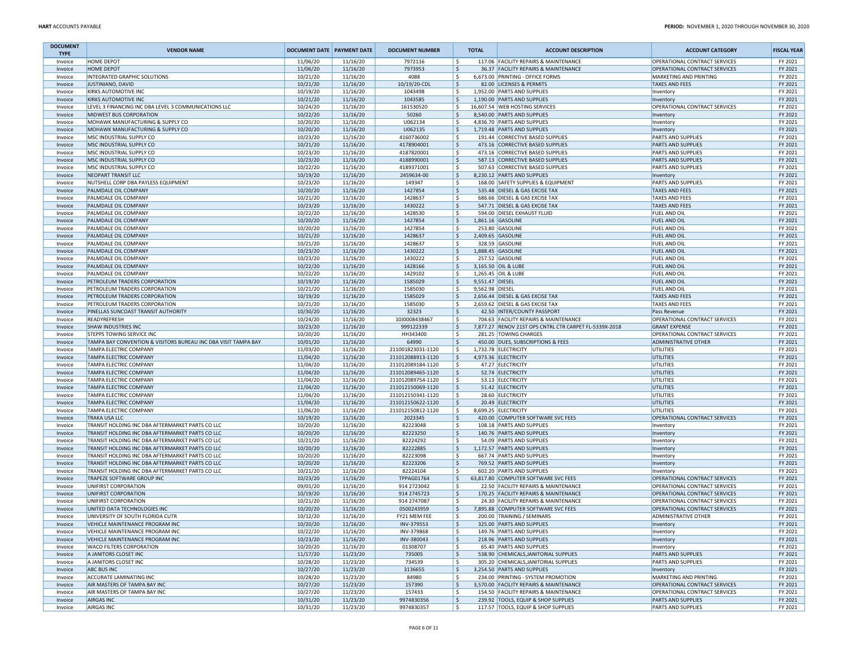| <b>DOCUMENT</b><br><b>TYPE</b> | <b>VENDOR NAME</b>                                                 | <b>DOCUMENT DATE   PAYMENT DATE</b> |                      | <b>DOCUMENT NUMBER</b>                 |            | <b>TOTAL</b>    | <b>ACCOUNT DESCRIPTION</b>                                        | <b>ACCOUNT CATEGORY</b>                    | <b>FISCAL YEAR</b> |
|--------------------------------|--------------------------------------------------------------------|-------------------------------------|----------------------|----------------------------------------|------------|-----------------|-------------------------------------------------------------------|--------------------------------------------|--------------------|
| Invoice                        | HOME DEPOT                                                         | 11/06/20                            | 11/16/20             | 7972116                                | l\$        |                 | 117.06 FACILITY REPAIRS & MAINTENANCE                             | OPERATIONAL CONTRACT SERVICES              | FY 2021            |
| Invoice                        | HOME DEPOT                                                         | 11/06/20                            | 11/16/20             | 7973953                                | ١\$        |                 | 36.37 FACILITY REPAIRS & MAINTENANCE                              | OPERATIONAL CONTRACT SERVICES              | FY 2021            |
| Invoice                        | INTEGRATED GRAPHIC SOLUTIONS                                       | 10/21/20                            | 11/16/20             | 4088                                   | ١\$        |                 | 6,673.00 PRINTING - OFFICE FORMS                                  | MARKETING AND PRINTING                     | FY 2021            |
| Invoice                        | JUSTINIANO, DAVID                                                  | 10/21/20                            | 11/16/20             | 10/19/20-CDL                           | ۱\$        |                 | 82.00 LICENSES & PERMITS                                          | <b>TAXES AND FEES</b>                      | FY 2021            |
| Invoice<br>Invoice             | KIRKS AUTOMOTIVE INC<br><b>KIRKS AUTOMOTIVE INC</b>                | 10/19/20<br>10/21/20                | 11/16/20<br>11/16/20 | 1043498<br>1043585                     | ١s<br>l\$  |                 | 1,952.00 PARTS AND SUPPLIES<br>1,190.00 PARTS AND SUPPLIES        | Inventory<br>Inventory                     | FY 2021<br>FY 2021 |
| Invoice                        | LEVEL 3 FINANCING INC DBA LEVEL 3 COMMUNICATIONS LLC               | 10/24/20                            | 11/16/20             | 161530520                              | l\$        |                 | 16,607.54 WEB HOSTING SERVICES                                    | OPERATIONAL CONTRACT SERVICES              | FY 2021            |
| Invoice                        | MIDWEST BUS CORPORATION                                            | 10/22/20                            | 11/16/20             | 50260                                  | ١\$        |                 | 8,540.00 PARTS AND SUPPLIES                                       | Inventory                                  | FY 2021            |
| Invoice                        | MOHAWK MANUFACTURING & SUPPLY CO                                   | 10/20/20                            | 11/16/20             | U062134                                | ١\$        |                 | 4,836.70 PARTS AND SUPPLIES                                       | Inventory                                  | FY 2021            |
| Invoice                        | MOHAWK MANUFACTURING & SUPPLY CO                                   | 10/20/20                            | 11/16/20             | U062135                                | ١\$        |                 | 1,719.48 PARTS AND SUPPLIES                                       | Inventory                                  | FY 2021            |
| Invoice                        | MSC INDUSTRIAL SUPPLY CO                                           | 10/23/20                            | 11/16/20             | 4160736002                             | ١s         |                 | 191.44 CORRECTIVE BASED SUPPLIES                                  | PARTS AND SUPPLIES                         | FY 2021            |
| Invoice                        | MSC INDUSTRIAL SUPPLY CO                                           | 10/21/20                            | 11/16/20             | 4178904001                             | ١\$        |                 | 473.16 CORRECTIVE BASED SUPPLIES                                  | <b>PARTS AND SUPPLIES</b>                  | FY 2021            |
| Invoice                        | MSC INDUSTRIAL SUPPLY CO                                           | 10/23/20                            | 11/16/20             | 4187820001                             | ١\$        |                 | 473.16 CORRECTIVE BASED SUPPLIES                                  | PARTS AND SUPPLIES                         | FY 2021            |
| Invoice                        | MSC INDUSTRIAL SUPPLY CO                                           | 10/23/20                            | 11/16/20             | 4188990001                             | ١\$        |                 | 587.13 CORRECTIVE BASED SUPPLIES                                  | <b>PARTS AND SUPPLIES</b>                  | FY 2021            |
| Invoice                        | MSC INDUSTRIAL SUPPLY CO                                           | 10/22/20                            | 11/16/20             | 4189371001                             | ١s         |                 | 507.63 CORRECTIVE BASED SUPPLIES                                  | <b>PARTS AND SUPPLIES</b>                  | FY 2021            |
| Invoice                        | <b>NEOPART TRANSIT LLC</b><br>NUTSHELL CORP DBA PAYLESS EQUIPMENT  | 10/19/20<br>10/23/20                | 11/16/20<br>11/16/20 | 2459634-00<br>149347                   | ١\$<br>١\$ |                 | 8,230.12 PARTS AND SUPPLIES<br>168.00 SAFETY SUPPLIES & EQUIPMENT | Inventory<br>PARTS AND SUPPLIES            | FY 2021<br>FY 2021 |
| Invoice<br>Invoice             | PALMDALE OIL COMPANY                                               | 10/20/20                            | 11/16/20             | 1427854                                | l \$       |                 | 535.48 DIESEL & GAS EXCISE TAX                                    | <b>TAXES AND FEES</b>                      | FY 2021            |
| Invoice                        | PALMDALE OIL COMPANY                                               | 10/21/20                            | 11/16/20             | 1428637                                | ١\$        |                 | 686.66 DIESEL & GAS EXCISE TAX                                    | <b>TAXES AND FEES</b>                      | FY 2021            |
| Invoice                        | PALMDALE OIL COMPANY                                               | 10/23/20                            | 11/16/20             | 1430222                                | ١\$        |                 | 547.71 DIESEL & GAS EXCISE TAX                                    | <b>TAXES AND FEES</b>                      | FY 2021            |
| Invoice                        | PALMDALE OIL COMPANY                                               | 10/22/20                            | 11/16/20             | 1428530                                | l\$        |                 | 594.00 DIESEL EXHAUST FLUID                                       | <b>FUEL AND OIL</b>                        | FY 2021            |
| Invoice                        | PALMDALE OIL COMPANY                                               | 10/20/20                            | 11/16/20             | 1427854                                | ١\$        |                 | 1,861.16 GASOLINE                                                 | <b>FUEL AND OIL</b>                        | FY 2021            |
| Invoice                        | PALMDALE OIL COMPANY                                               | 10/20/20                            | 11/16/20             | 1427854                                | ١\$        |                 | 253.80 GASOLINE                                                   | <b>FUEL AND OIL</b>                        | FY 2021            |
| Invoice                        | PALMDALE OIL COMPANY                                               | 10/21/20                            | 11/16/20             | 1428637                                | ۱\$        |                 | 2,409.65 GASOLINE                                                 | <b>FUEL AND OIL</b>                        | FY 2021            |
| Invoice                        | PALMDALE OIL COMPANY                                               | 10/21/20                            | 11/16/20             | 1428637                                | l \$       |                 | 328.59 GASOLINE                                                   | <b>FUEL AND OIL</b>                        | FY 2021            |
| Invoice                        | PALMDALE OIL COMPANY                                               | 10/23/20                            | 11/16/20             | 1430222                                | l\$        |                 | 1,888.45 GASOLINE                                                 | <b>FUEL AND OIL</b>                        | FY 2021            |
| Invoice                        | PALMDALE OIL COMPANY                                               | 10/23/20                            | 11/16/20             | 1430222                                | ١\$        |                 | 257.52 GASOLINE                                                   | FUEL AND OIL                               | FY 2021            |
| Invoice                        | PALMDALE OIL COMPANY                                               | 10/22/20                            | 11/16/20             | 1428166                                | ١\$        |                 | 3,165.50 OIL & LUBE                                               | <b>FUEL AND OIL</b>                        | FY 2021            |
| Invoice                        | PALMDALE OIL COMPANY                                               | 10/22/20                            | 11/16/20             | 1429102                                | l\$        |                 | 1,265.45 OIL & LUBE                                               | <b>FUEL AND OIL</b>                        | FY 2021            |
| Invoice                        | PETROLEUM TRADERS CORPORATION                                      | 10/19/20                            | 11/16/20             | 1585029                                | ١\$        | 9,551.47 DIESEL |                                                                   | <b>FUEL AND OIL</b>                        | FY 2021            |
| Invoice                        | PETROLEUM TRADERS CORPORATION<br>PETROLEUM TRADERS CORPORATION     | 10/21/20                            | 11/16/20             | 1585030                                | ١\$        | 9,562.98 DIESEL | 2,656.44 DIESEL & GAS EXCISE TAX                                  | FUEL AND OIL<br><b>TAXES AND FEES</b>      | FY 2021<br>FY 2021 |
| Invoice                        | PETROLEUM TRADERS CORPORATION                                      | 10/19/20<br>10/21/20                | 11/16/20<br>11/16/20 | 1585029<br>1585030                     | l\$<br>١\$ |                 | 2,659.62 DIESEL & GAS EXCISE TAX                                  | <b>TAXES AND FEES</b>                      | FY 2021            |
| Invoice<br>Invoice             | PINELLAS SUNCOAST TRANSIT AUTHORITY                                | 10/30/20                            | 11/16/20             | 32323                                  | ١\$        |                 | 42.50 INTER/COUNTY PASSPORT                                       | Pass Revenue                               | FY 2021            |
| Invoice                        | READYREFRESH                                                       | 10/24/20                            | 11/16/20             | 10J0008438467                          | ١\$        |                 | 704.63 FACILITY REPAIRS & MAINTENANCE                             | OPERATIONAL CONTRACT SERVICES              | FY 2021            |
| Invoice                        | <b>SHAW INDUSTRIES INC</b>                                         | 10/23/20                            | 11/16/20             | 999122339                              | ١\$        |                 | 7,877.27 RENOV 21ST OPS CNTRL CTR CARPET FL-5339X-2018            | <b>GRANT EXPENSE</b>                       | FY 2021            |
| Invoice                        | <b>STEPPS TOWING SERVICE INC</b>                                   | 10/20/20                            | 11/16/20             | HH343400                               | ١\$        |                 | 281.25 TOWING CHARGES                                             | OPERATIONAL CONTRACT SERVICES              | FY 2021            |
| Invoice                        | TAMPA BAY CONVENTION & VISITORS BUREAU INC DBA VISIT TAMPA BAY     | 10/01/20                            | 11/16/20             | 64990                                  | ١\$        |                 | 450.00 DUES, SUBSCRIPTIONS & FEES                                 | <b>ADMINISTRATIVE OTHER</b>                | FY 2021            |
| Invoice                        | TAMPA ELECTRIC COMPANY                                             | 11/03/20                            | 11/16/20             | 211001823031-1120                      | ١\$        |                 | 1,732.78 ELECTRICITY                                              | UTILITIES                                  | FY 2021            |
| Invoice                        | <b>TAMPA ELECTRIC COMPANY</b>                                      | 11/04/20                            | 11/16/20             | 211012088913-1120                      | ١\$        |                 | 4,973.36 ELECTRICITY                                              | UTILITIES                                  | FY 2021            |
| Invoice                        | TAMPA ELECTRIC COMPANY                                             | 11/04/20                            | 11/16/20             | 211012089184-1120                      | ١\$        |                 | 47.27 ELECTRICITY                                                 | UTILITIES                                  | FY 2021            |
| Invoice                        | TAMPA ELECTRIC COMPANY                                             | 11/04/20                            | 11/16/20             | 211012089465-1120                      | ١\$        |                 | 52.74 ELECTRICITY                                                 | <b>UTILITIES</b>                           | FY 2021            |
| Invoice                        | TAMPA ELECTRIC COMPANY                                             | 11/04/20                            | 11/16/20             | 211012089754-1120                      | ١s         |                 | 53.13 ELECTRICITY                                                 | UTILITIES                                  | FY 2021            |
| Invoice                        | TAMPA ELECTRIC COMPANY                                             | 11/04/20                            | 11/16/20             | 211012150069-1120                      | ١\$        |                 | 51.42 ELECTRICITY                                                 | <b>UTILITIES</b>                           | FY 2021            |
| Invoice                        | TAMPA ELECTRIC COMPANY                                             | 11/04/20                            | 11/16/20             | 211012150341-1120                      | ١\$        |                 | 28.60 ELECTRICITY                                                 | UTILITIES                                  | FY 2021            |
| Invoice                        | TAMPA ELECTRIC COMPANY                                             | 11/04/20                            | 11/16/20<br>11/16/20 | 211012150622-1120<br>211012150812-1120 | l\$<br>١s  |                 | 20.49 ELECTRICITY                                                 | <b>UTILITIES</b>                           | FY 2021<br>FY 2021 |
| Invoice<br>Invoice             | TAMPA ELECTRIC COMPANY<br><b>TRAKA USA LLC</b>                     | 11/06/20<br>10/19/20                | 11/16/20             | 2023345                                | ۱\$        |                 | 8,699.25 ELECTRICITY<br>420.00 COMPUTER SOFTWARE SVC FEES         | UTILITIES<br>OPERATIONAL CONTRACT SERVICES | FY 2021            |
| Invoice                        | TRANSIT HOLDING INC DBA AFTERMARKET PARTS CO LLC                   | 10/20/20                            | 11/16/20             | 82223048                               | ١\$        |                 | 108.18 PARTS AND SUPPLIES                                         | Inventory                                  | FY 2021            |
| Invoice                        | TRANSIT HOLDING INC DBA AFTERMARKET PARTS CO LLC                   | 10/20/20                            | 11/16/20             | 82223250                               | ١\$        |                 | 140.76 PARTS AND SUPPLIES                                         | Inventory                                  | FY 2021            |
| Invoice                        | TRANSIT HOLDING INC DBA AFTERMARKET PARTS CO LLC                   | 10/21/20                            | 11/16/20             | 82224292                               | ١s         |                 | 54.09 PARTS AND SUPPLIES                                          | Inventory                                  | FY 2021            |
| Invoice                        | TRANSIT HOLDING INC DBA AFTERMARKET PARTS CO LLC                   | 10/20/20                            | 11/16/20             | 82222885                               | ١\$        |                 | 1,172.57 PARTS AND SUPPLIES                                       | Inventory                                  | FY 2021            |
| Invoice                        | TRANSIT HOLDING INC DBA AFTERMARKET PARTS CO LLC                   | 10/20/20                            | 11/16/20             | 82223098                               | ١\$        |                 | 667.74 PARTS AND SUPPLIES                                         | Inventory                                  | FY 2021            |
| Invoice                        | TRANSIT HOLDING INC DBA AFTERMARKET PARTS CO LLC                   | 10/20/20                            | 11/16/20             | 82223206                               | ١\$        |                 | 769.52 PARTS AND SUPPLIES                                         | Inventory                                  | FY 2021            |
| Invoice                        | TRANSIT HOLDING INC DBA AFTERMARKET PARTS CO LLC                   | 10/21/20                            | 11/16/20             | 82224104                               | ١s         |                 | 602.20 PARTS AND SUPPLIES                                         | Inventory                                  | FY 2021            |
| Invoice                        | TRAPEZE SOFTWARE GROUP INC                                         | 10/23/20                            | 11/16/20             | TPPAG01764                             | l \$       |                 | 63,817.80 COMPUTER SOFTWARE SVC FEES                              | OPERATIONAL CONTRACT SERVICES              | FY 2021            |
| Invoice                        | UNIFIRST CORPORATION                                               | 09/01/20                            | 11/16/20             | 914 2723042                            | l\$        |                 | 22.50 FACILITY REPAIRS & MAINTENANCE                              | OPERATIONAL CONTRACT SERVICES              | FY 2021            |
| Invoice                        | UNIFIRST CORPORATION                                               | 10/19/20                            | 11/16/20             | 914 2745723                            | ١\$        |                 | 170.25 FACILITY REPAIRS & MAINTENANCE                             | OPERATIONAL CONTRACT SERVICES              | FY 2021            |
| Invoice                        | UNIFIRST CORPORATION                                               | 10/21/20                            | 11/16/20             | 914 2747087                            | ١\$        |                 | 24.30 FACILITY REPAIRS & MAINTENANCE                              | OPERATIONAL CONTRACT SERVICES              | FY 2021            |
| Invoice                        | UNITED DATA TECHNOLOGIES INC                                       | 10/20/20                            | 11/16/20             | 0500243959                             | ١\$        |                 | 7,895.88 COMPUTER SOFTWARE SVC FEES                               | OPERATIONAL CONTRACT SERVICES              | FY 2021            |
| Invoice                        | UNIVERSITY OF SOUTH FLORIDA CUTR                                   | 10/12/20                            | 11/16/20             | FY21 MEM FEE                           | ١s         |                 | 200.00 TRAINING / SEMINARS                                        | <b>ADMINISTRATIVE OTHER</b>                | FY 2021            |
| Invoice                        | VEHICLE MAINTENANCE PROGRAM INC<br>VEHICLE MAINTENANCE PROGRAM INC | 10/20/20<br>10/22/20                | 11/16/20<br>11/16/20 | INV-379553<br>INV-379868               | ۱s<br>١\$  |                 | 325.00 PARTS AND SUPPLIES<br>149.76 PARTS AND SUPPLIES            | Inventory<br>Inventory                     | FY 2021<br>FY 2021 |
| Invoice<br>Invoice             | VEHICLE MAINTENANCE PROGRAM INC                                    | 10/23/20                            | 11/16/20             | INV-380043                             | ١\$        |                 | 218.96 PARTS AND SUPPLIES                                         | Inventory                                  | FY 2021            |
| Invoice                        | <b>WACO FILTERS CORPORATION</b>                                    | 10/20/20                            | 11/16/20             | 01308707                               | ١s         |                 | 65.40 PARTS AND SUPPLIES                                          | Inventory                                  | FY 2021            |
| Invoice                        | A JANITORS CLOSET INC                                              | 11/17/20                            | 11/23/20             | 735005                                 | ١\$        |                 | 538.90 CHEMICALS, JANITORIAL SUPPLIES                             | <b>PARTS AND SUPPLIES</b>                  | FY 2021            |
| Invoice                        | A JANITORS CLOSET INC                                              | 10/28/20                            | 11/23/20             | 734539                                 | l\$        |                 | 305.20 CHEMICALS, JANITORIAL SUPPLIES                             | <b>PARTS AND SUPPLIES</b>                  | FY 2021            |
| Invoice                        | <b>ABC BUS INC</b>                                                 | 10/27/20                            | 11/23/20             | 3136655                                | l \$       |                 | 3,254.50 PARTS AND SUPPLIES                                       | Inventory                                  | FY 2021            |
| Invoice                        | ACCURATE LAMINATING INC                                            | 10/28/20                            | 11/23/20             | 84980                                  | ١\$        |                 | 234.00 PRINTING - SYSTEM PROMOTION                                | MARKETING AND PRINTING                     | FY 2021            |
| Invoice                        | AIR MASTERS OF TAMPA BAY INC                                       | 10/27/20                            | 11/23/20             | 157390                                 | ١\$        |                 | 3,570.00 FACILITY REPAIRS & MAINTENANCE                           | OPERATIONAL CONTRACT SERVICES              | FY 2021            |
| Invoice                        | AIR MASTERS OF TAMPA BAY INC                                       | 10/27/20                            | 11/23/20             | 157433                                 | ١\$        |                 | 154.50 FACILITY REPAIRS & MAINTENANCE                             | OPERATIONAL CONTRACT SERVICES              | FY 2021            |
| Invoice                        | <b>AIRGAS INC</b>                                                  | 10/31/20                            | 11/23/20             | 9974830356                             | ١\$        |                 | 239.92 TOOLS, EQUIP & SHOP SUPPLIES                               | <b>PARTS AND SUPPLIES</b>                  | FY 2021            |
| Invoice                        | <b>AIRGAS INC</b>                                                  | 10/31/20                            | 11/23/20             | 9974830357                             | l \$       |                 | 117.57 TOOLS, EQUIP & SHOP SUPPLIES                               | <b>PARTS AND SUPPLIES</b>                  | FY 2021            |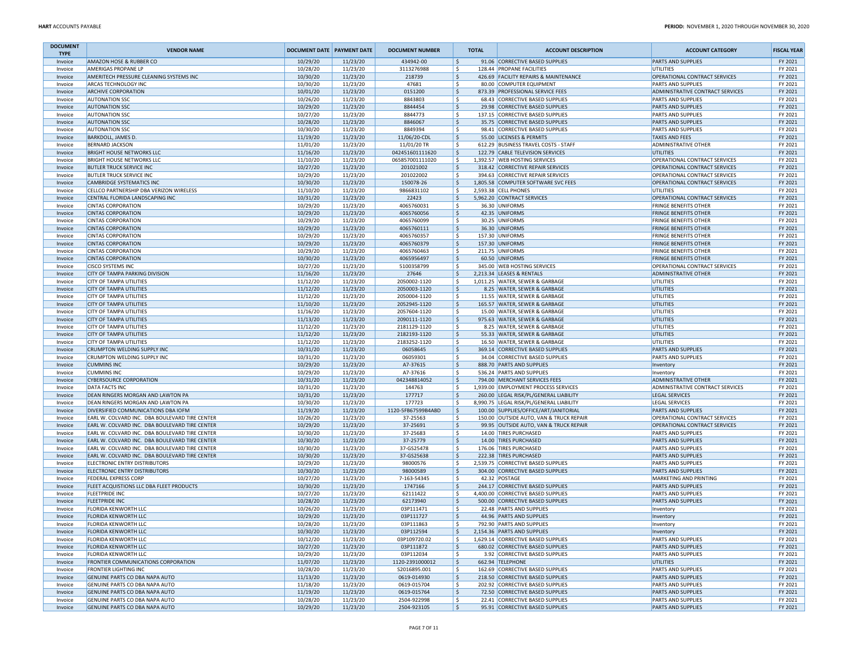| AMAZON HOSE & RUBBER CO<br>10/29/20<br>11/23/20<br>434942-00<br>l \$<br>91.06 CORRECTIVE BASED SUPPLIES<br>Invoice<br>AMERIGAS PROPANE LP<br>10/28/20<br>11/23/20<br>3113276988<br>l \$<br>128.44 PROPANE FACILITIES<br>Invoice<br>١\$<br>AMERITECH PRESSURE CLEANING SYSTEMS INC<br>10/30/20<br>11/23/20<br>218739<br>426.69 FACILITY REPAIRS & MAINTENANCE<br>Invoice<br>١\$<br>10/30/20<br>11/23/20<br>47681<br>ARCAS TECHNOLOGY INC<br>80.00 COMPUTER EQUIPMENT<br>Invoice<br><b>ARCHIVE CORPORATION</b><br>10/01/20<br>11/23/20<br>0151200<br>١\$<br>873.39 PROFESSIONAL SERVICE FEES<br>Invoice<br>١\$<br><b>AUTONATION SSC</b><br>10/26/20<br>11/23/20<br>8843803<br>68.43 CORRECTIVE BASED SUPPLIES<br>Invoice<br><b>AUTONATION SSC</b><br>10/29/20<br>11/23/20<br>8844454<br>١\$<br>29.98 CORRECTIVE BASED SUPPLIES<br>Invoice<br><b>AUTONATION SSC</b><br>10/27/20<br>11/23/20<br>8844773<br>١\$<br>137.15 CORRECTIVE BASED SUPPLIES<br>Invoice<br>10/28/20<br>11/23/20<br>8846067<br>۱\$.<br>Invoice<br><b>AUTONATION SSC</b><br>35.75 CORRECTIVE BASED SUPPLIES<br>10/30/20<br>11/23/20<br>l \$<br><b>AUTONATION SSC</b><br>8849394<br>98.41 CORRECTIVE BASED SUPPLIES<br>Invoice<br>١\$<br><b>BARKDOLL, JAMES D</b><br>11/19/20<br>11/23/20<br>11/06/20-CDL<br>55.00 LICENSES & PERMITS<br>Invoice<br><b>BERNARD JACKSON</b><br>11/01/20<br>11/23/20<br>11/01/20 TR<br>١\$<br>612.29 BUSINESS TRAVEL COSTS - STAFF<br>Invoice<br><b>BRIGHT HOUSE NETWORKS LLC</b><br>11/16/20<br>11/23/20<br>042451601111620<br>١\$<br>122.79 CABLE TELEVISION SERVICES<br>Invoice<br>١\$<br>11/10/20<br>11/23/20<br>065857001111020<br>1,392.57 WEB HOSTING SERVICES<br><b>BRIGHT HOUSE NETWORKS LLC</b><br>Invoice<br><b>BUTLER TRUCK SERVICE INC</b><br>10/27/20<br>11/23/20<br>201021002<br>١\$<br>318.42 CORRECTIVE REPAIR SERVICES<br>Invoice<br><b>BUTLER TRUCK SERVICE INC</b><br>10/29/20<br>11/23/20<br>201022002<br>۱\$.<br>394.63 CORRECTIVE REPAIR SERVICES<br>Invoice<br>10/30/20<br>١\$<br><b>CAMBRIDGE SYSTEMATICS INC</b><br>11/23/20<br>150078-26<br>1,805.58 COMPUTER SOFTWARE SVC FEES<br>Invoice<br>CELLCO PARTNERSHIP DBA VERIZON WIRELESS<br>11/10/20<br>11/23/20<br>9866831102<br>l\$<br>2.593.38 CELL PHONES<br>UTILITIES<br>Invoice<br>١\$<br>CENTRAL FLORIDA LANDSCAPING INC<br>10/31/20<br>11/23/20<br>22423<br>5,962.20 CONTRACT SERVICES<br>Invoice<br>١\$<br>10/29/20<br>11/23/20<br>4065760031<br>36.30 UNIFORMS<br>Invoice<br><b>CINTAS CORPORATION</b><br>١\$<br>10/29/20<br>11/23/20<br>42.35 UNIFORMS<br>Invoice<br><b>CINTAS CORPORATION</b><br>4065760056<br>١\$<br><b>CINTAS CORPORATION</b><br>10/29/20<br>11/23/20<br>4065760099<br>30.25 UNIFORMS<br>Invoice<br>10/29/20<br>11/23/20<br>١\$<br>Invoice<br><b>CINTAS CORPORATION</b><br>4065760111<br>36.30 UNIFORMS<br>10/29/20<br><b>CINTAS CORPORATION</b><br>11/23/20<br>4065760357<br>١\$<br>157.30 UNIFORMS<br>Invoice<br>١\$<br><b>CINTAS CORPORATION</b><br>10/29/20<br>11/23/20<br>4065760379<br>157.30 UNIFORMS<br>Invoice<br>١\$<br><b>CINTAS CORPORATION</b><br>10/29/20<br>11/23/20<br>4065760463<br>211.75 UNIFORMS<br>Invoice<br><b>CINTAS CORPORATION</b><br>10/30/20<br>11/23/20<br>4065956497<br>۱\$.<br>60.50 UNIFORMS<br>Invoice<br>١\$<br>11/23/20<br>345.00 WEB HOSTING SERVICES<br><b>CISCO SYSTEMS INC</b><br>10/27/20<br>5100358799<br>Invoice<br>١\$<br><b>CITY OF TAMPA PARKING DIVISION</b><br>11/16/20<br>11/23/20<br>27646<br>2,213.34 LEASES & RENTALS<br>Invoice | <b>ACCOUNT CATEGORY</b>                                        | <b>FISCAL YEAR</b> |
|----------------------------------------------------------------------------------------------------------------------------------------------------------------------------------------------------------------------------------------------------------------------------------------------------------------------------------------------------------------------------------------------------------------------------------------------------------------------------------------------------------------------------------------------------------------------------------------------------------------------------------------------------------------------------------------------------------------------------------------------------------------------------------------------------------------------------------------------------------------------------------------------------------------------------------------------------------------------------------------------------------------------------------------------------------------------------------------------------------------------------------------------------------------------------------------------------------------------------------------------------------------------------------------------------------------------------------------------------------------------------------------------------------------------------------------------------------------------------------------------------------------------------------------------------------------------------------------------------------------------------------------------------------------------------------------------------------------------------------------------------------------------------------------------------------------------------------------------------------------------------------------------------------------------------------------------------------------------------------------------------------------------------------------------------------------------------------------------------------------------------------------------------------------------------------------------------------------------------------------------------------------------------------------------------------------------------------------------------------------------------------------------------------------------------------------------------------------------------------------------------------------------------------------------------------------------------------------------------------------------------------------------------------------------------------------------------------------------------------------------------------------------------------------------------------------------------------------------------------------------------------------------------------------------------------------------------------------------------------------------------------------------------------------------------------------------------------------------------------------------------------------------------------------------------------------------------------------------------------------------------------------------------------------------------------------------------------------------------------------------------------------------------------------------------------------------------------------------------------------|----------------------------------------------------------------|--------------------|
|                                                                                                                                                                                                                                                                                                                                                                                                                                                                                                                                                                                                                                                                                                                                                                                                                                                                                                                                                                                                                                                                                                                                                                                                                                                                                                                                                                                                                                                                                                                                                                                                                                                                                                                                                                                                                                                                                                                                                                                                                                                                                                                                                                                                                                                                                                                                                                                                                                                                                                                                                                                                                                                                                                                                                                                                                                                                                                                                                                                                                                                                                                                                                                                                                                                                                                                                                                                                                                                                                        | PARTS AND SUPPLIES                                             | FY 2021            |
|                                                                                                                                                                                                                                                                                                                                                                                                                                                                                                                                                                                                                                                                                                                                                                                                                                                                                                                                                                                                                                                                                                                                                                                                                                                                                                                                                                                                                                                                                                                                                                                                                                                                                                                                                                                                                                                                                                                                                                                                                                                                                                                                                                                                                                                                                                                                                                                                                                                                                                                                                                                                                                                                                                                                                                                                                                                                                                                                                                                                                                                                                                                                                                                                                                                                                                                                                                                                                                                                                        | UTILITIES                                                      | FY 2021            |
|                                                                                                                                                                                                                                                                                                                                                                                                                                                                                                                                                                                                                                                                                                                                                                                                                                                                                                                                                                                                                                                                                                                                                                                                                                                                                                                                                                                                                                                                                                                                                                                                                                                                                                                                                                                                                                                                                                                                                                                                                                                                                                                                                                                                                                                                                                                                                                                                                                                                                                                                                                                                                                                                                                                                                                                                                                                                                                                                                                                                                                                                                                                                                                                                                                                                                                                                                                                                                                                                                        | OPERATIONAL CONTRACT SERVICES                                  | FY 2021            |
|                                                                                                                                                                                                                                                                                                                                                                                                                                                                                                                                                                                                                                                                                                                                                                                                                                                                                                                                                                                                                                                                                                                                                                                                                                                                                                                                                                                                                                                                                                                                                                                                                                                                                                                                                                                                                                                                                                                                                                                                                                                                                                                                                                                                                                                                                                                                                                                                                                                                                                                                                                                                                                                                                                                                                                                                                                                                                                                                                                                                                                                                                                                                                                                                                                                                                                                                                                                                                                                                                        | <b>PARTS AND SUPPLIES</b>                                      | FY 2021            |
|                                                                                                                                                                                                                                                                                                                                                                                                                                                                                                                                                                                                                                                                                                                                                                                                                                                                                                                                                                                                                                                                                                                                                                                                                                                                                                                                                                                                                                                                                                                                                                                                                                                                                                                                                                                                                                                                                                                                                                                                                                                                                                                                                                                                                                                                                                                                                                                                                                                                                                                                                                                                                                                                                                                                                                                                                                                                                                                                                                                                                                                                                                                                                                                                                                                                                                                                                                                                                                                                                        | ADMINISTRATIVE CONTRACT SERVICES                               | FY 2021            |
|                                                                                                                                                                                                                                                                                                                                                                                                                                                                                                                                                                                                                                                                                                                                                                                                                                                                                                                                                                                                                                                                                                                                                                                                                                                                                                                                                                                                                                                                                                                                                                                                                                                                                                                                                                                                                                                                                                                                                                                                                                                                                                                                                                                                                                                                                                                                                                                                                                                                                                                                                                                                                                                                                                                                                                                                                                                                                                                                                                                                                                                                                                                                                                                                                                                                                                                                                                                                                                                                                        | <b>PARTS AND SUPPLIES</b><br><b>PARTS AND SUPPLIES</b>         | FY 2021<br>FY 2021 |
|                                                                                                                                                                                                                                                                                                                                                                                                                                                                                                                                                                                                                                                                                                                                                                                                                                                                                                                                                                                                                                                                                                                                                                                                                                                                                                                                                                                                                                                                                                                                                                                                                                                                                                                                                                                                                                                                                                                                                                                                                                                                                                                                                                                                                                                                                                                                                                                                                                                                                                                                                                                                                                                                                                                                                                                                                                                                                                                                                                                                                                                                                                                                                                                                                                                                                                                                                                                                                                                                                        | PARTS AND SUPPLIES                                             | FY 2021            |
|                                                                                                                                                                                                                                                                                                                                                                                                                                                                                                                                                                                                                                                                                                                                                                                                                                                                                                                                                                                                                                                                                                                                                                                                                                                                                                                                                                                                                                                                                                                                                                                                                                                                                                                                                                                                                                                                                                                                                                                                                                                                                                                                                                                                                                                                                                                                                                                                                                                                                                                                                                                                                                                                                                                                                                                                                                                                                                                                                                                                                                                                                                                                                                                                                                                                                                                                                                                                                                                                                        | <b>PARTS AND SUPPLIES</b>                                      | FY 2021            |
|                                                                                                                                                                                                                                                                                                                                                                                                                                                                                                                                                                                                                                                                                                                                                                                                                                                                                                                                                                                                                                                                                                                                                                                                                                                                                                                                                                                                                                                                                                                                                                                                                                                                                                                                                                                                                                                                                                                                                                                                                                                                                                                                                                                                                                                                                                                                                                                                                                                                                                                                                                                                                                                                                                                                                                                                                                                                                                                                                                                                                                                                                                                                                                                                                                                                                                                                                                                                                                                                                        | <b>PARTS AND SUPPLIES</b>                                      | FY 2021            |
|                                                                                                                                                                                                                                                                                                                                                                                                                                                                                                                                                                                                                                                                                                                                                                                                                                                                                                                                                                                                                                                                                                                                                                                                                                                                                                                                                                                                                                                                                                                                                                                                                                                                                                                                                                                                                                                                                                                                                                                                                                                                                                                                                                                                                                                                                                                                                                                                                                                                                                                                                                                                                                                                                                                                                                                                                                                                                                                                                                                                                                                                                                                                                                                                                                                                                                                                                                                                                                                                                        | <b>TAXES AND FEES</b>                                          | FY 2021            |
|                                                                                                                                                                                                                                                                                                                                                                                                                                                                                                                                                                                                                                                                                                                                                                                                                                                                                                                                                                                                                                                                                                                                                                                                                                                                                                                                                                                                                                                                                                                                                                                                                                                                                                                                                                                                                                                                                                                                                                                                                                                                                                                                                                                                                                                                                                                                                                                                                                                                                                                                                                                                                                                                                                                                                                                                                                                                                                                                                                                                                                                                                                                                                                                                                                                                                                                                                                                                                                                                                        | <b>ADMINISTRATIVE OTHER</b>                                    | FY 2021            |
|                                                                                                                                                                                                                                                                                                                                                                                                                                                                                                                                                                                                                                                                                                                                                                                                                                                                                                                                                                                                                                                                                                                                                                                                                                                                                                                                                                                                                                                                                                                                                                                                                                                                                                                                                                                                                                                                                                                                                                                                                                                                                                                                                                                                                                                                                                                                                                                                                                                                                                                                                                                                                                                                                                                                                                                                                                                                                                                                                                                                                                                                                                                                                                                                                                                                                                                                                                                                                                                                                        | <b>UTILITIES</b>                                               | FY 2021            |
|                                                                                                                                                                                                                                                                                                                                                                                                                                                                                                                                                                                                                                                                                                                                                                                                                                                                                                                                                                                                                                                                                                                                                                                                                                                                                                                                                                                                                                                                                                                                                                                                                                                                                                                                                                                                                                                                                                                                                                                                                                                                                                                                                                                                                                                                                                                                                                                                                                                                                                                                                                                                                                                                                                                                                                                                                                                                                                                                                                                                                                                                                                                                                                                                                                                                                                                                                                                                                                                                                        | OPERATIONAL CONTRACT SERVICES                                  | FY 2021            |
|                                                                                                                                                                                                                                                                                                                                                                                                                                                                                                                                                                                                                                                                                                                                                                                                                                                                                                                                                                                                                                                                                                                                                                                                                                                                                                                                                                                                                                                                                                                                                                                                                                                                                                                                                                                                                                                                                                                                                                                                                                                                                                                                                                                                                                                                                                                                                                                                                                                                                                                                                                                                                                                                                                                                                                                                                                                                                                                                                                                                                                                                                                                                                                                                                                                                                                                                                                                                                                                                                        | OPERATIONAL CONTRACT SERVICES                                  | FY 2021            |
|                                                                                                                                                                                                                                                                                                                                                                                                                                                                                                                                                                                                                                                                                                                                                                                                                                                                                                                                                                                                                                                                                                                                                                                                                                                                                                                                                                                                                                                                                                                                                                                                                                                                                                                                                                                                                                                                                                                                                                                                                                                                                                                                                                                                                                                                                                                                                                                                                                                                                                                                                                                                                                                                                                                                                                                                                                                                                                                                                                                                                                                                                                                                                                                                                                                                                                                                                                                                                                                                                        | OPERATIONAL CONTRACT SERVICES                                  | FY 2021            |
|                                                                                                                                                                                                                                                                                                                                                                                                                                                                                                                                                                                                                                                                                                                                                                                                                                                                                                                                                                                                                                                                                                                                                                                                                                                                                                                                                                                                                                                                                                                                                                                                                                                                                                                                                                                                                                                                                                                                                                                                                                                                                                                                                                                                                                                                                                                                                                                                                                                                                                                                                                                                                                                                                                                                                                                                                                                                                                                                                                                                                                                                                                                                                                                                                                                                                                                                                                                                                                                                                        | OPERATIONAL CONTRACT SERVICES                                  | FY 2021<br>FY 2021 |
|                                                                                                                                                                                                                                                                                                                                                                                                                                                                                                                                                                                                                                                                                                                                                                                                                                                                                                                                                                                                                                                                                                                                                                                                                                                                                                                                                                                                                                                                                                                                                                                                                                                                                                                                                                                                                                                                                                                                                                                                                                                                                                                                                                                                                                                                                                                                                                                                                                                                                                                                                                                                                                                                                                                                                                                                                                                                                                                                                                                                                                                                                                                                                                                                                                                                                                                                                                                                                                                                                        | OPERATIONAL CONTRACT SERVICES                                  | FY 2021            |
|                                                                                                                                                                                                                                                                                                                                                                                                                                                                                                                                                                                                                                                                                                                                                                                                                                                                                                                                                                                                                                                                                                                                                                                                                                                                                                                                                                                                                                                                                                                                                                                                                                                                                                                                                                                                                                                                                                                                                                                                                                                                                                                                                                                                                                                                                                                                                                                                                                                                                                                                                                                                                                                                                                                                                                                                                                                                                                                                                                                                                                                                                                                                                                                                                                                                                                                                                                                                                                                                                        | <b>FRINGE BENEFITS OTHER</b>                                   | FY 2021            |
|                                                                                                                                                                                                                                                                                                                                                                                                                                                                                                                                                                                                                                                                                                                                                                                                                                                                                                                                                                                                                                                                                                                                                                                                                                                                                                                                                                                                                                                                                                                                                                                                                                                                                                                                                                                                                                                                                                                                                                                                                                                                                                                                                                                                                                                                                                                                                                                                                                                                                                                                                                                                                                                                                                                                                                                                                                                                                                                                                                                                                                                                                                                                                                                                                                                                                                                                                                                                                                                                                        | <b>FRINGE BENEFITS OTHER</b>                                   | FY 2021            |
|                                                                                                                                                                                                                                                                                                                                                                                                                                                                                                                                                                                                                                                                                                                                                                                                                                                                                                                                                                                                                                                                                                                                                                                                                                                                                                                                                                                                                                                                                                                                                                                                                                                                                                                                                                                                                                                                                                                                                                                                                                                                                                                                                                                                                                                                                                                                                                                                                                                                                                                                                                                                                                                                                                                                                                                                                                                                                                                                                                                                                                                                                                                                                                                                                                                                                                                                                                                                                                                                                        | <b>FRINGE BENEFITS OTHER</b>                                   | FY 2021            |
|                                                                                                                                                                                                                                                                                                                                                                                                                                                                                                                                                                                                                                                                                                                                                                                                                                                                                                                                                                                                                                                                                                                                                                                                                                                                                                                                                                                                                                                                                                                                                                                                                                                                                                                                                                                                                                                                                                                                                                                                                                                                                                                                                                                                                                                                                                                                                                                                                                                                                                                                                                                                                                                                                                                                                                                                                                                                                                                                                                                                                                                                                                                                                                                                                                                                                                                                                                                                                                                                                        | <b>FRINGE BENEFITS OTHER</b>                                   | FY 2021            |
|                                                                                                                                                                                                                                                                                                                                                                                                                                                                                                                                                                                                                                                                                                                                                                                                                                                                                                                                                                                                                                                                                                                                                                                                                                                                                                                                                                                                                                                                                                                                                                                                                                                                                                                                                                                                                                                                                                                                                                                                                                                                                                                                                                                                                                                                                                                                                                                                                                                                                                                                                                                                                                                                                                                                                                                                                                                                                                                                                                                                                                                                                                                                                                                                                                                                                                                                                                                                                                                                                        | <b>FRINGE BENEFITS OTHER</b>                                   | FY 2021            |
|                                                                                                                                                                                                                                                                                                                                                                                                                                                                                                                                                                                                                                                                                                                                                                                                                                                                                                                                                                                                                                                                                                                                                                                                                                                                                                                                                                                                                                                                                                                                                                                                                                                                                                                                                                                                                                                                                                                                                                                                                                                                                                                                                                                                                                                                                                                                                                                                                                                                                                                                                                                                                                                                                                                                                                                                                                                                                                                                                                                                                                                                                                                                                                                                                                                                                                                                                                                                                                                                                        | <b>FRINGE BENEFITS OTHER</b>                                   | FY 2021            |
|                                                                                                                                                                                                                                                                                                                                                                                                                                                                                                                                                                                                                                                                                                                                                                                                                                                                                                                                                                                                                                                                                                                                                                                                                                                                                                                                                                                                                                                                                                                                                                                                                                                                                                                                                                                                                                                                                                                                                                                                                                                                                                                                                                                                                                                                                                                                                                                                                                                                                                                                                                                                                                                                                                                                                                                                                                                                                                                                                                                                                                                                                                                                                                                                                                                                                                                                                                                                                                                                                        | <b>FRINGE BENEFITS OTHER</b>                                   | FY 2021            |
|                                                                                                                                                                                                                                                                                                                                                                                                                                                                                                                                                                                                                                                                                                                                                                                                                                                                                                                                                                                                                                                                                                                                                                                                                                                                                                                                                                                                                                                                                                                                                                                                                                                                                                                                                                                                                                                                                                                                                                                                                                                                                                                                                                                                                                                                                                                                                                                                                                                                                                                                                                                                                                                                                                                                                                                                                                                                                                                                                                                                                                                                                                                                                                                                                                                                                                                                                                                                                                                                                        | <b>FRINGE BENEFITS OTHER</b>                                   | FY 2021            |
|                                                                                                                                                                                                                                                                                                                                                                                                                                                                                                                                                                                                                                                                                                                                                                                                                                                                                                                                                                                                                                                                                                                                                                                                                                                                                                                                                                                                                                                                                                                                                                                                                                                                                                                                                                                                                                                                                                                                                                                                                                                                                                                                                                                                                                                                                                                                                                                                                                                                                                                                                                                                                                                                                                                                                                                                                                                                                                                                                                                                                                                                                                                                                                                                                                                                                                                                                                                                                                                                                        | OPERATIONAL CONTRACT SERVICES<br><b>ADMINISTRATIVE OTHER</b>   | FY 2021<br>FY 2021 |
| ١\$<br><b>CITY OF TAMPA UTILITIES</b><br>11/12/20<br>11/23/20<br>2050002-1120<br>1,011.25 WATER, SEWER & GARBAGE<br>Invoice                                                                                                                                                                                                                                                                                                                                                                                                                                                                                                                                                                                                                                                                                                                                                                                                                                                                                                                                                                                                                                                                                                                                                                                                                                                                                                                                                                                                                                                                                                                                                                                                                                                                                                                                                                                                                                                                                                                                                                                                                                                                                                                                                                                                                                                                                                                                                                                                                                                                                                                                                                                                                                                                                                                                                                                                                                                                                                                                                                                                                                                                                                                                                                                                                                                                                                                                                            | <b>UTILITIES</b>                                               | FY 2021            |
| ١\$<br>11/12/20<br>11/23/20<br><b>CITY OF TAMPA UTILITIES</b><br>2050003-1120<br>8.25 WATER, SEWER & GARBAGE<br>Invoice                                                                                                                                                                                                                                                                                                                                                                                                                                                                                                                                                                                                                                                                                                                                                                                                                                                                                                                                                                                                                                                                                                                                                                                                                                                                                                                                                                                                                                                                                                                                                                                                                                                                                                                                                                                                                                                                                                                                                                                                                                                                                                                                                                                                                                                                                                                                                                                                                                                                                                                                                                                                                                                                                                                                                                                                                                                                                                                                                                                                                                                                                                                                                                                                                                                                                                                                                                | UTILITIES                                                      | FY 2021            |
| ١\$<br>11/12/20<br>11/23/20<br>11.55 WATER, SEWER & GARBAGE<br><b>CITY OF TAMPA UTILITIES</b><br>2050004-1120<br>Invoice                                                                                                                                                                                                                                                                                                                                                                                                                                                                                                                                                                                                                                                                                                                                                                                                                                                                                                                                                                                                                                                                                                                                                                                                                                                                                                                                                                                                                                                                                                                                                                                                                                                                                                                                                                                                                                                                                                                                                                                                                                                                                                                                                                                                                                                                                                                                                                                                                                                                                                                                                                                                                                                                                                                                                                                                                                                                                                                                                                                                                                                                                                                                                                                                                                                                                                                                                               | UTILITIES                                                      | FY 2021            |
| <b>CITY OF TAMPA UTILITIES</b><br>11/10/20<br>11/23/20<br>2052945-1120<br>l\$<br>165.57 WATER, SEWER & GARBAGE<br>Invoice                                                                                                                                                                                                                                                                                                                                                                                                                                                                                                                                                                                                                                                                                                                                                                                                                                                                                                                                                                                                                                                                                                                                                                                                                                                                                                                                                                                                                                                                                                                                                                                                                                                                                                                                                                                                                                                                                                                                                                                                                                                                                                                                                                                                                                                                                                                                                                                                                                                                                                                                                                                                                                                                                                                                                                                                                                                                                                                                                                                                                                                                                                                                                                                                                                                                                                                                                              | UTILITIES                                                      | FY 2021            |
| 11/23/20<br>2057604-1120<br>l\$<br>15.00 WATER, SEWER & GARBAGE<br>Invoice<br><b>CITY OF TAMPA UTILITIES</b><br>11/16/20                                                                                                                                                                                                                                                                                                                                                                                                                                                                                                                                                                                                                                                                                                                                                                                                                                                                                                                                                                                                                                                                                                                                                                                                                                                                                                                                                                                                                                                                                                                                                                                                                                                                                                                                                                                                                                                                                                                                                                                                                                                                                                                                                                                                                                                                                                                                                                                                                                                                                                                                                                                                                                                                                                                                                                                                                                                                                                                                                                                                                                                                                                                                                                                                                                                                                                                                                               | UTILITIES                                                      | FY 2021            |
| 11/13/20<br>11/23/20<br>2090111-1120<br>١\$<br>975.63 WATER, SEWER & GARBAGE<br>Invoice<br><b>CITY OF TAMPA UTILITIES</b>                                                                                                                                                                                                                                                                                                                                                                                                                                                                                                                                                                                                                                                                                                                                                                                                                                                                                                                                                                                                                                                                                                                                                                                                                                                                                                                                                                                                                                                                                                                                                                                                                                                                                                                                                                                                                                                                                                                                                                                                                                                                                                                                                                                                                                                                                                                                                                                                                                                                                                                                                                                                                                                                                                                                                                                                                                                                                                                                                                                                                                                                                                                                                                                                                                                                                                                                                              | <b>UTILITIES</b>                                               | FY 2021            |
| ١\$<br>11/12/20<br>11/23/20<br>2181129-1120<br>8.25 WATER, SEWER & GARBAGE<br><b>CITY OF TAMPA UTILITIES</b><br>Invoice                                                                                                                                                                                                                                                                                                                                                                                                                                                                                                                                                                                                                                                                                                                                                                                                                                                                                                                                                                                                                                                                                                                                                                                                                                                                                                                                                                                                                                                                                                                                                                                                                                                                                                                                                                                                                                                                                                                                                                                                                                                                                                                                                                                                                                                                                                                                                                                                                                                                                                                                                                                                                                                                                                                                                                                                                                                                                                                                                                                                                                                                                                                                                                                                                                                                                                                                                                | UTILITIES                                                      | FY 2021            |
| ١\$<br>11/12/20<br>11/23/20<br>2182193-1120<br>55.33 WATER, SEWER & GARBAGE<br><b>CITY OF TAMPA UTILITIES</b><br>Invoice                                                                                                                                                                                                                                                                                                                                                                                                                                                                                                                                                                                                                                                                                                                                                                                                                                                                                                                                                                                                                                                                                                                                                                                                                                                                                                                                                                                                                                                                                                                                                                                                                                                                                                                                                                                                                                                                                                                                                                                                                                                                                                                                                                                                                                                                                                                                                                                                                                                                                                                                                                                                                                                                                                                                                                                                                                                                                                                                                                                                                                                                                                                                                                                                                                                                                                                                                               | UTILITIES                                                      | FY 2021            |
| 11/12/20<br>11/23/20<br>2183252-1120<br>١\$<br>16.50 WATER, SEWER & GARBAGE<br>Invoice<br><b>CITY OF TAMPA UTILITIES</b><br>۱\$<br>11/23/20<br><b>CRUMPTON WELDING SUPPLY INC</b><br>10/31/20<br>06058645<br>369.14 CORRECTIVE BASED SUPPLIES<br>Invoice                                                                                                                                                                                                                                                                                                                                                                                                                                                                                                                                                                                                                                                                                                                                                                                                                                                                                                                                                                                                                                                                                                                                                                                                                                                                                                                                                                                                                                                                                                                                                                                                                                                                                                                                                                                                                                                                                                                                                                                                                                                                                                                                                                                                                                                                                                                                                                                                                                                                                                                                                                                                                                                                                                                                                                                                                                                                                                                                                                                                                                                                                                                                                                                                                               | <b>UTILITIES</b><br><b>PARTS AND SUPPLIES</b>                  | FY 2021<br>FY 2021 |
| CRUMPTON WELDING SUPPLY INC<br>10/31/20<br>11/23/20<br>06059301<br>١\$<br>34.04 CORRECTIVE BASED SUPPLIES<br>Invoice                                                                                                                                                                                                                                                                                                                                                                                                                                                                                                                                                                                                                                                                                                                                                                                                                                                                                                                                                                                                                                                                                                                                                                                                                                                                                                                                                                                                                                                                                                                                                                                                                                                                                                                                                                                                                                                                                                                                                                                                                                                                                                                                                                                                                                                                                                                                                                                                                                                                                                                                                                                                                                                                                                                                                                                                                                                                                                                                                                                                                                                                                                                                                                                                                                                                                                                                                                   | PARTS AND SUPPLIES                                             | FY 2021            |
| <b>CUMMINS INC</b><br>10/29/20<br>11/23/20<br>A7-37615<br>۱\$.<br>888.70 PARTS AND SUPPLIES<br>Invoice                                                                                                                                                                                                                                                                                                                                                                                                                                                                                                                                                                                                                                                                                                                                                                                                                                                                                                                                                                                                                                                                                                                                                                                                                                                                                                                                                                                                                                                                                                                                                                                                                                                                                                                                                                                                                                                                                                                                                                                                                                                                                                                                                                                                                                                                                                                                                                                                                                                                                                                                                                                                                                                                                                                                                                                                                                                                                                                                                                                                                                                                                                                                                                                                                                                                                                                                                                                 | Inventory                                                      | FY 2021            |
| ١\$<br>10/29/20<br>11/23/20<br><b>CUMMINS INC</b><br>A7-37616<br>536.24 PARTS AND SUPPLIES<br>Invoice                                                                                                                                                                                                                                                                                                                                                                                                                                                                                                                                                                                                                                                                                                                                                                                                                                                                                                                                                                                                                                                                                                                                                                                                                                                                                                                                                                                                                                                                                                                                                                                                                                                                                                                                                                                                                                                                                                                                                                                                                                                                                                                                                                                                                                                                                                                                                                                                                                                                                                                                                                                                                                                                                                                                                                                                                                                                                                                                                                                                                                                                                                                                                                                                                                                                                                                                                                                  | Inventory                                                      | FY 2021            |
| ١\$<br>10/31/20<br>11/23/20<br><b>CYBERSOURCE CORPORATION</b><br>042348814052<br>794.00 MERCHANT SERVICES FEES<br>Invoice                                                                                                                                                                                                                                                                                                                                                                                                                                                                                                                                                                                                                                                                                                                                                                                                                                                                                                                                                                                                                                                                                                                                                                                                                                                                                                                                                                                                                                                                                                                                                                                                                                                                                                                                                                                                                                                                                                                                                                                                                                                                                                                                                                                                                                                                                                                                                                                                                                                                                                                                                                                                                                                                                                                                                                                                                                                                                                                                                                                                                                                                                                                                                                                                                                                                                                                                                              | <b>ADMINISTRATIVE OTHER</b>                                    | FY 2021            |
| DATA FACTS INC<br>10/31/20<br>11/23/20<br>144763<br>١\$<br>1,939.00 EMPLOYMENT PROCESS SERVICES<br>Invoice                                                                                                                                                                                                                                                                                                                                                                                                                                                                                                                                                                                                                                                                                                                                                                                                                                                                                                                                                                                                                                                                                                                                                                                                                                                                                                                                                                                                                                                                                                                                                                                                                                                                                                                                                                                                                                                                                                                                                                                                                                                                                                                                                                                                                                                                                                                                                                                                                                                                                                                                                                                                                                                                                                                                                                                                                                                                                                                                                                                                                                                                                                                                                                                                                                                                                                                                                                             | ADMINISTRATIVE CONTRACT SERVICES                               | FY 2021            |
| DEAN RINGERS MORGAN AND LAWTON PA<br>10/31/20<br>11/23/20<br>177717<br>١\$<br>260.00 LEGAL RISK/PL/GENERAL LIABILITY<br>Invoice                                                                                                                                                                                                                                                                                                                                                                                                                                                                                                                                                                                                                                                                                                                                                                                                                                                                                                                                                                                                                                                                                                                                                                                                                                                                                                                                                                                                                                                                                                                                                                                                                                                                                                                                                                                                                                                                                                                                                                                                                                                                                                                                                                                                                                                                                                                                                                                                                                                                                                                                                                                                                                                                                                                                                                                                                                                                                                                                                                                                                                                                                                                                                                                                                                                                                                                                                        | <b>LEGAL SERVICES</b>                                          | FY 2021            |
| 177723<br>DEAN RINGERS MORGAN AND LAWTON PA<br>10/30/20<br>11/23/20<br>١\$<br>8,990.75 LEGAL RISK/PL/GENERAL LIABILITY<br>Invoice                                                                                                                                                                                                                                                                                                                                                                                                                                                                                                                                                                                                                                                                                                                                                                                                                                                                                                                                                                                                                                                                                                                                                                                                                                                                                                                                                                                                                                                                                                                                                                                                                                                                                                                                                                                                                                                                                                                                                                                                                                                                                                                                                                                                                                                                                                                                                                                                                                                                                                                                                                                                                                                                                                                                                                                                                                                                                                                                                                                                                                                                                                                                                                                                                                                                                                                                                      | <b>LEGAL SERVICES</b>                                          | FY 2021            |
| 1120-5FB67599B4ABD<br>١\$<br>DIVERSIFIED COMMUNICATIONS DBA IOFM<br>11/19/20<br>11/23/20<br>100.00 SUPPLIES/OFFICE/ART/JANITORIAL<br>Invoice<br>10/26/20<br>11/23/20<br>١\$<br>EARL W. COLVARD INC. DBA BOULEVARD TIRE CENTER<br>37-25563<br>Invoice                                                                                                                                                                                                                                                                                                                                                                                                                                                                                                                                                                                                                                                                                                                                                                                                                                                                                                                                                                                                                                                                                                                                                                                                                                                                                                                                                                                                                                                                                                                                                                                                                                                                                                                                                                                                                                                                                                                                                                                                                                                                                                                                                                                                                                                                                                                                                                                                                                                                                                                                                                                                                                                                                                                                                                                                                                                                                                                                                                                                                                                                                                                                                                                                                                   | <b>PARTS AND SUPPLIES</b>                                      | FY 2021<br>FY 2021 |
| 150.00 OUTSIDE AUTO, VAN & TRUCK REPAIR<br>10/29/20<br>11/23/20<br>37-25691<br>١\$<br>EARL W. COLVARD INC. DBA BOULEVARD TIRE CENTER<br>99.95 OUTSIDE AUTO, VAN & TRUCK REPAIR<br>Invoice                                                                                                                                                                                                                                                                                                                                                                                                                                                                                                                                                                                                                                                                                                                                                                                                                                                                                                                                                                                                                                                                                                                                                                                                                                                                                                                                                                                                                                                                                                                                                                                                                                                                                                                                                                                                                                                                                                                                                                                                                                                                                                                                                                                                                                                                                                                                                                                                                                                                                                                                                                                                                                                                                                                                                                                                                                                                                                                                                                                                                                                                                                                                                                                                                                                                                              | OPERATIONAL CONTRACT SERVICES<br>OPERATIONAL CONTRACT SERVICES | FY 2021            |
| ١\$<br>EARL W. COLVARD INC. DBA BOULEVARD TIRE CENTER<br>10/30/20<br>11/23/20<br>37-25683<br>14.00 TIRES PURCHASED<br>Invoice                                                                                                                                                                                                                                                                                                                                                                                                                                                                                                                                                                                                                                                                                                                                                                                                                                                                                                                                                                                                                                                                                                                                                                                                                                                                                                                                                                                                                                                                                                                                                                                                                                                                                                                                                                                                                                                                                                                                                                                                                                                                                                                                                                                                                                                                                                                                                                                                                                                                                                                                                                                                                                                                                                                                                                                                                                                                                                                                                                                                                                                                                                                                                                                                                                                                                                                                                          | PARTS AND SUPPLIES                                             | FY 2021            |
| EARL W. COLVARD INC. DBA BOULEVARD TIRE CENTER<br>10/30/20<br>11/23/20<br>37-25779<br>۱\$<br>14.00 TIRES PURCHASED<br>Invoice                                                                                                                                                                                                                                                                                                                                                                                                                                                                                                                                                                                                                                                                                                                                                                                                                                                                                                                                                                                                                                                                                                                                                                                                                                                                                                                                                                                                                                                                                                                                                                                                                                                                                                                                                                                                                                                                                                                                                                                                                                                                                                                                                                                                                                                                                                                                                                                                                                                                                                                                                                                                                                                                                                                                                                                                                                                                                                                                                                                                                                                                                                                                                                                                                                                                                                                                                          | <b>PARTS AND SUPPLIES</b>                                      | FY 2021            |
| EARL W. COLVARD INC. DBA BOULEVARD TIRE CENTER<br>10/30/20<br>11/23/20<br>37-GS25478<br>١\$<br>176.06 TIRES PURCHASED<br>Invoice                                                                                                                                                                                                                                                                                                                                                                                                                                                                                                                                                                                                                                                                                                                                                                                                                                                                                                                                                                                                                                                                                                                                                                                                                                                                                                                                                                                                                                                                                                                                                                                                                                                                                                                                                                                                                                                                                                                                                                                                                                                                                                                                                                                                                                                                                                                                                                                                                                                                                                                                                                                                                                                                                                                                                                                                                                                                                                                                                                                                                                                                                                                                                                                                                                                                                                                                                       | PARTS AND SUPPLIES                                             | FY 2021            |
| ١\$<br>EARL W. COLVARD INC. DBA BOULEVARD TIRE CENTER<br>10/30/20<br>11/23/20<br>37-GS25638<br>222.38 TIRES PURCHASED<br>Invoice                                                                                                                                                                                                                                                                                                                                                                                                                                                                                                                                                                                                                                                                                                                                                                                                                                                                                                                                                                                                                                                                                                                                                                                                                                                                                                                                                                                                                                                                                                                                                                                                                                                                                                                                                                                                                                                                                                                                                                                                                                                                                                                                                                                                                                                                                                                                                                                                                                                                                                                                                                                                                                                                                                                                                                                                                                                                                                                                                                                                                                                                                                                                                                                                                                                                                                                                                       | <b>PARTS AND SUPPLIES</b>                                      | FY 2021            |
| ١\$<br>ELECTRONIC ENTRY DISTRIBUTORS<br>10/29/20<br>11/23/20<br>2,539.75 CORRECTIVE BASED SUPPLIES<br>98000576<br>Invoice                                                                                                                                                                                                                                                                                                                                                                                                                                                                                                                                                                                                                                                                                                                                                                                                                                                                                                                                                                                                                                                                                                                                                                                                                                                                                                                                                                                                                                                                                                                                                                                                                                                                                                                                                                                                                                                                                                                                                                                                                                                                                                                                                                                                                                                                                                                                                                                                                                                                                                                                                                                                                                                                                                                                                                                                                                                                                                                                                                                                                                                                                                                                                                                                                                                                                                                                                              | <b>PARTS AND SUPPLIES</b>                                      | FY 2021            |
| ١\$<br>ELECTRONIC ENTRY DISTRIBUTORS<br>10/30/20<br>11/23/20<br>98000589<br>304.00 CORRECTIVE BASED SUPPLIES<br>Invoice                                                                                                                                                                                                                                                                                                                                                                                                                                                                                                                                                                                                                                                                                                                                                                                                                                                                                                                                                                                                                                                                                                                                                                                                                                                                                                                                                                                                                                                                                                                                                                                                                                                                                                                                                                                                                                                                                                                                                                                                                                                                                                                                                                                                                                                                                                                                                                                                                                                                                                                                                                                                                                                                                                                                                                                                                                                                                                                                                                                                                                                                                                                                                                                                                                                                                                                                                                | PARTS AND SUPPLIES                                             | FY 2021            |
| ١\$<br><b>FEDERAL EXPRESS CORP</b><br>10/27/20<br>11/23/20<br>7-163-54345<br>42.32 POSTAGE<br>Invoice                                                                                                                                                                                                                                                                                                                                                                                                                                                                                                                                                                                                                                                                                                                                                                                                                                                                                                                                                                                                                                                                                                                                                                                                                                                                                                                                                                                                                                                                                                                                                                                                                                                                                                                                                                                                                                                                                                                                                                                                                                                                                                                                                                                                                                                                                                                                                                                                                                                                                                                                                                                                                                                                                                                                                                                                                                                                                                                                                                                                                                                                                                                                                                                                                                                                                                                                                                                  | MARKETING AND PRINTING                                         | FY 2021            |
| FLEET ACQUISTIONS LLC DBA FLEET PRODUCTS<br>10/30/20<br>11/23/20<br>1747166<br>١\$<br>244.17 CORRECTIVE BASED SUPPLIES<br>Invoice<br><b>FLEETPRIDE INC</b><br>4,400.00 CORRECTIVE BASED SUPPLIES                                                                                                                                                                                                                                                                                                                                                                                                                                                                                                                                                                                                                                                                                                                                                                                                                                                                                                                                                                                                                                                                                                                                                                                                                                                                                                                                                                                                                                                                                                                                                                                                                                                                                                                                                                                                                                                                                                                                                                                                                                                                                                                                                                                                                                                                                                                                                                                                                                                                                                                                                                                                                                                                                                                                                                                                                                                                                                                                                                                                                                                                                                                                                                                                                                                                                       | <b>PARTS AND SUPPLIES</b>                                      | FY 2021            |
| 10/27/20<br>11/23/20<br>62111422<br>١\$<br>Invoice<br>10/28/20<br>11/23/20<br>62173940<br>١\$<br>500.00 CORRECTIVE BASED SUPPLIES<br>Invoice<br><b>FLEETPRIDE INC</b>                                                                                                                                                                                                                                                                                                                                                                                                                                                                                                                                                                                                                                                                                                                                                                                                                                                                                                                                                                                                                                                                                                                                                                                                                                                                                                                                                                                                                                                                                                                                                                                                                                                                                                                                                                                                                                                                                                                                                                                                                                                                                                                                                                                                                                                                                                                                                                                                                                                                                                                                                                                                                                                                                                                                                                                                                                                                                                                                                                                                                                                                                                                                                                                                                                                                                                                  | <b>PARTS AND SUPPLIES</b><br><b>PARTS AND SUPPLIES</b>         | FY 2021<br>FY 2021 |
| 10/26/20<br>١\$<br>22.48 PARTS AND SUPPLIES<br>Invoice<br>FLORIDA KENWORTH LLC<br>11/23/20<br>03P111471                                                                                                                                                                                                                                                                                                                                                                                                                                                                                                                                                                                                                                                                                                                                                                                                                                                                                                                                                                                                                                                                                                                                                                                                                                                                                                                                                                                                                                                                                                                                                                                                                                                                                                                                                                                                                                                                                                                                                                                                                                                                                                                                                                                                                                                                                                                                                                                                                                                                                                                                                                                                                                                                                                                                                                                                                                                                                                                                                                                                                                                                                                                                                                                                                                                                                                                                                                                | Inventory                                                      | FY 2021            |
| 10/29/20<br>١\$<br><b>FLORIDA KENWORTH LLC</b><br>11/23/20<br>03P111727<br>44.96 PARTS AND SUPPLIES<br>Invoice                                                                                                                                                                                                                                                                                                                                                                                                                                                                                                                                                                                                                                                                                                                                                                                                                                                                                                                                                                                                                                                                                                                                                                                                                                                                                                                                                                                                                                                                                                                                                                                                                                                                                                                                                                                                                                                                                                                                                                                                                                                                                                                                                                                                                                                                                                                                                                                                                                                                                                                                                                                                                                                                                                                                                                                                                                                                                                                                                                                                                                                                                                                                                                                                                                                                                                                                                                         | Inventory                                                      | FY 2021            |
| Invoice<br><b>FLORIDA KENWORTH LLC</b><br>10/28/20<br>11/23/20<br>03P111863<br>792.90 PARTS AND SUPPLIES                                                                                                                                                                                                                                                                                                                                                                                                                                                                                                                                                                                                                                                                                                                                                                                                                                                                                                                                                                                                                                                                                                                                                                                                                                                                                                                                                                                                                                                                                                                                                                                                                                                                                                                                                                                                                                                                                                                                                                                                                                                                                                                                                                                                                                                                                                                                                                                                                                                                                                                                                                                                                                                                                                                                                                                                                                                                                                                                                                                                                                                                                                                                                                                                                                                                                                                                                                               | Inventory                                                      | FY 2021            |
| <b>FLORIDA KENWORTH LLC</b><br>10/30/20<br>11/23/20<br>03P112594<br>۱\$.<br>2,154.36 PARTS AND SUPPLIES<br>Invoice                                                                                                                                                                                                                                                                                                                                                                                                                                                                                                                                                                                                                                                                                                                                                                                                                                                                                                                                                                                                                                                                                                                                                                                                                                                                                                                                                                                                                                                                                                                                                                                                                                                                                                                                                                                                                                                                                                                                                                                                                                                                                                                                                                                                                                                                                                                                                                                                                                                                                                                                                                                                                                                                                                                                                                                                                                                                                                                                                                                                                                                                                                                                                                                                                                                                                                                                                                     | Inventory                                                      | FY 2021            |
| ١\$<br>10/12/20<br>11/23/20<br>Invoice<br>FLORIDA KENWORTH LLC<br>03P109720.02<br>1,629.14 CORRECTIVE BASED SUPPLIES                                                                                                                                                                                                                                                                                                                                                                                                                                                                                                                                                                                                                                                                                                                                                                                                                                                                                                                                                                                                                                                                                                                                                                                                                                                                                                                                                                                                                                                                                                                                                                                                                                                                                                                                                                                                                                                                                                                                                                                                                                                                                                                                                                                                                                                                                                                                                                                                                                                                                                                                                                                                                                                                                                                                                                                                                                                                                                                                                                                                                                                                                                                                                                                                                                                                                                                                                                   | <b>PARTS AND SUPPLIES</b>                                      | FY 2021            |
| <b>FLORIDA KENWORTH LLC</b><br>10/27/20<br>11/23/20<br>03P111872<br>  \$<br>680.02 CORRECTIVE BASED SUPPLIES<br>Invoice                                                                                                                                                                                                                                                                                                                                                                                                                                                                                                                                                                                                                                                                                                                                                                                                                                                                                                                                                                                                                                                                                                                                                                                                                                                                                                                                                                                                                                                                                                                                                                                                                                                                                                                                                                                                                                                                                                                                                                                                                                                                                                                                                                                                                                                                                                                                                                                                                                                                                                                                                                                                                                                                                                                                                                                                                                                                                                                                                                                                                                                                                                                                                                                                                                                                                                                                                                | <b>PARTS AND SUPPLIES</b>                                      | FY 2021            |
| FLORIDA KENWORTH LLC<br>10/29/20<br>11/23/20<br>03P112034<br>١s<br>3.92 CORRECTIVE BASED SUPPLIES<br>Invoice                                                                                                                                                                                                                                                                                                                                                                                                                                                                                                                                                                                                                                                                                                                                                                                                                                                                                                                                                                                                                                                                                                                                                                                                                                                                                                                                                                                                                                                                                                                                                                                                                                                                                                                                                                                                                                                                                                                                                                                                                                                                                                                                                                                                                                                                                                                                                                                                                                                                                                                                                                                                                                                                                                                                                                                                                                                                                                                                                                                                                                                                                                                                                                                                                                                                                                                                                                           | <b>PARTS AND SUPPLIES</b>                                      | FY 2021            |
| l \$<br>Invoice<br>FRONTIER COMMUNICATIONS CORPORATION<br>11/07/20<br>11/23/20<br>1120-2391000012<br>662.94 TELEPHONE                                                                                                                                                                                                                                                                                                                                                                                                                                                                                                                                                                                                                                                                                                                                                                                                                                                                                                                                                                                                                                                                                                                                                                                                                                                                                                                                                                                                                                                                                                                                                                                                                                                                                                                                                                                                                                                                                                                                                                                                                                                                                                                                                                                                                                                                                                                                                                                                                                                                                                                                                                                                                                                                                                                                                                                                                                                                                                                                                                                                                                                                                                                                                                                                                                                                                                                                                                  | UTILITIES                                                      | FY 2021            |
| 10/28/20<br>11/23/20<br>S2016895.001<br>١\$<br>162.69 CORRECTIVE BASED SUPPLIES<br><b>FRONTIER LIGHTING INC</b><br>Invoice                                                                                                                                                                                                                                                                                                                                                                                                                                                                                                                                                                                                                                                                                                                                                                                                                                                                                                                                                                                                                                                                                                                                                                                                                                                                                                                                                                                                                                                                                                                                                                                                                                                                                                                                                                                                                                                                                                                                                                                                                                                                                                                                                                                                                                                                                                                                                                                                                                                                                                                                                                                                                                                                                                                                                                                                                                                                                                                                                                                                                                                                                                                                                                                                                                                                                                                                                             |                                                                |                    |
| GENUINE PARTS CO DBA NAPA AUTO<br>11/13/20<br>11/23/20<br>0619-014930<br>۱\$<br>218.50 CORRECTIVE BASED SUPPLIES<br>Invoice<br>١\$<br>0619-015704<br>202.92 CORRECTIVE BASED SUPPLIES                                                                                                                                                                                                                                                                                                                                                                                                                                                                                                                                                                                                                                                                                                                                                                                                                                                                                                                                                                                                                                                                                                                                                                                                                                                                                                                                                                                                                                                                                                                                                                                                                                                                                                                                                                                                                                                                                                                                                                                                                                                                                                                                                                                                                                                                                                                                                                                                                                                                                                                                                                                                                                                                                                                                                                                                                                                                                                                                                                                                                                                                                                                                                                                                                                                                                                  | <b>PARTS AND SUPPLIES</b>                                      | FY 2021            |
| 11/18/20<br>11/23/20<br>Invoice<br>GENUINE PARTS CO DBA NAPA AUTO<br>١\$<br>11/19/20<br>11/23/20<br>Invoice<br>GENUINE PARTS CO DBA NAPA AUTO<br>0619-015764<br>72.50 CORRECTIVE BASED SUPPLIES                                                                                                                                                                                                                                                                                                                                                                                                                                                                                                                                                                                                                                                                                                                                                                                                                                                                                                                                                                                                                                                                                                                                                                                                                                                                                                                                                                                                                                                                                                                                                                                                                                                                                                                                                                                                                                                                                                                                                                                                                                                                                                                                                                                                                                                                                                                                                                                                                                                                                                                                                                                                                                                                                                                                                                                                                                                                                                                                                                                                                                                                                                                                                                                                                                                                                        | PARTS AND SUPPLIES                                             | FY 2021            |
| ١\$<br>10/28/20<br>11/23/20<br>2504-922998<br>22.41 CORRECTIVE BASED SUPPLIES<br>GENUINE PARTS CO DBA NAPA AUTO<br>Invoice                                                                                                                                                                                                                                                                                                                                                                                                                                                                                                                                                                                                                                                                                                                                                                                                                                                                                                                                                                                                                                                                                                                                                                                                                                                                                                                                                                                                                                                                                                                                                                                                                                                                                                                                                                                                                                                                                                                                                                                                                                                                                                                                                                                                                                                                                                                                                                                                                                                                                                                                                                                                                                                                                                                                                                                                                                                                                                                                                                                                                                                                                                                                                                                                                                                                                                                                                             | <b>PARTS AND SUPPLIES</b>                                      | FY 2021            |
| GENUINE PARTS CO DBA NAPA AUTO<br>10/29/20<br>11/23/20<br>2504-923105<br>۱\$<br>95.91 CORRECTIVE BASED SUPPLIES<br><b>PARTS AND SUPPLIES</b><br>Invoice                                                                                                                                                                                                                                                                                                                                                                                                                                                                                                                                                                                                                                                                                                                                                                                                                                                                                                                                                                                                                                                                                                                                                                                                                                                                                                                                                                                                                                                                                                                                                                                                                                                                                                                                                                                                                                                                                                                                                                                                                                                                                                                                                                                                                                                                                                                                                                                                                                                                                                                                                                                                                                                                                                                                                                                                                                                                                                                                                                                                                                                                                                                                                                                                                                                                                                                                | <b>PARTS AND SUPPLIES</b><br><b>PARTS AND SUPPLIES</b>         | FY 2021<br>FY 2021 |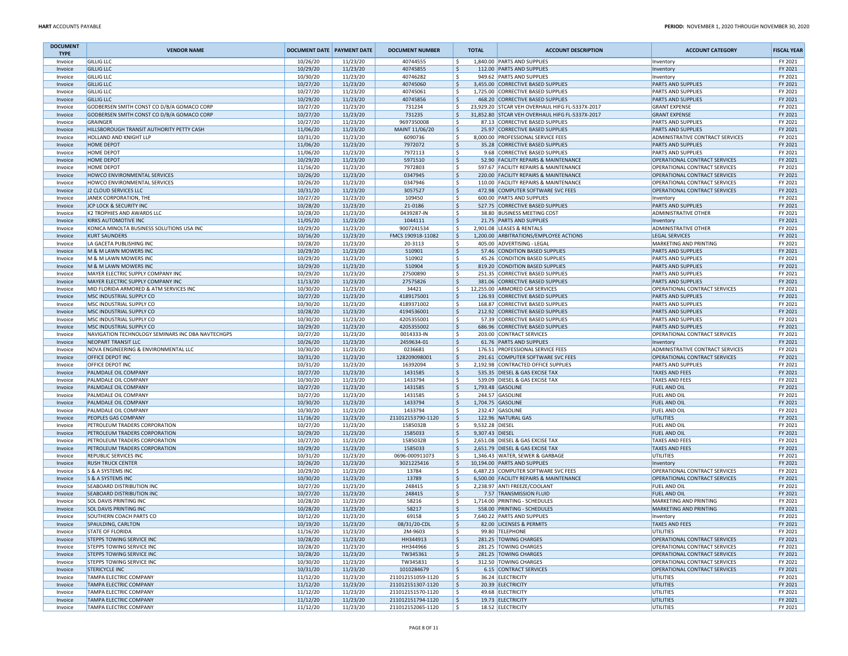| <b>DOCUMENT</b><br><b>TYPE</b> | <b>VENDOR NAME</b>                                             | <b>DOCUMENT DATE PAYMENT DATE</b> |                      | <b>DOCUMENT NUMBER</b>                 | <b>TOTAL</b>           | <b>ACCOUNT DESCRIPTION</b>                                          | <b>ACCOUNT CATEGORY</b>                         | <b>FISCAL YEAR</b> |
|--------------------------------|----------------------------------------------------------------|-----------------------------------|----------------------|----------------------------------------|------------------------|---------------------------------------------------------------------|-------------------------------------------------|--------------------|
| Invoice                        | <b>GILLIG LLC</b>                                              | 10/26/20                          | 11/23/20             | 40744555                               | l \$                   | 1,840.00 PARTS AND SUPPLIES                                         | Inventory                                       | FY 2021            |
| Invoice                        | <b>GILLIG LLC</b>                                              | 10/29/20                          | 11/23/20             | 40745855                               | ١s                     | 112.00 PARTS AND SUPPLIES                                           | Inventory                                       | FY 2021            |
| Invoice                        | <b>GILLIG LLC</b>                                              | 10/30/20                          | 11/23/20             | 40746282                               | ١\$                    | 949.62 PARTS AND SUPPLIES                                           | Inventory                                       | FY 2021            |
| Invoice                        | <b>GILLIG LLC</b>                                              | 10/27/20                          | 11/23/20             | 40745060                               | ١\$                    | 3,455.00 CORRECTIVE BASED SUPPLIES                                  | PARTS AND SUPPLIES                              | FY 2021            |
| Invoice                        | <b>GILLIG LLC</b>                                              | 10/27/20                          | 11/23/20             | 40745061                               | l\$                    | 1,725.00 CORRECTIVE BASED SUPPLIES                                  | PARTS AND SUPPLIES                              | FY 2021            |
| Invoice                        | <b>GILLIG LLC</b>                                              | 10/29/20                          | 11/23/20             | 40745856                               | ۱\$.                   | 468.20 CORRECTIVE BASED SUPPLIES                                    | <b>PARTS AND SUPPLIES</b>                       | FY 2021            |
| Invoice                        | GODBERSEN SMITH CONST CO D/B/A GOMACO CORP                     | 10/27/20                          | 11/23/20             | 731234                                 | l \$                   | 23,929.20 STCAR VEH OVERHAUL HIFG FL-5337X-2017                     | <b>GRANT EXPENSE</b>                            | FY 2021            |
| Invoice                        | GODBERSEN SMITH CONST CO D/B/A GOMACO CORP                     | 10/27/20                          | 11/23/20             | 731235                                 | l \$                   | 31.852.80 STCAR VEH OVERHAUL HIFG FL-5337X-2017                     | <b>GRANT EXPENSE</b>                            | FY 2021            |
| Invoice                        | <b>GRAINGER</b>                                                | 10/27/20                          | 11/23/20             | 9697350008                             | ١\$                    | 87.13 CORRECTIVE BASED SUPPLIES                                     | PARTS AND SUPPLIES                              | FY 2021            |
| Invoice                        | HILLSBOROUGH TRANSIT AUTHORITY PETTY CASH                      | 11/06/20                          | 11/23/20             | MAINT 11/06/20                         | l \$                   | 25.97 CORRECTIVE BASED SUPPLIES                                     | <b>PARTS AND SUPPLIES</b>                       | FY 2021            |
| Invoice                        | HOLLAND AND KNIGHT LLP                                         | 10/31/20                          | 11/23/20             | 6090736                                | l\$                    | 8,000.00 PROFESSIONAL SERVICE FEES                                  | <b>ADMINISTRATIVE CONTRACT SERVICES</b>         | FY 2021            |
| Invoice                        | <b>HOME DEPOT</b>                                              | 11/06/20                          | 11/23/20             | 7972072                                | ۱\$.                   | 35.28 CORRECTIVE BASED SUPPLIES                                     | <b>PARTS AND SUPPLIES</b>                       | FY 2021            |
| Invoice                        | HOME DEPOT                                                     | 11/06/20                          | 11/23/20             | 7972113                                | l\$                    | 9.68 CORRECTIVE BASED SUPPLIES                                      | <b>PARTS AND SUPPLIES</b>                       | FY 2021            |
| Invoice                        | HOME DEPOT                                                     | 10/29/20                          | 11/23/20             | 5971510                                | l\$                    | 52.90 FACILITY REPAIRS & MAINTENANCE                                | OPERATIONAL CONTRACT SERVICES                   | FY 2021            |
| Invoice                        | <b>HOME DEPOT</b>                                              | 11/16/20                          | 11/23/20             | 7972803                                | l \$                   | 597.67 FACILITY REPAIRS & MAINTENANCE                               | OPERATIONAL CONTRACT SERVICES                   | FY 2021            |
| Invoice                        | HOWCO ENVIRONMENTAL SERVICES                                   | 10/26/20                          | 11/23/20             | 0347945                                | ۱\$.                   | 220.00 FACILITY REPAIRS & MAINTENANCE                               | OPERATIONAL CONTRACT SERVICES                   | FY 2021            |
| Invoice                        | HOWCO ENVIRONMENTAL SERVICES                                   | 10/26/20                          | 11/23/20             | 0347946                                | ۱\$                    | 110.00 FACILITY REPAIRS & MAINTENANCE                               | OPERATIONAL CONTRACT SERVICES                   | FY 2021            |
| Invoice                        | J2 CLOUD SERVICES LLC                                          | 10/31/20                          | 11/23/20             | 3057527                                | ١\$                    | 472.98 COMPUTER SOFTWARE SVC FEES                                   | OPERATIONAL CONTRACT SERVICES                   | FY 2021            |
| Invoice                        | JANEK CORPORATION, THE                                         | 10/27/20                          | 11/23/20             | 109450                                 | l\$                    | 600.00 PARTS AND SUPPLIES                                           | Inventory                                       | FY 2021            |
| Invoice                        | JCP LOCK & SECURITY INC                                        | 10/28/20                          | 11/23/20             | 21-0186                                | ١\$                    | 527.75 CORRECTIVE BASED SUPPLIES                                    | PARTS AND SUPPLIES                              | FY 2021            |
| Invoice                        | K2 TROPHIES AND AWARDS LLC                                     | 10/28/20                          | 11/23/20             | 0439287-IN                             | ۱\$                    | 38.80 BUSINESS MEETING COST                                         | <b>ADMINISTRATIVE OTHER</b>                     | FY 2021            |
| Invoice                        | <b>KIRKS AUTOMOTIVE INC</b>                                    | 11/05/20                          | 11/23/20             | 1044111                                | ۱\$.                   | 21.75 PARTS AND SUPPLIES                                            | Inventory                                       | FY 2021            |
| Invoice                        | KONICA MINOLTA BUSINESS SOLUTIONS USA INC                      | 10/29/20                          | 11/23/20             | 9007241534                             | l\$                    | 2,901.08 LEASES & RENTALS                                           | <b>ADMINISTRATIVE OTHER</b>                     | FY 2021            |
| Invoice                        | <b>KURT SAUNDERS</b>                                           | 10/16/20                          | 11/23/20             | FMCS 190918-11082                      | ١\$                    | 1,200.00 ARBITRATIONS/EMPLOYEE ACTIONS                              | <b>LEGAL SERVICES</b>                           | FY 2021            |
| Invoice                        | LA GACETA PUBLISHING INC                                       | 10/28/20                          | 11/23/20             | 20-3113                                | ۱\$                    | 405.00 ADVERTISING - LEGAL                                          | MARKETING AND PRINTING                          | FY 2021            |
| Invoice                        | M & M LAWN MOWERS INC                                          | 10/29/20                          | 11/23/20             | 510901                                 | S,                     | 57.46 CONDITION BASED SUPPLIES                                      | PARTS AND SUPPLIES                              | FY 2021            |
| Invoice                        | M & M LAWN MOWERS INC                                          | 10/29/20                          | 11/23/20             | 510902                                 | ١\$                    | 45.26 CONDITION BASED SUPPLIES                                      | <b>PARTS AND SUPPLIES</b>                       | FY 2021            |
| Invoice                        | M & M LAWN MOWERS INC                                          | 10/29/20                          | 11/23/20             | 510904                                 | ۱\$.                   | 819.20 CONDITION BASED SUPPLIES                                     | PARTS AND SUPPLIES                              | FY 2021            |
| Invoice                        | MAYER ELECTRIC SUPPLY COMPANY INC                              | 10/29/20                          | 11/23/20             | 27500890                               | ۱\$                    | 251.35 CORRECTIVE BASED SUPPLIES                                    | PARTS AND SUPPLIES                              | FY 2021            |
| Invoice                        | MAYER ELECTRIC SUPPLY COMPANY INC                              | 11/13/20                          | 11/23/20             | 27575826                               | ۱\$.                   | 381.06 CORRECTIVE BASED SUPPLIES                                    | <b>PARTS AND SUPPLIES</b>                       | FY 2021            |
| Invoice                        | MID FLORIDA ARMORED & ATM SERVICES INC                         | 10/30/20                          | 11/23/20             | 34421                                  | l\$                    | 12,255.00 ARMORED CAR SERVICES                                      | OPERATIONAL CONTRACT SERVICES                   | FY 2021            |
| Invoice                        | MSC INDUSTRIAL SUPPLY CO                                       | 10/27/20                          | 11/23/20             | 4189175001<br>4189371002               | S,                     | 126.93 CORRECTIVE BASED SUPPLIES                                    | PARTS AND SUPPLIES                              | FY 2021            |
| Invoice                        | MSC INDUSTRIAL SUPPLY CO                                       | 10/30/20                          | 11/23/20             |                                        | l\$                    | 168.87 CORRECTIVE BASED SUPPLIES                                    | <b>PARTS AND SUPPLIES</b>                       | FY 2021            |
| Invoice                        | MSC INDUSTRIAL SUPPLY CO<br>MSC INDUSTRIAL SUPPLY CO           | 10/28/20<br>10/30/20              | 11/23/20<br>11/23/20 | 4194536001<br>4205355001               | ۱\$.<br>l\$            | 212.92 CORRECTIVE BASED SUPPLIES<br>57.39 CORRECTIVE BASED SUPPLIES | <b>PARTS AND SUPPLIES</b><br>PARTS AND SUPPLIES | FY 2021<br>FY 2021 |
| Invoice                        | MSC INDUSTRIAL SUPPLY CO                                       | 10/29/20                          | 11/23/20             | 4205355002                             | ۱\$.                   | 686.96 CORRECTIVE BASED SUPPLIES                                    | PARTS AND SUPPLIES                              | FY 2021            |
| Invoice<br>Invoice             | NAVIGATION TECHNOLOGY SEMINARS INC DBA NAVTECHGPS              | 10/27/20                          | 11/23/20             | 0014333-IN                             | l \$                   | 203.00 CONTRACT SERVICES                                            | OPERATIONAL CONTRACT SERVICES                   | FY 2021            |
| Invoice                        | NEOPART TRANSIT LLC                                            | 10/26/20                          | 11/23/20             | 2459634-01                             | l \$                   | 61.76 PARTS AND SUPPLIES                                            | Inventory                                       | FY 2021            |
| Invoice                        | NOVA ENGINEERING & ENVIRONMENTAL LLC                           | 10/30/20                          | 11/23/20             | 0236681                                | ١\$                    | 176.51 PROFESSIONAL SERVICE FEES                                    | ADMINISTRATIVE CONTRACT SERVICES                | FY 2021            |
| Invoice                        | OFFICE DEPOT INC                                               | 10/31/20                          | 11/23/20             | 128209098001                           | l \$                   | 291.61 COMPUTER SOFTWARE SVC FEES                                   | OPERATIONAL CONTRACT SERVICES                   | FY 2021            |
| Invoice                        | OFFICE DEPOT INC                                               | 10/31/20                          | 11/23/20             | 16392094                               | ١s                     | 2,192.98 CONTRACTED OFFICE SUPPLIES                                 | <b>PARTS AND SUPPLIES</b>                       | FY 2021            |
| Invoice                        | PALMDALE OIL COMPANY                                           | 10/27/20                          | 11/23/20             | 1431585                                | ۱\$.                   | 535.35 DIESEL & GAS EXCISE TAX                                      | <b>TAXES AND FEES</b>                           | FY 2021            |
| Invoice                        | PALMDALE OIL COMPANY                                           | 10/30/20                          | 11/23/20             | 1433794                                | ١\$                    | 539.09 DIESEL & GAS EXCISE TAX                                      | <b>TAXES AND FEES</b>                           | FY 2021            |
| Invoice                        | PALMDALE OIL COMPANY                                           | 10/27/20                          | 11/23/20             | 1431585                                | l\$                    | 1,793.48 GASOLINE                                                   | <b>FUEL AND OIL</b>                             | FY 2021            |
| Invoice                        | PALMDALE OIL COMPANY                                           | 10/27/20                          | 11/23/20             | 1431585                                | ۱s                     | 244.57 GASOLINE                                                     | <b>FUEL AND OIL</b>                             | FY 2021            |
| Invoice                        | PALMDALE OIL COMPANY                                           | 10/30/20                          | 11/23/20             | 1433794                                | ١\$                    | 1,704.75 GASOLINE                                                   | <b>FUEL AND OIL</b>                             | FY 2021            |
| Invoice                        | PALMDALE OIL COMPANY                                           | 10/30/20                          | 11/23/20             | 1433794                                | ١\$                    | 232.47 GASOLINE                                                     | FUEL AND OIL                                    | FY 2021            |
| Invoice                        | PEOPLES GAS COMPANY                                            | 11/16/20                          | 11/23/20             | 211012153790-1120                      | ١\$                    | 122.96 NATURAL GAS                                                  | <b>UTILITIES</b>                                | FY 2021            |
| Invoice                        | PETROLEUM TRADERS CORPORATION                                  | 10/27/20                          | 11/23/20             | 1585032B                               | l\$<br>9,532.28 DIESEL |                                                                     | <b>FUEL AND OIL</b>                             | FY 2021            |
| Invoice                        | PETROLEUM TRADERS CORPORATION                                  | 10/29/20                          | 11/23/20             | 1585033                                | ۱\$<br>9,307.43 DIESEL |                                                                     | <b>FUEL AND OIL</b>                             | FY 2021            |
| Invoice                        | PETROLEUM TRADERS CORPORATION                                  | 10/27/20                          | 11/23/20             | 1585032B                               | ١s                     | 2,651.08 DIESEL & GAS EXCISE TAX                                    | <b>TAXES AND FEES</b>                           | FY 2021            |
| Invoice                        | PETROLEUM TRADERS CORPORATION                                  | 10/29/20                          | 11/23/20             | 1585033                                | ۱\$                    | 2,651.79 DIESEL & GAS EXCISE TAX                                    | <b>TAXES AND FEES</b>                           | FY 2021            |
| Invoice                        | REPUBLIC SERVICES INC                                          | 10/31/20                          | 11/23/20             | 0696-000911073                         | ١\$                    | 1,346.43 WATER, SEWER & GARBAGE                                     | UTILITIES                                       | FY 2021            |
| Invoice                        | <b>RUSH TRUCK CENTER</b>                                       | 10/26/20                          | 11/23/20             | 3021225416                             | ۱\$.                   | 10,194.00 PARTS AND SUPPLIES                                        | Inventory                                       | FY 2021            |
| Invoice                        | S & A SYSTEMS INC                                              | 10/29/20                          | 11/23/20             | 13784                                  | l\$                    | 6,487.23 COMPUTER SOFTWARE SVC FEES                                 | OPERATIONAL CONTRACT SERVICES                   | FY 2021            |
| Invoice                        | S & A SYSTEMS INC                                              | 10/30/20                          | 11/23/20             | 13789                                  | ۱\$                    | 6,500.00 FACILITY REPAIRS & MAINTENANCE                             | OPERATIONAL CONTRACT SERVICES                   | FY 2021            |
| Invoice                        | SEABOARD DISTRIBUTION INC                                      | 10/27/20                          | 11/23/20             | 248415                                 | ۱\$                    | 2,238.97 ANTI FREEZE/COOLANT                                        | <b>FUEL AND OIL</b>                             | FY 2021            |
| Invoice                        | SEABOARD DISTRIBUTION INC                                      | 10/27/20                          | 11/23/20             | 248415                                 | ۱\$.                   | 7.57 TRANSMISSION FLUID                                             | <b>FUEL AND OIL</b>                             | FY 2021            |
| Invoice                        | <b>SOL DAVIS PRINTING INC</b>                                  | 10/28/20                          | 11/23/20             | 58216                                  | ۱\$                    | 1,714.00 PRINTING - SCHEDULES                                       | MARKETING AND PRINTING                          | FY 2021            |
| Invoice                        | <b>SOL DAVIS PRINTING INC</b>                                  | 10/28/20                          | 11/23/20             | 58217                                  | ١\$                    | 558.00 PRINTING - SCHEDULES                                         | MARKETING AND PRINTING                          | FY 2021            |
| Invoice                        | SOUTHERN COACH PARTS CO                                        | 10/12/20                          | 11/23/20             | 69158                                  | ١s                     | 7,640.22 PARTS AND SUPPLIES                                         | Inventory                                       | FY 2021            |
| <b>Invoice</b>                 | SPAULDING, CARLTON                                             | 10/19/20                          | 11/23/20             | 08/31/20-CDL                           |                        | 82.00 LICENSES & PERMITS                                            | <b>TAXES AND FEES</b>                           | FY 2021            |
| Invoice                        | STATE OF FLORIDA                                               | 11/16/20                          | 11/23/20             | 2M-9603                                | l \$                   | 99.80 TELEPHONE                                                     | UTILITIES                                       | FY 2021            |
| Invoice                        | STEPPS TOWING SERVICE INC                                      | 10/28/20                          | 11/23/20             | HH344913                               | l\$                    | 281.25 TOWING CHARGES                                               | OPERATIONAL CONTRACT SERVICES                   | FY 2021            |
| Invoice                        | STEPPS TOWING SERVICE INC                                      | 10/28/20                          | 11/23/20             | HH344966                               | l\$                    | 281.25 TOWING CHARGES                                               | OPERATIONAL CONTRACT SERVICES                   | FY 2021            |
| Invoice                        | <b>STEPPS TOWING SERVICE INC</b>                               | 10/28/20                          | 11/23/20             | TW345361                               | S,                     | 281.25 TOWING CHARGES                                               | OPERATIONAL CONTRACT SERVICES                   | FY 2021            |
| Invoice                        | STEPPS TOWING SERVICE INC                                      | 10/30/20                          | 11/23/20             | TW345831                               | ١\$                    | 312.50 TOWING CHARGES                                               | OPERATIONAL CONTRACT SERVICES                   | FY 2021            |
| Invoice                        | <b>STERICYCLE INC</b>                                          | 10/31/20                          | 11/23/20             | 1010284679                             | ۱\$                    | 6.15 CONTRACT SERVICES                                              | OPERATIONAL CONTRACT SERVICES                   | FY 2021            |
| Invoice                        | <b>TAMPA ELECTRIC COMPANY</b>                                  | 11/12/20                          | 11/23/20             | 211012151059-1120                      | l \$                   | 36.24 ELECTRICITY                                                   | UTILITIES                                       | FY 2021            |
| Invoice                        | <b>TAMPA ELECTRIC COMPANY</b>                                  | 11/12/20                          | 11/23/20             | 211012151307-1120                      | l\$                    | 20.39 ELECTRICITY<br>49.68 ELECTRICITY                              | <b>UTILITIES</b>                                | FY 2021            |
| Invoice                        | <b>TAMPA ELECTRIC COMPANY</b>                                  | 11/12/20                          | 11/23/20             | 211012151570-1120                      | ١\$                    |                                                                     | UTILITIES                                       | FY 2021            |
| Invoice<br>Invoice             | <b>TAMPA ELECTRIC COMPANY</b><br><b>TAMPA ELECTRIC COMPANY</b> | 11/12/20<br>11/12/20              | 11/23/20<br>11/23/20 | 211012151794-1120<br>211012152065-1120 | ۱\$.<br>$\vert$ \$     | 19.73 ELECTRICITY<br>18.52 ELECTRICITY                              | <b>UTILITIES</b><br>UTILITIES                   | FY 2021<br>FY 2021 |
|                                |                                                                |                                   |                      |                                        |                        |                                                                     |                                                 |                    |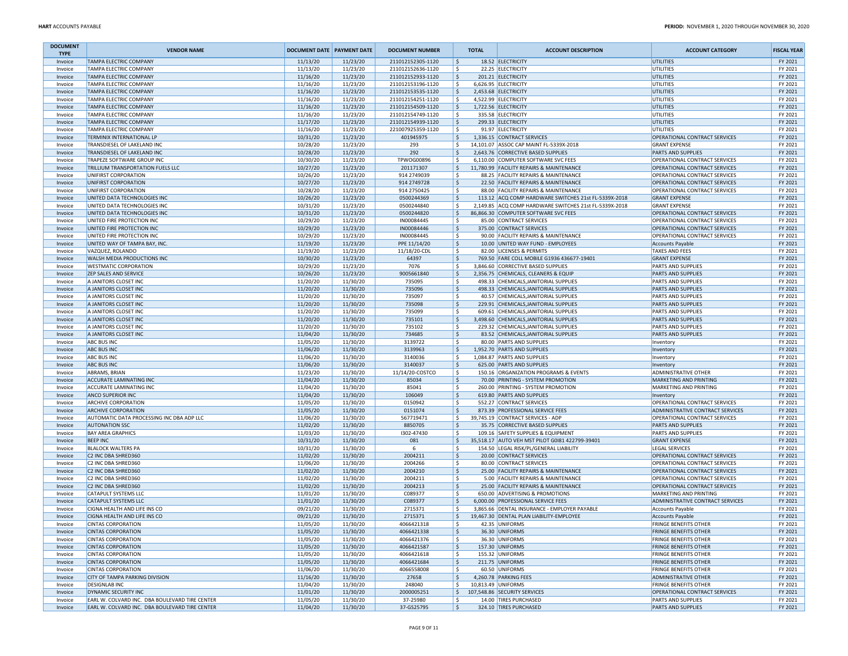| <b>DOCUMENT</b><br><b>TYPE</b> | <b>VENDOR NAME</b>                                                                               | <b>DOCUMENT DATE PAYMENT DATE</b> |                      | <b>DOCUMENT NUMBER</b>                 | <b>TOTAL</b>      | <b>ACCOUNT DESCRIPTION</b>                               | <b>ACCOUNT CATEGORY</b>                  | <b>FISCAL YEAR</b> |
|--------------------------------|--------------------------------------------------------------------------------------------------|-----------------------------------|----------------------|----------------------------------------|-------------------|----------------------------------------------------------|------------------------------------------|--------------------|
| Invoice                        | <b>TAMPA ELECTRIC COMPANY</b>                                                                    | 11/13/20                          | 11/23/20             | 211012152305-1120                      | ۱\$.              | 18.52 ELECTRICITY                                        | UTILITIES                                | FY 2021            |
| Invoice                        | TAMPA ELECTRIC COMPANY                                                                           | 11/13/20                          | 11/23/20             | 211012152636-1120                      | l \$              | 22.25 ELECTRICITY                                        | UTILITIES                                | FY 2021            |
| Invoice                        | <b>TAMPA ELECTRIC COMPANY</b>                                                                    | 11/16/20                          | 11/23/20             | 211012152933-1120                      | ls.               | 201.21 ELECTRICITY                                       | <b>UTILITIES</b>                         | FY 2021            |
| Invoice                        | <b>TAMPA ELECTRIC COMPANY</b>                                                                    | 11/16/20                          | 11/23/20             | 211012153196-1120                      | ۱\$.              | 6,626.95 ELECTRICITY                                     | UTILITIES                                | FY 2021            |
| Invoice                        | <b>TAMPA ELECTRIC COMPANY</b><br><b>TAMPA ELECTRIC COMPANY</b>                                   | 11/16/20                          | 11/23/20             | 211012153535-1120                      | ١\$<br>١s         | 2,453.68 ELECTRICITY                                     | UTILITIES                                | FY 2021<br>FY 2021 |
| Invoice                        | <b>TAMPA ELECTRIC COMPANY</b>                                                                    | 11/16/20<br>11/16/20              | 11/23/20<br>11/23/20 | 211012154251-1120<br>211012154509-1120 |                   | 4,522.99 ELECTRICITY<br>1,722.56 ELECTRICITY             | UTILITIES                                | FY 2021            |
| Invoice                        | <b>TAMPA ELECTRIC COMPANY</b>                                                                    | 11/16/20                          | 11/23/20             | 211012154749-1120                      | ١\$<br>١\$        |                                                          | UTILITIES<br>UTILITIES                   | FY 2021            |
| Invoice                        | <b>TAMPA ELECTRIC COMPANY</b>                                                                    | 11/17/20                          | 11/23/20             | 211012154939-1120                      | l \$              | 335.58 ELECTRICITY<br>299.33 ELECTRICITY                 | UTILITIES                                | FY 2021            |
| Invoice<br>Invoice             | <b>TAMPA ELECTRIC COMPANY</b>                                                                    | 11/16/20                          | 11/23/20             | 221007925359-1120                      | l \$              | 91.97 ELECTRICITY                                        | UTILITIES                                | FY 2021            |
| Invoice                        | TERMINIX INTERNATIONAL LP                                                                        | 10/31/20                          | 11/23/20             | 401945975                              | ١\$               | 1,336.15 CONTRACT SERVICES                               | OPERATIONAL CONTRACT SERVICES            | FY 2021            |
| Invoice                        | TRANSDIESEL OF LAKELAND INC                                                                      | 10/28/20                          | 11/23/20             | 293                                    | ١\$               | 14,101.07 ASSOC CAP MAINT FL-5339X-2018                  | <b>GRANT EXPENSE</b>                     | FY 2021            |
| Invoice                        | TRANSDIESEL OF LAKELAND INC                                                                      | 10/28/20                          | 11/23/20             | 292                                    | l\$               | 2,643.76 CORRECTIVE BASED SUPPLIES                       | PARTS AND SUPPLIES                       | FY 2021            |
| Invoice                        | TRAPEZE SOFTWARE GROUP INC                                                                       | 10/30/20                          | 11/23/20             | TPWOG00896                             | ١s                | 6.110.00 COMPUTER SOFTWARE SVC FEES                      | OPERATIONAL CONTRACT SERVICES            | FY 2021            |
| Invoice                        | TRILLIUM TRANSPORTATION FUELS LLC                                                                | 10/27/20                          | 11/23/20             | 201171307                              | l\$               | 11,780.99 FACILITY REPAIRS & MAINTENANCE                 | OPERATIONAL CONTRACT SERVICES            | FY 2021            |
| Invoice                        | UNIFIRST CORPORATION                                                                             | 10/26/20                          | 11/23/20             | 914 2749039                            | ۱\$.              | 88.25 FACILITY REPAIRS & MAINTENANCE                     | OPERATIONAL CONTRACT SERVICES            | FY 2021            |
| Invoice                        | UNIFIRST CORPORATION                                                                             | 10/27/20                          | 11/23/20             | 914 274 9728                           | l\$               | 22.50 FACILITY REPAIRS & MAINTENANCE                     | OPERATIONAL CONTRACT SERVICES            | FY 2021            |
| Invoice                        | UNIFIRST CORPORATION                                                                             | 10/28/20                          | 11/23/20             | 914 2750425                            | l\$               | 88.00 FACILITY REPAIRS & MAINTENANCE                     | OPERATIONAL CONTRACT SERVICES            | FY 2021            |
| Invoice                        | UNITED DATA TECHNOLOGIES INC                                                                     | 10/26/20                          | 11/23/20             | 0500244369                             | ۱\$               | 113.12 ACQ COMP HARDWARE SWITCHES 21st FL-5339X-2018     | <b>GRANT EXPENSE</b>                     | FY 2021            |
| Invoice                        | UNITED DATA TECHNOLOGIES INC                                                                     | 10/31/20                          | 11/23/20             | 0500244840                             | ١\$               | 2,149.85 ACQ COMP HARDWARE SWITCHES 21st FL-5339X-2018   | <b>GRANT EXPENSE</b>                     | FY 2021            |
| Invoice                        | UNITED DATA TECHNOLOGIES INC                                                                     | 10/31/20                          | 11/23/20             | 0500244820                             | l\$               | 86,866.30 COMPUTER SOFTWARE SVC FEES                     | OPERATIONAL CONTRACT SERVICES            | FY 2021            |
| Invoice                        | UNITED FIRE PROTECTION INC                                                                       | 10/29/20                          | 11/23/20             | IN00084445                             | ١\$               | 85.00 CONTRACT SERVICES                                  | OPERATIONAL CONTRACT SERVICES            | FY 2021            |
| Invoice                        | UNITED FIRE PROTECTION INC                                                                       | 10/29/20                          | 11/23/20             | IN00084446                             | \$                | 375.00 CONTRACT SERVICES                                 | OPERATIONAL CONTRACT SERVICES            | FY 2021            |
| Invoice                        | UNITED FIRE PROTECTION INC                                                                       | 10/29/20                          | 11/23/20             | IN00084445                             | l\$               | 90.00 FACILITY REPAIRS & MAINTENANCE                     | OPERATIONAL CONTRACT SERVICES            | FY 2021            |
| Invoice                        | UNITED WAY OF TAMPA BAY, INC.                                                                    | 11/19/20                          | 11/23/20             | PPE 11/14/20                           | l\$               | 10.00 UNITED WAY FUND - EMPLOYEES                        | <b>Accounts Payable</b>                  | FY 2021            |
| Invoice                        | VAZQUEZ, ROLANDO                                                                                 | 11/19/20                          | 11/23/20             | 11/18/20-CDL                           | ۱\$.              | 82.00 LICENSES & PERMITS                                 | <b>TAXES AND FEES</b>                    | FY 2021            |
| Invoice                        | WALSH MEDIA PRODUCTIONS INC                                                                      | 10/30/20                          | 11/23/20             | 64397                                  | l\$               | 769.50 FARE COLL MOBILE G1936 436677-19401               | <b>GRANT EXPENSE</b>                     | FY 2021            |
| Invoice                        | <b>WESTMATIC CORPORATION</b>                                                                     | 10/29/20                          | 11/23/20             | 7076                                   | ١s                | 3,846.60 CORRECTIVE BASED SUPPLIES                       | PARTS AND SUPPLIES                       | FY 2021            |
| Invoice                        | <b>ZEP SALES AND SERVICE</b>                                                                     | 10/26/20                          | 11/23/20             | 9005661840                             | ۱\$               | 2,356.75 CHEMICALS, CLEANERS & EQUIP                     | <b>PARTS AND SUPPLIES</b>                | FY 2021            |
| Invoice                        | A JANITORS CLOSET INC                                                                            | 11/20/20                          | 11/30/20             | 735095                                 | ١\$               | 498.33 CHEMICALS, JANITORIAL SUPPLIES                    | <b>PARTS AND SUPPLIES</b>                | FY 2021            |
| Invoice                        | A JANITORS CLOSET INC                                                                            | 11/20/20                          | 11/30/20             | 735096                                 | \$                | 498.33 CHEMICALS, JANITORIAL SUPPLIES                    | <b>PARTS AND SUPPLIES</b>                | FY 2021            |
| Invoice                        | A JANITORS CLOSET INC                                                                            | 11/20/20                          | 11/30/20             | 735097                                 | ١\$               | 40.57 CHEMICALS, JANITORIAL SUPPLIES                     | PARTS AND SUPPLIES                       | FY 2021            |
| Invoice                        | A JANITORS CLOSET INC                                                                            | 11/20/20                          | 11/30/20             | 735098                                 | ١\$               | 229.91 CHEMICALS, JANITORIAL SUPPLIES                    | PARTS AND SUPPLIES                       | FY 2021            |
| Invoice                        | A JANITORS CLOSET INC                                                                            | 11/20/20                          | 11/30/20             | 735099                                 | ١\$               | 609.61 CHEMICALS, JANITORIAL SUPPLIES                    | PARTS AND SUPPLIES                       | FY 2021            |
| Invoice                        | A JANITORS CLOSET INC                                                                            | 11/20/20                          | 11/30/20             | 735101                                 | l\$               | 3,498.60 CHEMICALS, JANITORIAL SUPPLIES                  | PARTS AND SUPPLIES                       | FY 2021            |
| Invoice                        | A JANITORS CLOSET INC                                                                            | 11/20/20                          | 11/30/20             | 735102                                 | ١\$               | 229.32 CHEMICALS, JANITORIAL SUPPLIES                    | PARTS AND SUPPLIES                       | FY 2021            |
| Invoice                        | A JANITORS CLOSET INC                                                                            | 11/04/20                          | 11/30/20             | 734685                                 | ١\$               | 83.52 CHEMICALS, JANITORIAL SUPPLIES                     | <b>PARTS AND SUPPLIES</b>                | FY 2021            |
| Invoice                        | <b>ABC BUS INC</b>                                                                               | 11/05/20                          | 11/30/20             | 3139722                                | ۱\$.              | 80.00 PARTS AND SUPPLIES                                 | Inventory                                | FY 2021            |
| Invoice                        | <b>ABC BUS INC</b>                                                                               | 11/06/20<br>11/06/20              | 11/30/20<br>11/30/20 | 3139963<br>3140036                     | ١\$<br>١\$        | 1,952.70 PARTS AND SUPPLIES                              | Inventory                                | FY 2021<br>FY 2021 |
| Invoice                        | <b>ABC BUS INC</b><br><b>ABC BUS INC</b>                                                         | 11/06/20                          | 11/30/20             | 3140037                                | \$                | 1,084.87 PARTS AND SUPPLIES<br>625.00 PARTS AND SUPPLIES | Inventory                                | FY 2021            |
| Invoice<br>Invoice             | <b>ABRAMS, BRIAN</b>                                                                             | 11/23/20                          | 11/30/20             | 11/14/20-COSTCO                        | l\$               | 150.16 ORGANIZATION PROGRAMS & EVENTS                    | Inventory<br><b>ADMINISTRATIVE OTHER</b> | FY 2021            |
| Invoice                        | <b>ACCURATE LAMINATING INC</b>                                                                   | 11/04/20                          | 11/30/20             | 85034                                  | l\$               | 70.00 PRINTING - SYSTEM PROMOTION                        | MARKETING AND PRINTING                   | FY 2021            |
| Invoice                        | <b>ACCURATE LAMINATING INC</b>                                                                   | 11/04/20                          | 11/30/20             | 85041                                  | ١\$               | 260.00 PRINTING - SYSTEM PROMOTION                       | MARKETING AND PRINTING                   | FY 2021            |
| Invoice                        | ANCO SUPERIOR INC                                                                                | 11/04/20                          | 11/30/20             | 106049                                 | ١\$               | 619.80 PARTS AND SUPPLIES                                | Inventory                                | FY 2021            |
| Invoice                        | <b>ARCHIVE CORPORATION</b>                                                                       | 11/05/20                          | 11/30/20             | 0150942                                | ١\$               | 552.27 CONTRACT SERVICES                                 | OPERATIONAL CONTRACT SERVICES            | FY 2021            |
| Invoice                        | <b>ARCHIVE CORPORATION</b>                                                                       | 11/05/20                          | 11/30/20             | 0151074                                | ١\$               | 873.39 PROFESSIONAL SERVICE FEES                         | ADMINISTRATIVE CONTRACT SERVICES         | FY 2021            |
| Invoice                        | AUTOMATIC DATA PROCESSING INC DBA ADP LLC                                                        | 11/06/20                          | 11/30/20             | 567719471                              | ١s                | 39,745.19 CONTRACT SERVICES - ADP                        | OPERATIONAL CONTRACT SERVICES            | FY 2021            |
| Invoice                        | <b>AUTONATION SSC</b>                                                                            | 11/02/20                          | 11/30/20             | 8850705                                | l\$               | 35.75 CORRECTIVE BASED SUPPLIES                          | <b>PARTS AND SUPPLIES</b>                | FY 2021            |
| Invoice                        | <b>BAY AREA GRAPHICS</b>                                                                         | 11/03/20                          | 11/30/20             | 1302-47430                             | ١\$               | 109.16 SAFETY SUPPLIES & EQUIPMENT                       | PARTS AND SUPPLIES                       | FY 2021            |
| Invoice                        | <b>BEEP INC</b>                                                                                  | 10/31/20                          | 11/30/20             | 081                                    | ١\$               | 35,518.17 AUTO VEH MST PILOT G0181 422799-39401          | <b>GRANT EXPENSE</b>                     | FY 2021            |
| Invoice                        | <b>BLALOCK WALTERS PA</b>                                                                        | 10/31/20                          | 11/30/20             | 6                                      | ١\$               | 154.50 LEGAL RISK/PL/GENERAL LIABILITY                   | <b>LEGAL SERVICES</b>                    | FY 2021            |
| Invoice                        | C2 INC DBA SHRED360                                                                              | 11/02/20                          | 11/30/20             | 2004211                                | ١\$               | 20.00 CONTRACT SERVICES                                  | OPERATIONAL CONTRACT SERVICES            | FY 2021            |
| Invoice                        | C2 INC DBA SHRED360                                                                              | 11/06/20                          | 11/30/20             | 2004266                                | ۱\$.              | 80.00 CONTRACT SERVICES                                  | OPERATIONAL CONTRACT SERVICES            | FY 2021            |
| Invoice                        | C2 INC DBA SHRED360                                                                              | 11/02/20                          | 11/30/20             | 2004210                                | ١\$               | 25.00 FACILITY REPAIRS & MAINTENANCE                     | OPERATIONAL CONTRACT SERVICES            | FY 2021            |
| Invoice                        | C2 INC DBA SHRED360                                                                              | 11/02/20                          | 11/30/20             | 2004211                                | ۱\$.              | 5.00 FACILITY REPAIRS & MAINTENANCE                      | OPERATIONAL CONTRACT SERVICES            | FY 2021            |
| Invoice                        | C2 INC DBA SHRED360                                                                              | 11/02/20                          | 11/30/20             | 2004213                                | l\$               | 25.00 FACILITY REPAIRS & MAINTENANCE                     | OPERATIONAL CONTRACT SERVICES            | FY 2021            |
| Invoice                        | <b>CATAPULT SYSTEMS LLC</b>                                                                      | 11/01/20                          | 11/30/20             | C089377                                | ١\$               | 650.00 ADVERTISING & PROMOTIONS                          | MARKETING AND PRINTING                   | FY 2021            |
| Invoice                        | <b>CATAPULT SYSTEMS LLC</b>                                                                      | 11/01/20                          | 11/30/20             | C089377                                | ١\$               | 6,000.00 PROFESSIONAL SERVICE FEES                       | ADMINISTRATIVE CONTRACT SERVICES         | FY 2021            |
| Invoice                        | CIGNA HEALTH AND LIFE INS CO                                                                     | 09/21/20                          | 11/30/20             | 2715371                                | ١s                | 3,865.66 DENTAL INSURANCE - EMPLOYER PAYABLE             | <b>Accounts Payable</b>                  | FY 2021            |
| Invoice                        | CIGNA HEALTH AND LIFE INS CO                                                                     | 09/21/20                          | 11/30/20             | 2715371                                | l \$              | 19,467.30 DENTAL PLAN LIABILITY-EMPLOYEE                 | <b>Accounts Payable</b>                  | FY 2021            |
| Invoice                        | <b>CINTAS CORPORATION</b>                                                                        | 11/05/20                          | 11/30/20             | 4066421318                             | l S               | 42.35 UNIFORMS                                           | <b>FRINGE BENEFITS OTHER</b>             | FY 2021            |
| Invoice                        | <b>CINTAS CORPORATION</b>                                                                        | 11/05/20                          | 11/30/20             | 4066421338                             | l\$               | 36.30 UNIFORMS                                           | <b>FRINGE BENEFITS OTHER</b>             | FY 2021            |
| Invoice                        | <b>CINTAS CORPORATION</b>                                                                        | 11/05/20                          | 11/30/20             | 4066421376                             | ١s                | 36.30 UNIFORMS                                           | <b>FRINGE BENEFITS OTHER</b>             | FY 2021            |
| Invoice                        | <b>CINTAS CORPORATION</b>                                                                        | 11/05/20                          | 11/30/20             | 4066421587                             | l\$               | 157.30 UNIFORMS                                          | <b>FRINGE BENEFITS OTHER</b>             | FY 2021            |
| Invoice                        | <b>CINTAS CORPORATION</b>                                                                        | 11/05/20                          | 11/30/20             | 4066421618                             | ۱\$.              | 155.32 UNIFORMS                                          | <b>FRINGE BENEFITS OTHER</b>             | FY 2021            |
| Invoice                        | <b>CINTAS CORPORATION</b>                                                                        | 11/05/20                          | 11/30/20             | 4066421684                             | ۱\$.              | 211.75 UNIFORMS                                          | <b>FRINGE BENEFITS OTHER</b>             | FY 2021            |
| Invoice                        | <b>CINTAS CORPORATION</b>                                                                        | 11/06/20                          | 11/30/20             | 4066558008                             | ١s                | 60.50 UNIFORMS                                           | <b>FRINGE BENEFITS OTHER</b>             | FY 2021            |
| Invoice                        | <b>CITY OF TAMPA PARKING DIVISION</b>                                                            | 11/16/20                          | 11/30/20             | 27658                                  | ١s                | 4,260.78 PARKING FEES                                    | <b>ADMINISTRATIVE OTHER</b>              | FY 2021            |
| Invoice                        | <b>DESIGNLAB INC</b>                                                                             | 11/04/20                          | 11/30/20             | 248040                                 | l s               | 10,813.49 UNIFORMS                                       | <b>FRINGE BENEFITS OTHER</b>             | FY 2021            |
| Invoice                        | DYNAMIC SECURITY INC                                                                             | 11/01/20                          | 11/30/20             | 2000005251                             | l \$              | 107,548.86 SECURITY SERVICES                             | OPERATIONAL CONTRACT SERVICES            | FY 2021            |
| Invoice                        | EARL W. COLVARD INC. DBA BOULEVARD TIRE CENTER<br>EARL W. COLVARD INC. DBA BOULEVARD TIRE CENTER | 11/05/20                          | 11/30/20             | 37-25980<br>37-GS25795                 | ١\$<br>$\vert$ \$ | 14.00 TIRES PURCHASED<br>324.10 TIRES PURCHASED          | PARTS AND SUPPLIES<br>PARTS AND SUPPLIES | FY 2021<br>FY 2021 |
| Invoice                        |                                                                                                  | 11/04/20                          | 11/30/20             |                                        |                   |                                                          |                                          |                    |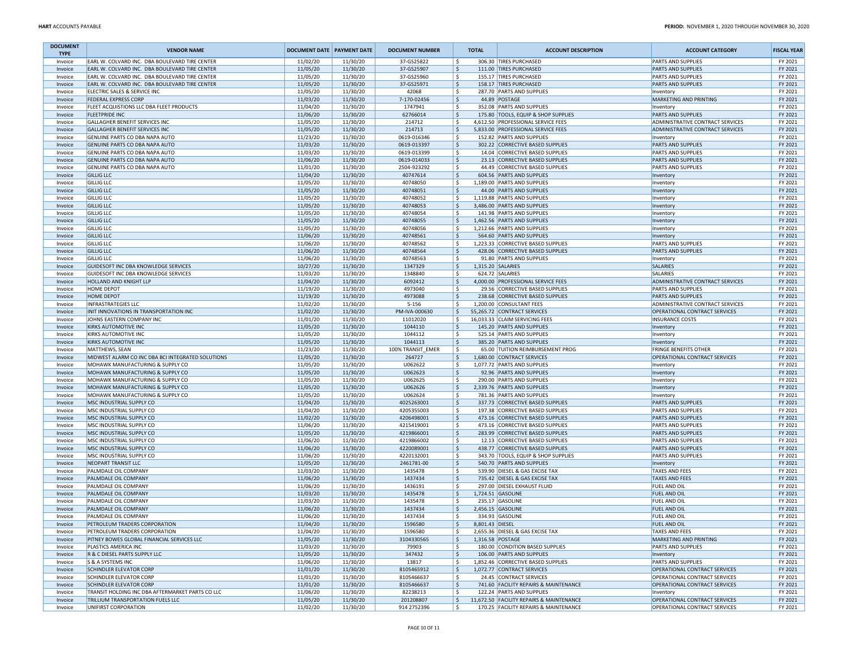| <b>DOCUMENT</b><br><b>TYPE</b> | <b>VENDOR NAME</b>                                                          | <b>DOCUMENT DATE PAYMENT DATE</b> |                      | <b>DOCUMENT NUMBER</b>   | <b>TOTAL</b>    | <b>ACCOUNT DESCRIPTION</b>                                           | <b>ACCOUNT CATEGORY</b>                         | <b>FISCAL YEAR</b> |
|--------------------------------|-----------------------------------------------------------------------------|-----------------------------------|----------------------|--------------------------|-----------------|----------------------------------------------------------------------|-------------------------------------------------|--------------------|
| Invoice                        | EARL W. COLVARD INC. DBA BOULEVARD TIRE CENTER                              | 11/02/20                          | 11/30/20             | 37-GS25822               | ۱\$             | 306.30 TIRES PURCHASED                                               | PARTS AND SUPPLIES                              | FY 2021            |
| Invoice                        | EARL W. COLVARD INC. DBA BOULEVARD TIRE CENTER                              | 11/05/20                          | 11/30/20             | 37-GS25907               | ۱\$.            | 111.00 TIRES PURCHASED                                               | <b>PARTS AND SUPPLIES</b>                       | FY 2021            |
| Invoice                        | EARL W. COLVARD INC. DBA BOULEVARD TIRE CENTER                              | 11/05/20                          | 11/30/20             | 37-GS25960               | ۱\$             | 155.17 TIRES PURCHASED                                               | PARTS AND SUPPLIES                              | FY 2021            |
| Invoice                        | EARL W. COLVARD INC. DBA BOULEVARD TIRE CENTER                              | 11/05/20                          | 11/30/20             | 37-GS25971               | ١\$             | 158.17 TIRES PURCHASED                                               | PARTS AND SUPPLIES                              | FY 2021            |
| Invoice                        | ELECTRIC SALES & SERVICE INC                                                | 11/05/20                          | 11/30/20             | 42068                    | ۱\$             | 287.70 PARTS AND SUPPLIES                                            | Inventory                                       | FY 2021            |
| Invoice                        | <b>FEDERAL EXPRESS CORP</b><br>FLEET ACQUISTIONS LLC DBA FLEET PRODUCTS     | 11/03/20<br>11/04/20              | 11/30/20<br>11/30/20 | 7-170-02456<br>1747941   | ۱\$<br>۱\$      | 44.89 POSTAGE<br>352.08 PARTS AND SUPPLIES                           | <b>MARKETING AND PRINTING</b>                   | FY 2021<br>FY 2021 |
| Invoice<br>Invoice             | <b>FLEETPRIDE INC</b>                                                       | 11/06/20                          | 11/30/20             | 62766014                 | ۱\$             | 175.80 TOOLS, EQUIP & SHOP SUPPLIES                                  | Inventory<br>PARTS AND SUPPLIES                 | FY 2021            |
| Invoice                        | GALLAGHER BENEFIT SERVICES INC                                              | 11/05/20                          | 11/30/20             | 214712                   | ١s              | 4,612.50 PROFESSIONAL SERVICE FEES                                   | ADMINISTRATIVE CONTRACT SERVICES                | FY 2021            |
| Invoice                        | GALLAGHER BENEFIT SERVICES INC                                              | 11/05/20                          | 11/30/20             | 214713                   | ۱\$.            | 5,833.00 PROFESSIONAL SERVICE FEES                                   | ADMINISTRATIVE CONTRACT SERVICES                | FY 2021            |
| Invoice                        | GENUINE PARTS CO DBA NAPA AUTO                                              | 11/23/20                          | 11/30/20             | 0619-016346              | ۱\$             | 152.82 PARTS AND SUPPLIES                                            | Inventory                                       | FY 2021            |
| Invoice                        | GENUINE PARTS CO DBA NAPA AUTO                                              | 11/03/20                          | 11/30/20             | 0619-013397              | \$              | 302.22 CORRECTIVE BASED SUPPLIES                                     | <b>PARTS AND SUPPLIES</b>                       | FY 2021            |
| Invoice                        | GENUINE PARTS CO DBA NAPA AUTO                                              | 11/03/20                          | 11/30/20             | 0619-013399              | l\$             | 14.04 CORRECTIVE BASED SUPPLIES                                      | <b>PARTS AND SUPPLIES</b>                       | FY 2021            |
| Invoice                        | GENUINE PARTS CO DBA NAPA AUTO                                              | 11/06/20                          | 11/30/20             | 0619-014033              | ١\$             | 23.13 CORRECTIVE BASED SUPPLIES                                      | PARTS AND SUPPLIES                              | FY 2021            |
| Invoice                        | GENUINE PARTS CO DBA NAPA AUTO                                              | 11/01/20                          | 11/30/20             | 2504-923292              | ۱\$             | 44.49 CORRECTIVE BASED SUPPLIES                                      | PARTS AND SUPPLIES                              | FY 2021            |
| Invoice                        | <b>GILLIG LLC</b>                                                           | 11/04/20                          | 11/30/20             | 40747614                 | ۱\$.            | 604.56 PARTS AND SUPPLIES                                            | Inventory                                       | FY 2021            |
| Invoice                        | <b>GILLIG LLC</b>                                                           | 11/05/20                          | 11/30/20             | 40748050                 | ۱\$             | 1,189.00 PARTS AND SUPPLIES                                          | Inventory                                       | FY 2021            |
| Invoice                        | <b>GILLIG LLC</b>                                                           | 11/05/20                          | 11/30/20             | 40748051                 | ۱\$             | 44.00 PARTS AND SUPPLIES                                             | Inventory                                       | FY 2021            |
| Invoice                        | <b>GILLIG LLC</b>                                                           | 11/05/20                          | 11/30/20             | 40748052                 | ۱\$             | 1,119.88 PARTS AND SUPPLIES                                          | Inventory                                       | FY 2021            |
| Invoice<br>Invoice             | <b>GILLIG LLC</b><br><b>GILLIG LLC</b>                                      | 11/05/20<br>11/05/20              | 11/30/20<br>11/30/20 | 40748053<br>40748054     | ١\$<br>۱\$      | 3,486.00 PARTS AND SUPPLIES<br>141.98 PARTS AND SUPPLIES             | Inventory                                       | FY 2021<br>FY 2021 |
| Invoice                        | <b>GILLIG LLC</b>                                                           | 11/05/20                          | 11/30/20             | 40748055                 | ١\$             | 1,462.56 PARTS AND SUPPLIES                                          | Inventory<br>Inventory                          | FY 2021            |
| Invoice                        | <b>GILLIG LLC</b>                                                           | 11/05/20                          | 11/30/20             | 40748056                 | ۱s              | 1,212.66 PARTS AND SUPPLIES                                          | Inventory                                       | FY 2021            |
| Invoice                        | <b>GILLIG LLC</b>                                                           | 11/06/20                          | 11/30/20             | 40748561                 | ۱\$             | 564.60 PARTS AND SUPPLIES                                            | Inventory                                       | FY 2021            |
| Invoice                        | <b>GILLIG LLC</b>                                                           | 11/06/20                          | 11/30/20             | 40748562                 | ۱\$             | 1,223.33 CORRECTIVE BASED SUPPLIES                                   | <b>PARTS AND SUPPLIES</b>                       | FY 2021            |
| Invoice                        | <b>GILLIG LLC</b>                                                           | 11/06/20                          | 11/30/20             | 40748564                 | ۱\$             | 428.06 CORRECTIVE BASED SUPPLIES                                     | PARTS AND SUPPLIES                              | FY 2021            |
| Invoice                        | <b>GILLIG LLC</b>                                                           | 11/06/20                          | 11/30/20             | 40748563                 | l\$             | 91.80 PARTS AND SUPPLIES                                             | Inventory                                       | FY 2021            |
| Invoice                        | GUIDESOFT INC DBA KNOWLEDGE SERVICES                                        | 10/27/20                          | 11/30/20             | 1347329                  | ١\$             | 1,315.20 SALARIES                                                    | <b>SALARIES</b>                                 | FY 2021            |
| Invoice                        | GUIDESOFT INC DBA KNOWLEDGE SERVICES                                        | 11/03/20                          | 11/30/20             | 1348840                  | ۱\$             | 624.72 SALARIES                                                      | SALARIES                                        | FY 2021            |
| Invoice                        | HOLLAND AND KNIGHT LLP                                                      | 11/04/20                          | 11/30/20             | 6092412                  | ١\$             | 4,000.00 PROFESSIONAL SERVICE FEES                                   | ADMINISTRATIVE CONTRACT SERVICES                | FY 2021            |
| Invoice                        | HOME DEPOT                                                                  | 11/19/20                          | 11/30/20             | 4973040                  | ١\$             | 29.56 CORRECTIVE BASED SUPPLIES                                      | PARTS AND SUPPLIES                              | FY 2021            |
| Invoice                        | <b>HOME DEPOT</b>                                                           | 11/19/20                          | 11/30/20             | 4973088                  | ١\$             | 238.68 CORRECTIVE BASED SUPPLIES                                     | <b>PARTS AND SUPPLIES</b>                       | FY 2021            |
| Invoice                        | <b>INFRASTRATEGIES LLC</b>                                                  | 11/02/20                          | 11/30/20             | 5-156                    | ۱\$             | 1,200.00 CONSULTANT FEES                                             | ADMINISTRATIVE CONTRACT SERVICES                | FY 2021            |
| Invoice                        | INIT INNOVATIONS IN TRANSPORTATION INC                                      | 11/02/20                          | 11/30/20             | PM-IVA-000630            | ۱\$.            | 55,265.72 CONTRACT SERVICES                                          | OPERATIONAL CONTRACT SERVICES                   | FY 2021            |
| Invoice                        | JOHNS EASTERN COMPANY INC                                                   | 11/01/20                          | 11/30/20             | 11012020                 | ١s              | 16,033.33 CLAIM SERVICING FEES                                       | <b>INSURANCE COSTS</b>                          | FY 2021            |
| Invoice<br>Invoice             | <b>KIRKS AUTOMOTIVE INC</b><br>KIRKS AUTOMOTIVE INC                         | 11/05/20<br>11/05/20              | 11/30/20<br>11/30/20 | 1044110<br>1044112       | ١\$<br>۱\$      | 145.20 PARTS AND SUPPLIES<br>525.14 PARTS AND SUPPLIES               | Inventory                                       | FY 2021<br>FY 2021 |
| Invoice                        | <b>KIRKS AUTOMOTIVE INC</b>                                                 | 11/05/20                          | 11/30/20             | 1044113                  | ۱\$.            | 385.20 PARTS AND SUPPLIES                                            | Inventory<br>Inventory                          | FY 2021            |
| Invoice                        | <b>MATTHEWS, SEAN</b>                                                       | 11/23/20                          | 11/30/20             | 100% TRANSIT_EMER        | ۱\$             | 65.00 TUITION REIMBURSEMENT PROG                                     | <b>FRINGE BENEFITS OTHER</b>                    | FY 2021            |
| Invoice                        | MIDWEST ALARM CO INC DBA BCI INTEGRATED SOLUTIONS                           | 11/05/20                          | 11/30/20             | 264727                   | ۱\$             | 1,680.00 CONTRACT SERVICES                                           | OPERATIONAL CONTRACT SERVICES                   | FY 2021            |
| Invoice                        | MOHAWK MANUFACTURING & SUPPLY CO                                            | 11/05/20                          | 11/30/20             | U062622                  | l\$             | 1,077.72 PARTS AND SUPPLIES                                          | Inventory                                       | FY 2021            |
| Invoice                        | MOHAWK MANUFACTURING & SUPPLY CO                                            | 11/05/20                          | 11/30/20             | U062623                  | ١\$             | 92.96 PARTS AND SUPPLIES                                             | Inventory                                       | FY 2021            |
| Invoice                        | MOHAWK MANUFACTURING & SUPPLY CO                                            | 11/05/20                          | 11/30/20             | U062625                  | ۱\$             | 290.00 PARTS AND SUPPLIES                                            | Inventory                                       | FY 2021            |
| Invoice                        | MOHAWK MANUFACTURING & SUPPLY CO                                            | 11/05/20                          | 11/30/20             | U062626                  | l \$            | 2,339.76 PARTS AND SUPPLIES                                          | Inventory                                       | FY 2021            |
| Invoice                        | MOHAWK MANUFACTURING & SUPPLY CO                                            | 11/05/20                          | 11/30/20             | U062624                  | ۱s              | 781.36 PARTS AND SUPPLIES                                            | Inventory                                       | FY 2021            |
| Invoice                        | MSC INDUSTRIAL SUPPLY CO                                                    | 11/04/20                          | 11/30/20             | 4025263001               | ١\$             | 337.73 CORRECTIVE BASED SUPPLIES                                     | <b>PARTS AND SUPPLIES</b>                       | FY 2021            |
| Invoice                        | MSC INDUSTRIAL SUPPLY CO                                                    | 11/04/20                          | 11/30/20             | 4205355003               | ۱\$             | 197.38 CORRECTIVE BASED SUPPLIES                                     | PARTS AND SUPPLIES                              | FY 2021            |
| Invoice                        | MSC INDUSTRIAL SUPPLY CO                                                    | 11/02/20                          | 11/30/20             | 4206498001               | \$              | 473.16 CORRECTIVE BASED SUPPLIES                                     | <b>PARTS AND SUPPLIES</b>                       | FY 2021            |
| Invoice                        | MSC INDUSTRIAL SUPPLY CO<br>MSC INDUSTRIAL SUPPLY CO                        | 11/06/20<br>11/05/20              | 11/30/20<br>11/30/20 | 4215419001<br>4219866001 | ۱\$<br>١\$      | 473.16 CORRECTIVE BASED SUPPLIES<br>283.99 CORRECTIVE BASED SUPPLIES | PARTS AND SUPPLIES<br><b>PARTS AND SUPPLIES</b> | FY 2021<br>FY 2021 |
| Invoice<br>Invoice             | MSC INDUSTRIAL SUPPLY CO                                                    | 11/06/20                          | 11/30/20             | 4219866002               | ١\$             | 12.13 CORRECTIVE BASED SUPPLIES                                      | PARTS AND SUPPLIES                              | FY 2021            |
| Invoice                        | MSC INDUSTRIAL SUPPLY CO                                                    | 11/06/20                          | 11/30/20             | 4220089001               | ۱\$.            | 438.77 CORRECTIVE BASED SUPPLIES                                     | <b>PARTS AND SUPPLIES</b>                       | FY 2021            |
| Invoice                        | MSC INDUSTRIAL SUPPLY CO                                                    | 11/06/20                          | 11/30/20             | 4220132001               | ۱\$             | 343.70 TOOLS, EQUIP & SHOP SUPPLIES                                  | PARTS AND SUPPLIES                              | FY 2021            |
| Invoice                        | <b>NEOPART TRANSIT LLC</b>                                                  | 11/05/20                          | 11/30/20             | 2461781-00               | ١\$             | 540.70 PARTS AND SUPPLIES                                            | Inventory                                       | FY 2021            |
| Invoice                        | PALMDALE OIL COMPANY                                                        | 11/03/20                          | 11/30/20             | 1435478                  | ١\$             | 539.90 DIESEL & GAS EXCISE TAX                                       | <b>TAXES AND FEES</b>                           | FY 2021            |
| Invoice                        | PALMDALE OIL COMPANY                                                        | 11/06/20                          | 11/30/20             | 1437434                  | ١\$             | 735.42 DIESEL & GAS EXCISE TAX                                       | <b>TAXES AND FEES</b>                           | FY 2021            |
| Invoice                        | PALMDALE OIL COMPANY                                                        | 11/06/20                          | 11/30/20             | 1436191                  | ١\$             | 297.00 DIESEL EXHAUST FLUID                                          | FUEL AND OIL                                    | FY 2021            |
| Invoice                        | PALMDALE OIL COMPANY                                                        | 11/03/20                          | 11/30/20             | 1435478                  | ۱\$             | 1,724.51 GASOLINE                                                    | <b>FUEL AND OIL</b>                             | FY 2021            |
| Invoice                        | PALMDALE OIL COMPANY                                                        | 11/03/20                          | 11/30/20             | 1435478                  | l\$             | 235.17 GASOLINE                                                      | FUEL AND OIL                                    | FY 2021            |
| Invoice                        | PALMDALE OIL COMPANY                                                        | 11/06/20                          | 11/30/20             | 1437434                  | ۱\$             | 2,456.15 GASOLINE                                                    | <b>FUEL AND OIL</b>                             | FY 2021            |
| Invoice                        | PALMDALE OIL COMPANY                                                        | 11/06/20                          | 11/30/20             | 1437434                  | ١\$             | 334.93 GASOLINE                                                      | FUEL AND OIL                                    | FY 2021            |
| Invoice                        | PETROLEUM TRADERS CORPORATION                                               | 11/04/20                          | 11/30/20             | 1596580                  | 8,801.43 DIESEL |                                                                      | <b>FUEL AND OIL</b>                             | <b>FY 2021</b>     |
| Invoice                        | PETROLEUM TRADERS CORPORATION<br>PITNEY BOWES GLOBAL FINANCIAL SERVICES LLC | 11/04/20                          | 11/30/20             | 1596580                  | ١s<br>١\$       | 2,655.36 DIESEL & GAS EXCISE TAX                                     | TAXES AND FEES<br>MARKETING AND PRINTING        | FY 2021            |
| Invoice<br>Invoice             | PLASTICS AMERICA INC                                                        | 11/05/20<br>11/03/20              | 11/30/20<br>11/30/20 | 3104330565<br>79903      | l\$             | 1,316.58 POSTAGE<br>180.00 CONDITION BASED SUPPLIES                  | PARTS AND SUPPLIES                              | FY 2021<br>FY 2021 |
| Invoice                        | R & C DIESEL PARTS SUPPLY LLC                                               | 11/05/20                          | 11/30/20             | 347432                   | ۱\$.            | 106.00 PARTS AND SUPPLIES                                            | Inventory                                       | FY 2021            |
| Invoice                        | S & A SYSTEMS INC                                                           | 11/06/20                          | 11/30/20             | 13817                    | ١\$             | 1,852.46 CORRECTIVE BASED SUPPLIES                                   | <b>PARTS AND SUPPLIES</b>                       | FY 2021            |
| Invoice                        | <b>SCHINDLER ELEVATOR CORP</b>                                              | 11/01/20                          | 11/30/20             | 8105465912               | ۱\$.            | 1,072.77 CONTRACT SERVICES                                           | OPERATIONAL CONTRACT SERVICES                   | FY 2021            |
| Invoice                        | <b>SCHINDLER ELEVATOR CORP</b>                                              | 11/01/20                          | 11/30/20             | 8105466637               | ۱\$             | 24.45 CONTRACT SERVICES                                              | OPERATIONAL CONTRACT SERVICES                   | FY 2021            |
| Invoice                        | <b>SCHINDLER ELEVATOR CORP</b>                                              | 11/01/20                          | 11/30/20             | 8105466637               | ١\$             | 741.60 FACILITY REPAIRS & MAINTENANCE                                | OPERATIONAL CONTRACT SERVICES                   | FY 2021            |
| Invoice                        | TRANSIT HOLDING INC DBA AFTERMARKET PARTS CO LLC                            | 11/06/20                          | 11/30/20             | 82238213                 | ١\$             | 122.24 PARTS AND SUPPLIES                                            | Inventory                                       | FY 2021            |
| Invoice                        | TRILLIUM TRANSPORTATION FUELS LLC                                           | 11/05/20                          | 11/30/20             | 201208807                | l \$            | 11,672.50 FACILITY REPAIRS & MAINTENANCE                             | OPERATIONAL CONTRACT SERVICES                   | FY 2021            |
| Invoice                        | UNIFIRST CORPORATION                                                        | 11/02/20                          | 11/30/20             | 914 275 2396             | ١\$             | 170.25 FACILITY REPAIRS & MAINTENANCE                                | OPERATIONAL CONTRACT SERVICES                   | FY 2021            |